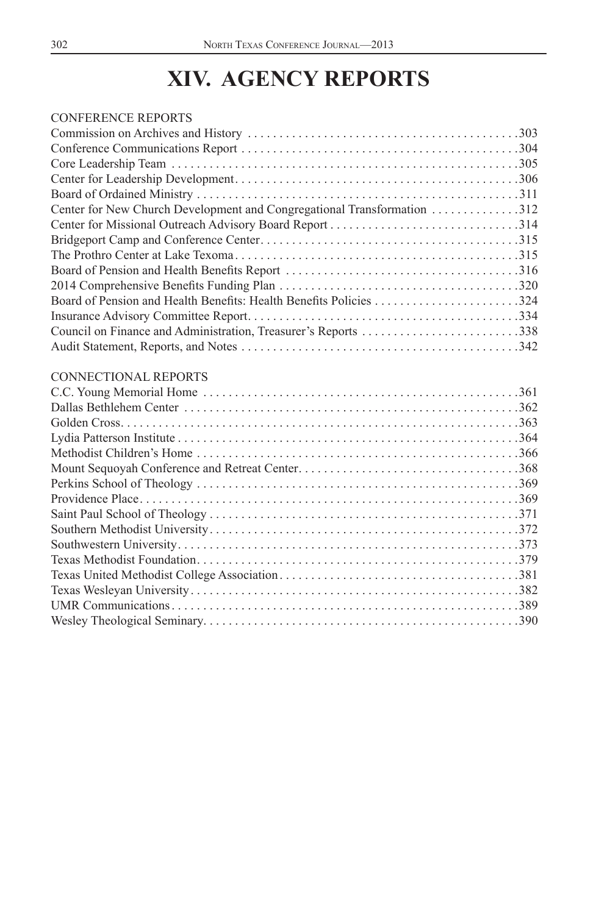# **XIV. AGENCY REPORTS**

| CONFERENCE REPORTS                                                      |  |
|-------------------------------------------------------------------------|--|
|                                                                         |  |
|                                                                         |  |
|                                                                         |  |
|                                                                         |  |
|                                                                         |  |
| Center for New Church Development and Congregational Transformation 312 |  |
|                                                                         |  |
|                                                                         |  |
|                                                                         |  |
|                                                                         |  |
|                                                                         |  |
|                                                                         |  |
|                                                                         |  |
|                                                                         |  |
|                                                                         |  |
| CONNECTIONAL REPORTS                                                    |  |
|                                                                         |  |
|                                                                         |  |
|                                                                         |  |
|                                                                         |  |
|                                                                         |  |
|                                                                         |  |
|                                                                         |  |
|                                                                         |  |
|                                                                         |  |
|                                                                         |  |
|                                                                         |  |
|                                                                         |  |

[Texas United Methodist College Association . . . . . . . . . . . . . . . . . . . . . . . . . . . . . . . . . . . . . .381](#page-79-0) [Texas Wesleyan University . . . . . . . . . . . . . . . . . . . . . . . . . . . . . . . . . . . . . . . . . . . . . . . . . . . .382](#page-80-0) [UMR Communications . . . . . . . . . . . . . . . . . . . . . . . . . . . . . . . . . . . . . . . . . . . . . . . . . . . . . . .389](#page-87-0) [Wesley Theological Seminary. . . . . . . . . . . . . . . . . . . . . . . . . . . . . . . . . . . . . . . . . . . . . . . . . .390](#page-88-0)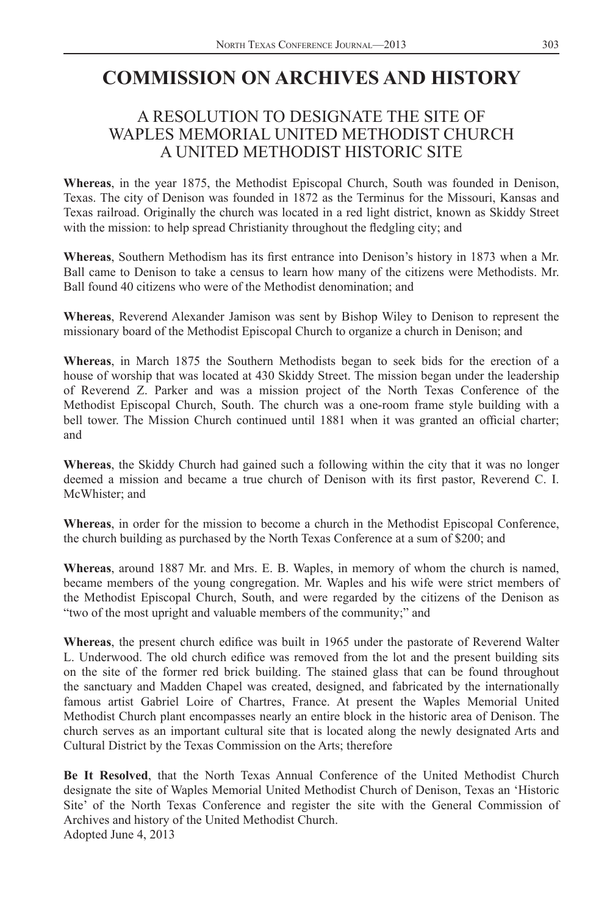### <span id="page-1-0"></span>**COMMISSION ON ARCHIVES AND HISTORY**

### A RESOLUTION TO DESIGNATE THE SITE OF WAPLES MEMORIAL UNITED METHODIST CHURCH A UNITED METHODIST HISTORIC SITE

**Whereas**, in the year 1875, the Methodist Episcopal Church, South was founded in Denison, Texas. The city of Denison was founded in 1872 as the Terminus for the Missouri, Kansas and Texas railroad. Originally the church was located in a red light district, known as Skiddy Street with the mission: to help spread Christianity throughout the fledgling city; and

Whereas, Southern Methodism has its first entrance into Denison's history in 1873 when a Mr. Ball came to Denison to take a census to learn how many of the citizens were Methodists. Mr. Ball found 40 citizens who were of the Methodist denomination; and

**Whereas**, Reverend Alexander Jamison was sent by Bishop Wiley to Denison to represent the missionary board of the Methodist Episcopal Church to organize a church in Denison; and

**Whereas**, in March 1875 the Southern Methodists began to seek bids for the erection of a house of worship that was located at 430 Skiddy Street. The mission began under the leadership of Reverend Z. Parker and was a mission project of the North Texas Conference of the Methodist Episcopal Church, South. The church was a one-room frame style building with a bell tower. The Mission Church continued until 1881 when it was granted an official charter; and

**Whereas**, the Skiddy Church had gained such a following within the city that it was no longer deemed a mission and became a true church of Denison with its first pastor, Reverend C. I. McWhister; and

**Whereas**, in order for the mission to become a church in the Methodist Episcopal Conference, the church building as purchased by the North Texas Conference at a sum of \$200; and

**Whereas**, around 1887 Mr. and Mrs. E. B. Waples, in memory of whom the church is named, became members of the young congregation. Mr. Waples and his wife were strict members of the Methodist Episcopal Church, South, and were regarded by the citizens of the Denison as "two of the most upright and valuable members of the community;" and

Whereas, the present church edifice was built in 1965 under the pastorate of Reverend Walter L. Underwood. The old church edifice was removed from the lot and the present building sits on the site of the former red brick building. The stained glass that can be found throughout the sanctuary and Madden Chapel was created, designed, and fabricated by the internationally famous artist Gabriel Loire of Chartres, France. At present the Waples Memorial United Methodist Church plant encompasses nearly an entire block in the historic area of Denison. The church serves as an important cultural site that is located along the newly designated Arts and Cultural District by the Texas Commission on the Arts; therefore

**Be It Resolved**, that the North Texas Annual Conference of the United Methodist Church designate the site of Waples Memorial United Methodist Church of Denison, Texas an 'Historic Site' of the North Texas Conference and register the site with the General Commission of Archives and history of the United Methodist Church. Adopted June 4, 2013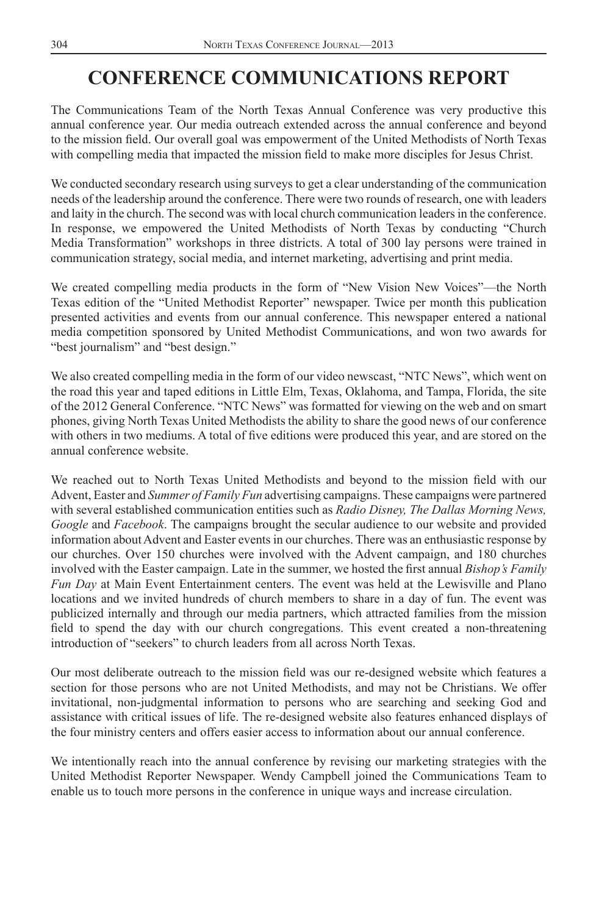## <span id="page-2-0"></span>**CONFERENCE COMMUNICATIONS REPORT**

The Communications Team of the North Texas Annual Conference was very productive this annual conference year. Our media outreach extended across the annual conference and beyond to the mission field. Our overall goal was empowerment of the United Methodists of North Texas with compelling media that impacted the mission field to make more disciples for Jesus Christ.

We conducted secondary research using surveys to get a clear understanding of the communication needs of the leadership around the conference. There were two rounds of research, one with leaders and laity in the church. The second was with local church communication leaders in the conference. In response, we empowered the United Methodists of North Texas by conducting "Church Media Transformation" workshops in three districts. A total of 300 lay persons were trained in communication strategy, social media, and internet marketing, advertising and print media.

We created compelling media products in the form of "New Vision New Voices"—the North Texas edition of the "United Methodist Reporter" newspaper. Twice per month this publication presented activities and events from our annual conference. This newspaper entered a national media competition sponsored by United Methodist Communications, and won two awards for "best journalism" and "best design."

We also created compelling media in the form of our video newscast, "NTC News", which went on the road this year and taped editions in Little Elm, Texas, Oklahoma, and Tampa, Florida, the site of the 2012 General Conference. "NTC News" was formatted for viewing on the web and on smart phones, giving North Texas United Methodists the ability to share the good news of our conference with others in two mediums. A total of five editions were produced this year, and are stored on the annual conference website.

We reached out to North Texas United Methodists and beyond to the mission field with our Advent, Easter and *Summer of Family Fun* advertising campaigns. These campaigns were partnered with several established communication entities such as *Radio Disney, The Dallas Morning News, Google* and *Facebook*. The campaigns brought the secular audience to our website and provided information about Advent and Easter events in our churches. There was an enthusiastic response by our churches. Over 150 churches were involved with the Advent campaign, and 180 churches involved with the Easter campaign. Late in the summer, we hosted the first annual *Bishop's Family Fun Day* at Main Event Entertainment centers. The event was held at the Lewisville and Plano locations and we invited hundreds of church members to share in a day of fun. The event was publicized internally and through our media partners, which attracted families from the mission field to spend the day with our church congregations. This event created a non-threatening introduction of "seekers" to church leaders from all across North Texas.

Our most deliberate outreach to the mission field was our re-designed website which features a section for those persons who are not United Methodists, and may not be Christians. We offer invitational, non-judgmental information to persons who are searching and seeking God and assistance with critical issues of life. The re-designed website also features enhanced displays of the four ministry centers and offers easier access to information about our annual conference.

We intentionally reach into the annual conference by revising our marketing strategies with the United Methodist Reporter Newspaper. Wendy Campbell joined the Communications Team to enable us to touch more persons in the conference in unique ways and increase circulation.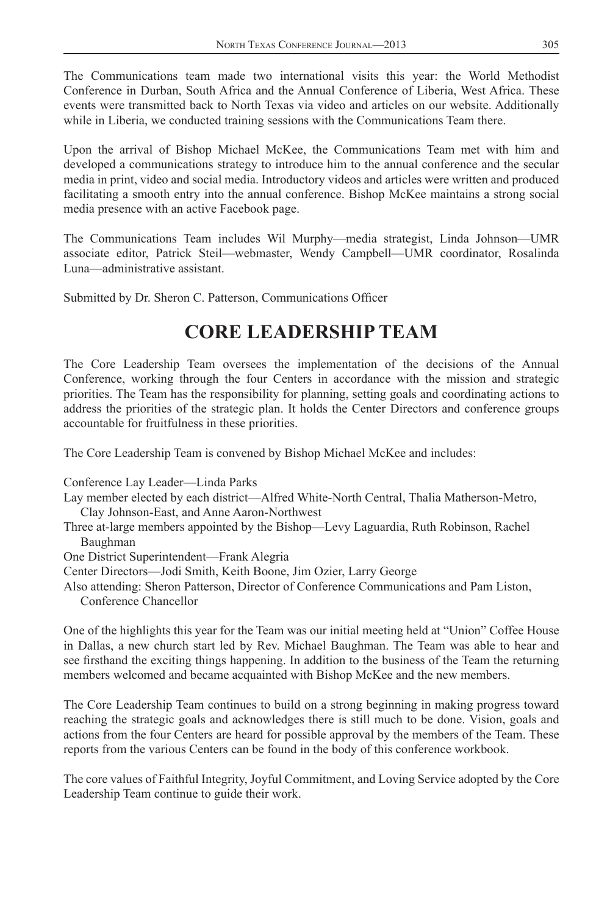<span id="page-3-0"></span>The Communications team made two international visits this year: the World Methodist Conference in Durban, South Africa and the Annual Conference of Liberia, West Africa. These events were transmitted back to North Texas via video and articles on our website. Additionally while in Liberia, we conducted training sessions with the Communications Team there.

Upon the arrival of Bishop Michael McKee, the Communications Team met with him and developed a communications strategy to introduce him to the annual conference and the secular media in print, video and social media. Introductory videos and articles were written and produced facilitating a smooth entry into the annual conference. Bishop McKee maintains a strong social media presence with an active Facebook page.

The Communications Team includes Wil Murphy—media strategist, Linda Johnson—UMR associate editor, Patrick Steil—webmaster, Wendy Campbell—UMR coordinator, Rosalinda Luna—administrative assistant.

Submitted by Dr. Sheron C. Patterson, Communications Officer

### **CORE LEADERSHIP TEAM**

The Core Leadership Team oversees the implementation of the decisions of the Annual Conference, working through the four Centers in accordance with the mission and strategic priorities. The Team has the responsibility for planning, setting goals and coordinating actions to address the priorities of the strategic plan. It holds the Center Directors and conference groups accountable for fruitfulness in these priorities.

The Core Leadership Team is convened by Bishop Michael McKee and includes:

Conference Lay Leader—Linda Parks

- Lay member elected by each district—Alfred White-North Central, Thalia Matherson-Metro, Clay Johnson-East, and Anne Aaron-Northwest
- Three at-large members appointed by the Bishop—Levy Laguardia, Ruth Robinson, Rachel Baughman
- One District Superintendent—Frank Alegria
- Center Directors—Jodi Smith, Keith Boone, Jim Ozier, Larry George
- Also attending: Sheron Patterson, Director of Conference Communications and Pam Liston, Conference Chancellor

One of the highlights this year for the Team was our initial meeting held at "Union" Coffee House in Dallas, a new church start led by Rev. Michael Baughman. The Team was able to hear and see firsthand the exciting things happening. In addition to the business of the Team the returning members welcomed and became acquainted with Bishop McKee and the new members.

The Core Leadership Team continues to build on a strong beginning in making progress toward reaching the strategic goals and acknowledges there is still much to be done. Vision, goals and actions from the four Centers are heard for possible approval by the members of the Team. These reports from the various Centers can be found in the body of this conference workbook.

The core values of Faithful Integrity, Joyful Commitment, and Loving Service adopted by the Core Leadership Team continue to guide their work.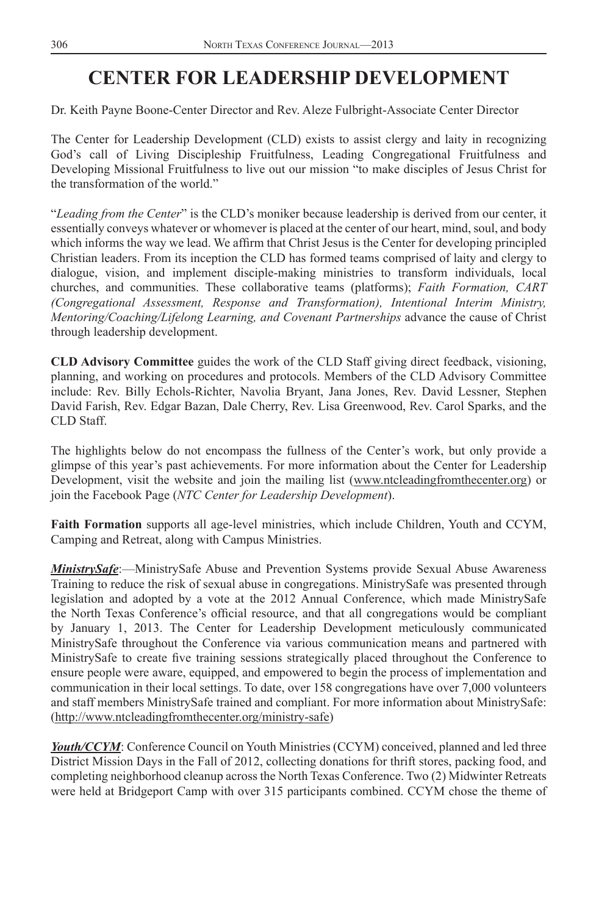### <span id="page-4-0"></span>**CENTER FOR LEADERSHIP DEVELOPMENT**

Dr. Keith Payne Boone-Center Director and Rev. Aleze Fulbright-Associate Center Director

The Center for Leadership Development (CLD) exists to assist clergy and laity in recognizing God's call of Living Discipleship Fruitfulness, Leading Congregational Fruitfulness and Developing Missional Fruitfulness to live out our mission "to make disciples of Jesus Christ for the transformation of the world."

"*Leading from the Center*" is the CLD's moniker because leadership is derived from our center, it essentially conveys whatever or whomever is placed at the center of our heart, mind, soul, and body which informs the way we lead. We affirm that Christ Jesus is the Center for developing principled Christian leaders. From its inception the CLD has formed teams comprised of laity and clergy to dialogue, vision, and implement disciple-making ministries to transform individuals, local churches, and communities. These collaborative teams (platforms); *Faith Formation, CART (Congregational Assessment, Response and Transformation), Intentional Interim Ministry, Mentoring/Coaching/Lifelong Learning, and Covenant Partnerships* advance the cause of Christ through leadership development.

**CLD Advisory Committee** guides the work of the CLD Staff giving direct feedback, visioning, planning, and working on procedures and protocols. Members of the CLD Advisory Committee include: Rev. Billy Echols-Richter, Navolia Bryant, Jana Jones, Rev. David Lessner, Stephen David Farish, Rev. Edgar Bazan, Dale Cherry, Rev. Lisa Greenwood, Rev. Carol Sparks, and the CLD Staff.

The highlights below do not encompass the fullness of the Center's work, but only provide a glimpse of this year's past achievements. For more information about the Center for Leadership Development, visit the website and join the mailing list (www.ntcleadingfromthecenter.org) or join the Facebook Page (*NTC Center for Leadership Development*).

**Faith Formation** supports all age-level ministries, which include Children, Youth and CCYM, Camping and Retreat, along with Campus Ministries.

*MinistrySafe*:—MinistrySafe Abuse and Prevention Systems provide Sexual Abuse Awareness Training to reduce the risk of sexual abuse in congregations. MinistrySafe was presented through legislation and adopted by a vote at the 2012 Annual Conference, which made MinistrySafe the North Texas Conference's official resource, and that all congregations would be compliant by January 1, 2013. The Center for Leadership Development meticulously communicated MinistrySafe throughout the Conference via various communication means and partnered with MinistrySafe to create five training sessions strategically placed throughout the Conference to ensure people were aware, equipped, and empowered to begin the process of implementation and communication in their local settings. To date, over 158 congregations have over 7,000 volunteers and staff members MinistrySafe trained and compliant. For more information about MinistrySafe: (http://www.ntcleadingfromthecenter.org/ministry-safe)

*Youth/CCYM*: Conference Council on Youth Ministries (CCYM) conceived, planned and led three District Mission Days in the Fall of 2012, collecting donations for thrift stores, packing food, and completing neighborhood cleanup across the North Texas Conference. Two (2) Midwinter Retreats were held at Bridgeport Camp with over 315 participants combined. CCYM chose the theme of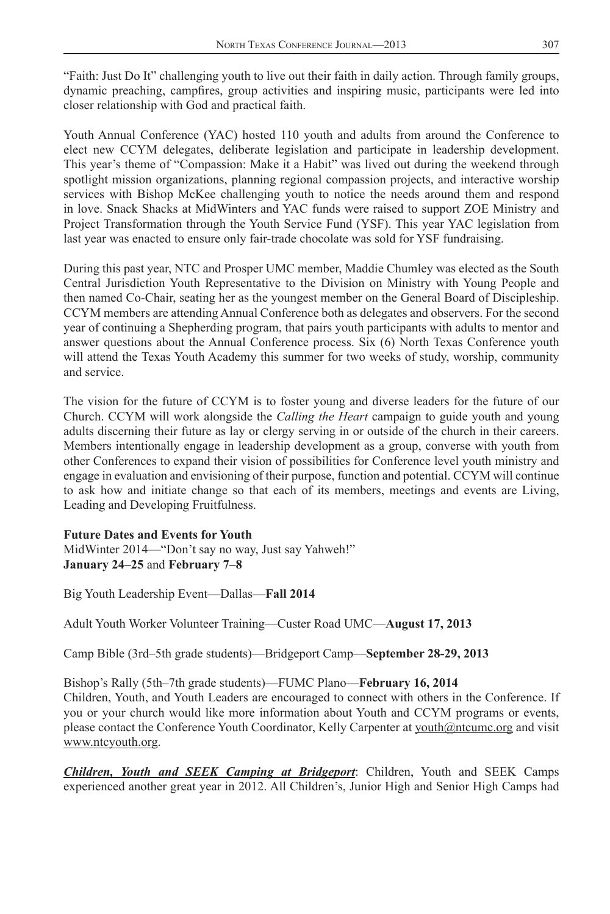"Faith: Just Do It" challenging youth to live out their faith in daily action. Through family groups, dynamic preaching, campfires, group activities and inspiring music, participants were led into closer relationship with God and practical faith.

Youth Annual Conference (YAC) hosted 110 youth and adults from around the Conference to elect new CCYM delegates, deliberate legislation and participate in leadership development. This year's theme of "Compassion: Make it a Habit" was lived out during the weekend through spotlight mission organizations, planning regional compassion projects, and interactive worship services with Bishop McKee challenging youth to notice the needs around them and respond in love. Snack Shacks at MidWinters and YAC funds were raised to support ZOE Ministry and Project Transformation through the Youth Service Fund (YSF). This year YAC legislation from last year was enacted to ensure only fair-trade chocolate was sold for YSF fundraising.

During this past year, NTC and Prosper UMC member, Maddie Chumley was elected as the South Central Jurisdiction Youth Representative to the Division on Ministry with Young People and then named Co-Chair, seating her as the youngest member on the General Board of Discipleship. CCYM members are attending Annual Conference both as delegates and observers. For the second year of continuing a Shepherding program, that pairs youth participants with adults to mentor and answer questions about the Annual Conference process. Six (6) North Texas Conference youth will attend the Texas Youth Academy this summer for two weeks of study, worship, community and service.

The vision for the future of CCYM is to foster young and diverse leaders for the future of our Church. CCYM will work alongside the *Calling the Heart* campaign to guide youth and young adults discerning their future as lay or clergy serving in or outside of the church in their careers. Members intentionally engage in leadership development as a group, converse with youth from other Conferences to expand their vision of possibilities for Conference level youth ministry and engage in evaluation and envisioning of their purpose, function and potential. CCYM will continue to ask how and initiate change so that each of its members, meetings and events are Living, Leading and Developing Fruitfulness.

#### **Future Dates and Events for Youth**

MidWinter 2014—"Don't say no way, Just say Yahweh!" **January 24–25** and **February 7–8**

Big Youth Leadership Event—Dallas—**Fall 2014**

Adult Youth Worker Volunteer Training—Custer Road UMC—**August 17, 2013**

Camp Bible (3rd–5th grade students)—Bridgeport Camp—**September 28-29, 2013**

Bishop's Rally (5th–7th grade students)—FUMC Plano—**February 16, 2014**

Children, Youth, and Youth Leaders are encouraged to connect with others in the Conference. If you or your church would like more information about Youth and CCYM programs or events, please contact the Conference Youth Coordinator, Kelly Carpenter at youth@ntcumc.org and visit www.ntcyouth.org.

*Children, Youth and SEEK Camping at Bridgeport*: Children, Youth and SEEK Camps experienced another great year in 2012. All Children's, Junior High and Senior High Camps had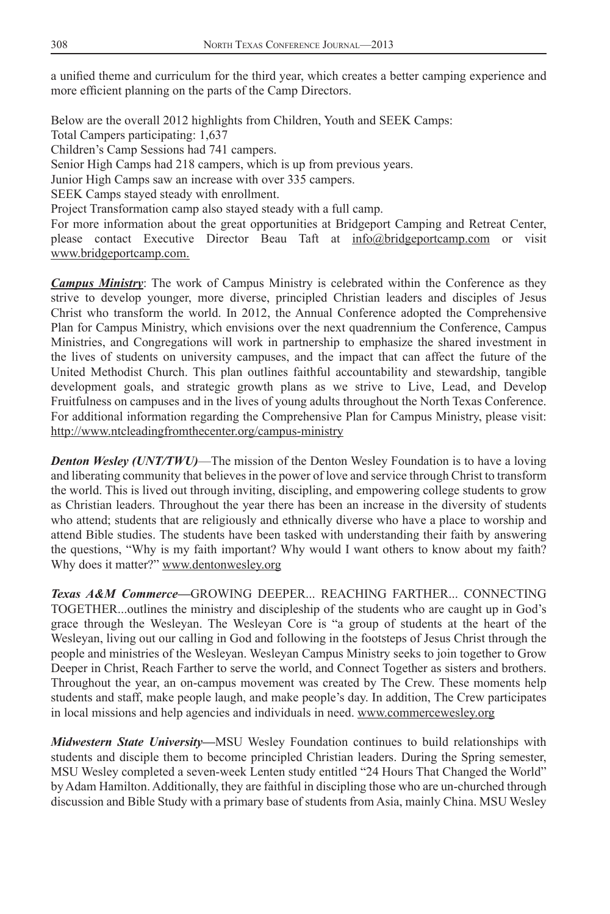a unified theme and curriculum for the third year, which creates a better camping experience and more efficient planning on the parts of the Camp Directors.

Below are the overall 2012 highlights from Children, Youth and SEEK Camps:

Total Campers participating: 1,637

Children's Camp Sessions had 741 campers.

Senior High Camps had 218 campers, which is up from previous years.

Junior High Camps saw an increase with over 335 campers.

SEEK Camps stayed steady with enrollment.

Project Transformation camp also stayed steady with a full camp.

For more information about the great opportunities at Bridgeport Camping and Retreat Center, please contact Executive Director Beau Taft at info@bridgeportcamp.com or visit www.bridgeportcamp.com.

*Campus Ministry*: The work of Campus Ministry is celebrated within the Conference as they strive to develop younger, more diverse, principled Christian leaders and disciples of Jesus Christ who transform the world. In 2012, the Annual Conference adopted the Comprehensive Plan for Campus Ministry, which envisions over the next quadrennium the Conference, Campus Ministries, and Congregations will work in partnership to emphasize the shared investment in the lives of students on university campuses, and the impact that can affect the future of the United Methodist Church. This plan outlines faithful accountability and stewardship, tangible development goals, and strategic growth plans as we strive to Live, Lead, and Develop Fruitfulness on campuses and in the lives of young adults throughout the North Texas Conference. For additional information regarding the Comprehensive Plan for Campus Ministry, please visit: http://www.ntcleadingfromthecenter.org/campus-ministry

*Denton Wesley (UNT/TWU)*—The mission of the Denton Wesley Foundation is to have a loving and liberating community that believes in the power of love and service through Christ to transform the world. This is lived out through inviting, discipling, and empowering college students to grow as Christian leaders. Throughout the year there has been an increase in the diversity of students who attend; students that are religiously and ethnically diverse who have a place to worship and attend Bible studies. The students have been tasked with understanding their faith by answering the questions, "Why is my faith important? Why would I want others to know about my faith? Why does it matter?" www.dentonwesley.org

*Texas A&M Commerce—*GROWING DEEPER... REACHING FARTHER... CONNECTING TOGETHER...outlines the ministry and discipleship of the students who are caught up in God's grace through the Wesleyan. The Wesleyan Core is "a group of students at the heart of the Wesleyan, living out our calling in God and following in the footsteps of Jesus Christ through the people and ministries of the Wesleyan. Wesleyan Campus Ministry seeks to join together to Grow Deeper in Christ, Reach Farther to serve the world, and Connect Together as sisters and brothers. Throughout the year, an on-campus movement was created by The Crew. These moments help students and staff, make people laugh, and make people's day. In addition, The Crew participates in local missions and help agencies and individuals in need. www.commercewesley.org

*Midwestern State University—*MSU Wesley Foundation continues to build relationships with students and disciple them to become principled Christian leaders. During the Spring semester, MSU Wesley completed a seven-week Lenten study entitled "24 Hours That Changed the World" by Adam Hamilton. Additionally, they are faithful in discipling those who are un-churched through discussion and Bible Study with a primary base of students from Asia, mainly China. MSU Wesley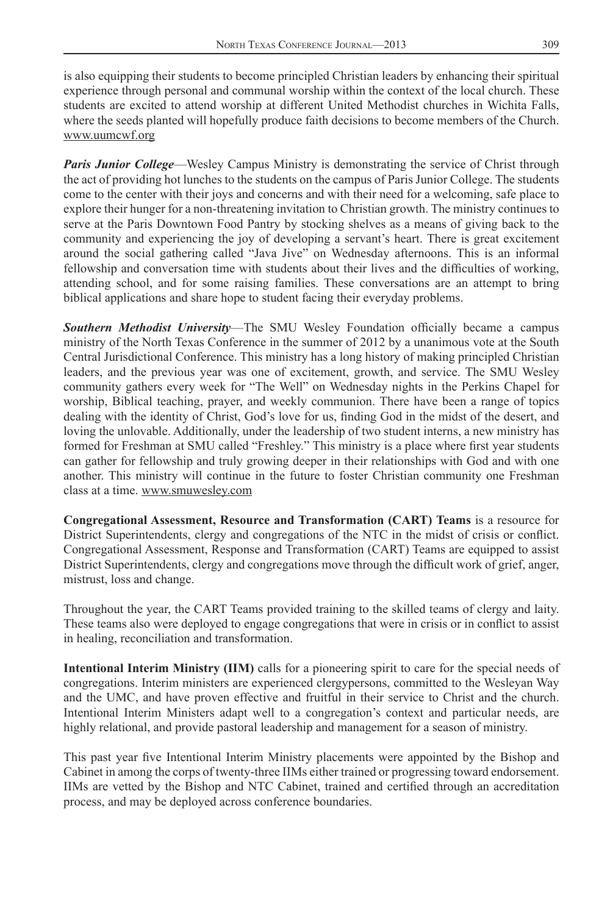is also equipping their students to become principled Christian leaders by enhancing their spiritual experience through personal and communal worship within the context of the local church. These students are excited to attend worship at different United Methodist churches in Wichita Falls, where the seeds planted will hopefully produce faith decisions to become members of the Church. www.uumcwf.org

*Paris Junior College*—Wesley Campus Ministry is demonstrating the service of Christ through the act of providing hot lunches to the students on the campus of Paris Junior College. The students come to the center with their joys and concerns and with their need for a welcoming, safe place to explore their hunger for a non-threatening invitation to Christian growth. The ministry continues to serve at the Paris Downtown Food Pantry by stocking shelves as a means of giving back to the community and experiencing the joy of developing a servant's heart. There is great excitement around the social gathering called "Java Jive" on Wednesday afternoons. This is an informal fellowship and conversation time with students about their lives and the difficulties of working, attending school, and for some raising families. These conversations are an attempt to bring biblical applications and share hope to student facing their everyday problems.

**Southern Methodist University—The SMU Wesley Foundation officially became a campus** ministry of the North Texas Conference in the summer of 2012 by a unanimous vote at the South Central Jurisdictional Conference. This ministry has a long history of making principled Christian leaders, and the previous year was one of excitement, growth, and service. The SMU Wesley community gathers every week for "The Well" on Wednesday nights in the Perkins Chapel for worship, Biblical teaching, prayer, and weekly communion. There have been a range of topics dealing with the identity of Christ, God's love for us, finding God in the midst of the desert, and loving the unlovable. Additionally, under the leadership of two student interns, a new ministry has formed for Freshman at SMU called "Freshley." This ministry is a place where first year students can gather for fellowship and truly growing deeper in their relationships with God and with one another. This ministry will continue in the future to foster Christian community one Freshman class at a time. www.smuwesley.com

**Congregational Assessment, Resource and Transformation (CART) Teams** is a resource for District Superintendents, clergy and congregations of the NTC in the midst of crisis or conflict. Congregational Assessment, Response and Transformation (CART) Teams are equipped to assist District Superintendents, clergy and congregations move through the difficult work of grief, anger, mistrust, loss and change.

Throughout the year, the CART Teams provided training to the skilled teams of clergy and laity. These teams also were deployed to engage congregations that were in crisis or in conflict to assist in healing, reconciliation and transformation.

**Intentional Interim Ministry (IIM)** calls for a pioneering spirit to care for the special needs of congregations. Interim ministers are experienced clergypersons, committed to the Wesleyan Way and the UMC, and have proven effective and fruitful in their service to Christ and the church. Intentional Interim Ministers adapt well to a congregation's context and particular needs, are highly relational, and provide pastoral leadership and management for a season of ministry.

This past year five Intentional Interim Ministry placements were appointed by the Bishop and Cabinet in among the corps of twenty-three IIMs either trained or progressing toward endorsement. IIMs are vetted by the Bishop and NTC Cabinet, trained and certified through an accreditation process, and may be deployed across conference boundaries.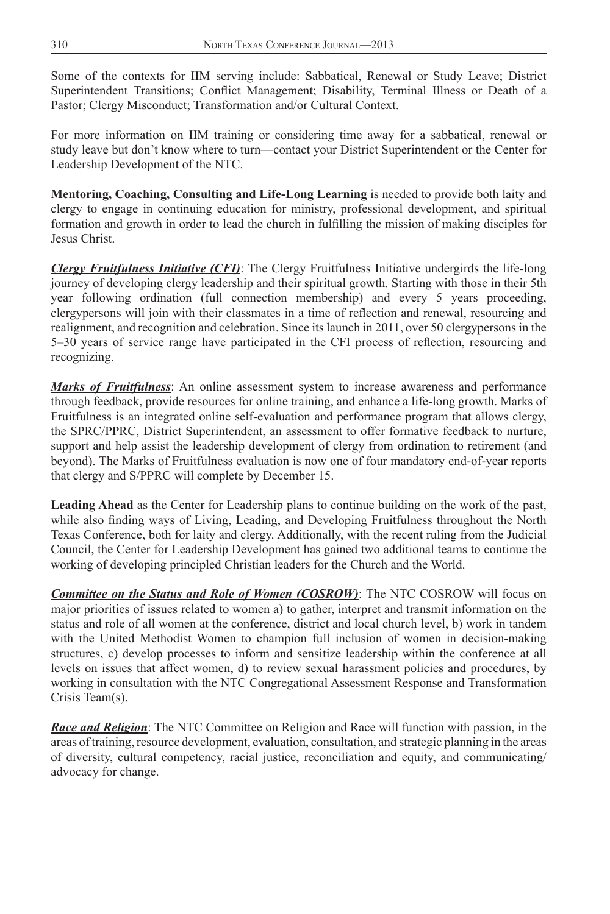Some of the contexts for IIM serving include: Sabbatical, Renewal or Study Leave; District Superintendent Transitions; Conflict Management; Disability, Terminal Illness or Death of a Pastor; Clergy Misconduct; Transformation and/or Cultural Context.

For more information on IIM training or considering time away for a sabbatical, renewal or study leave but don't know where to turn—contact your District Superintendent or the Center for Leadership Development of the NTC.

**Mentoring, Coaching, Consulting and Life-Long Learning** is needed to provide both laity and clergy to engage in continuing education for ministry, professional development, and spiritual formation and growth in order to lead the church in fulfilling the mission of making disciples for Jesus Christ.

*Clergy Fruitfulness Initiative (CFI)*: The Clergy Fruitfulness Initiative undergirds the life-long journey of developing clergy leadership and their spiritual growth. Starting with those in their 5th year following ordination (full connection membership) and every 5 years proceeding, clergypersons will join with their classmates in a time of reflection and renewal, resourcing and realignment, and recognition and celebration. Since its launch in 2011, over 50 clergypersons in the 5–30 years of service range have participated in the CFI process of reflection, resourcing and recognizing.

*Marks of Fruitfulness*: An online assessment system to increase awareness and performance through feedback, provide resources for online training, and enhance a life-long growth. Marks of Fruitfulness is an integrated online self-evaluation and performance program that allows clergy, the SPRC/PPRC, District Superintendent, an assessment to offer formative feedback to nurture, support and help assist the leadership development of clergy from ordination to retirement (and beyond). The Marks of Fruitfulness evaluation is now one of four mandatory end-of-year reports that clergy and S/PPRC will complete by December 15.

**Leading Ahead** as the Center for Leadership plans to continue building on the work of the past, while also finding ways of Living, Leading, and Developing Fruitfulness throughout the North Texas Conference, both for laity and clergy. Additionally, with the recent ruling from the Judicial Council, the Center for Leadership Development has gained two additional teams to continue the working of developing principled Christian leaders for the Church and the World.

*Committee on the Status and Role of Women (COSROW)*: The NTC COSROW will focus on major priorities of issues related to women a) to gather, interpret and transmit information on the status and role of all women at the conference, district and local church level, b) work in tandem with the United Methodist Women to champion full inclusion of women in decision-making structures, c) develop processes to inform and sensitize leadership within the conference at all levels on issues that affect women, d) to review sexual harassment policies and procedures, by working in consultation with the NTC Congregational Assessment Response and Transformation Crisis Team(s).

*Race and Religion*: The NTC Committee on Religion and Race will function with passion, in the areas of training, resource development, evaluation, consultation, and strategic planning in the areas of diversity, cultural competency, racial justice, reconciliation and equity, and communicating/ advocacy for change.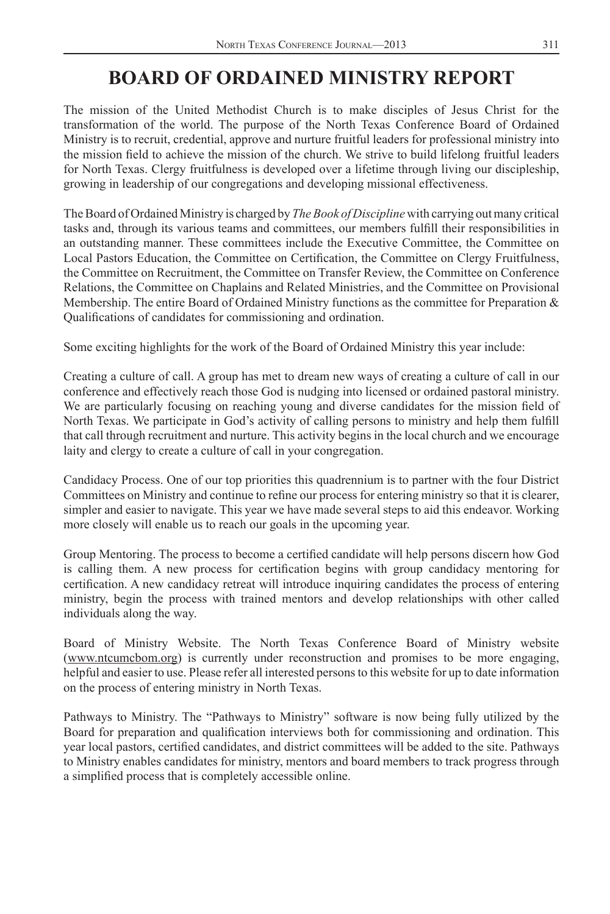## **BOARD OF ORDAINED MINISTRY REPORT**

<span id="page-9-0"></span>The mission of the United Methodist Church is to make disciples of Jesus Christ for the transformation of the world. The purpose of the North Texas Conference Board of Ordained Ministry is to recruit, credential, approve and nurture fruitful leaders for professional ministry into the mission field to achieve the mission of the church. We strive to build lifelong fruitful leaders for North Texas. Clergy fruitfulness is developed over a lifetime through living our discipleship, growing in leadership of our congregations and developing missional effectiveness.

The Board of Ordained Ministry is charged by *The Book of Discipline* with carrying out many critical tasks and, through its various teams and committees, our members fulfill their responsibilities in an outstanding manner. These committees include the Executive Committee, the Committee on Local Pastors Education, the Committee on Certification, the Committee on Clergy Fruitfulness, the Committee on Recruitment, the Committee on Transfer Review, the Committee on Conference Relations, the Committee on Chaplains and Related Ministries, and the Committee on Provisional Membership. The entire Board of Ordained Ministry functions as the committee for Preparation  $\&$ Qualifications of candidates for commissioning and ordination.

Some exciting highlights for the work of the Board of Ordained Ministry this year include:

Creating a culture of call. A group has met to dream new ways of creating a culture of call in our conference and effectively reach those God is nudging into licensed or ordained pastoral ministry. We are particularly focusing on reaching young and diverse candidates for the mission field of North Texas. We participate in God's activity of calling persons to ministry and help them fulfill that call through recruitment and nurture. This activity begins in the local church and we encourage laity and clergy to create a culture of call in your congregation.

Candidacy Process. One of our top priorities this quadrennium is to partner with the four District Committees on Ministry and continue to refine our process for entering ministry so that it is clearer, simpler and easier to navigate. This year we have made several steps to aid this endeavor. Working more closely will enable us to reach our goals in the upcoming year.

Group Mentoring. The process to become a certified candidate will help persons discern how God is calling them. A new process for certification begins with group candidacy mentoring for certification. A new candidacy retreat will introduce inquiring candidates the process of entering ministry, begin the process with trained mentors and develop relationships with other called individuals along the way.

Board of Ministry Website. The North Texas Conference Board of Ministry website (www.ntcumcbom.org) is currently under reconstruction and promises to be more engaging, helpful and easier to use. Please refer all interested persons to this website for up to date information on the process of entering ministry in North Texas.

Pathways to Ministry. The "Pathways to Ministry" software is now being fully utilized by the Board for preparation and qualification interviews both for commissioning and ordination. This year local pastors, certified candidates, and district committees will be added to the site. Pathways to Ministry enables candidates for ministry, mentors and board members to track progress through a simplified process that is completely accessible online.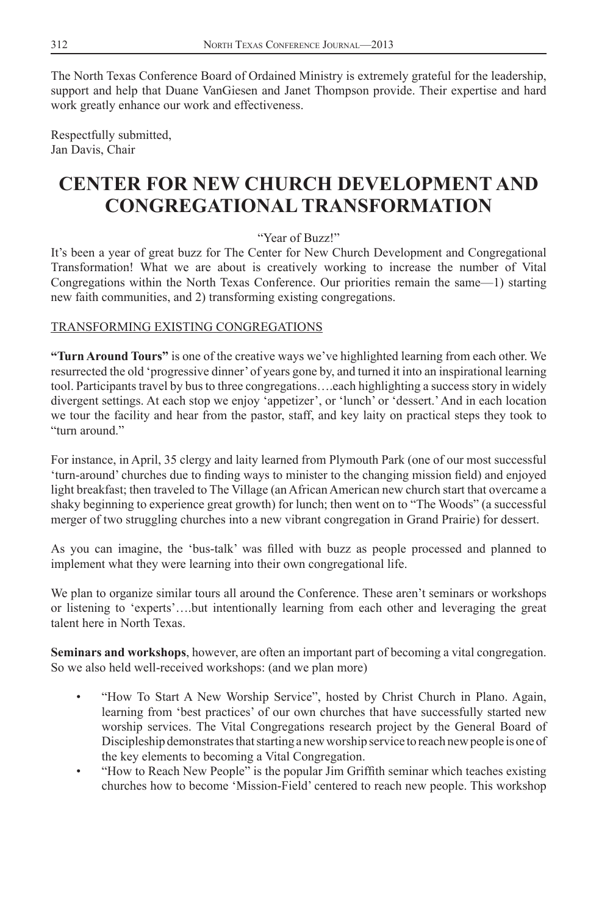<span id="page-10-0"></span>The North Texas Conference Board of Ordained Ministry is extremely grateful for the leadership, support and help that Duane VanGiesen and Janet Thompson provide. Their expertise and hard work greatly enhance our work and effectiveness.

Respectfully submitted, Jan Davis, Chair

## **CENTER FOR NEW CHURCH DEVELOPMENT AND CONGREGATIONAL TRANSFORMATION**

"Year of Buzz!"

It's been a year of great buzz for The Center for New Church Development and Congregational Transformation! What we are about is creatively working to increase the number of Vital Congregations within the North Texas Conference. Our priorities remain the same—1) starting new faith communities, and 2) transforming existing congregations.

### TRANSFORMING EXISTING CONGREGATIONS

**"Turn Around Tours"** is one of the creative ways we've highlighted learning from each other. We resurrected the old 'progressive dinner' of years gone by, and turned it into an inspirational learning tool. Participants travel by bus to three congregations….each highlighting a success story in widely divergent settings. At each stop we enjoy 'appetizer', or 'lunch' or 'dessert.' And in each location we tour the facility and hear from the pastor, staff, and key laity on practical steps they took to "turn around"

For instance, in April, 35 clergy and laity learned from Plymouth Park (one of our most successful 'turn-around' churches due to finding ways to minister to the changing mission field) and enjoyed light breakfast; then traveled to The Village (an African American new church start that overcame a shaky beginning to experience great growth) for lunch; then went on to "The Woods" (a successful merger of two struggling churches into a new vibrant congregation in Grand Prairie) for dessert.

As you can imagine, the 'bus-talk' was filled with buzz as people processed and planned to implement what they were learning into their own congregational life.

We plan to organize similar tours all around the Conference. These aren't seminars or workshops or listening to 'experts'….but intentionally learning from each other and leveraging the great talent here in North Texas.

**Seminars and workshops**, however, are often an important part of becoming a vital congregation. So we also held well-received workshops: (and we plan more)

- "How To Start A New Worship Service", hosted by Christ Church in Plano. Again, learning from 'best practices' of our own churches that have successfully started new worship services. The Vital Congregations research project by the General Board of Discipleship demonstrates that starting a new worship service to reach new people is one of the key elements to becoming a Vital Congregation.
- "How to Reach New People" is the popular Jim Griffith seminar which teaches existing churches how to become 'Mission-Field' centered to reach new people. This workshop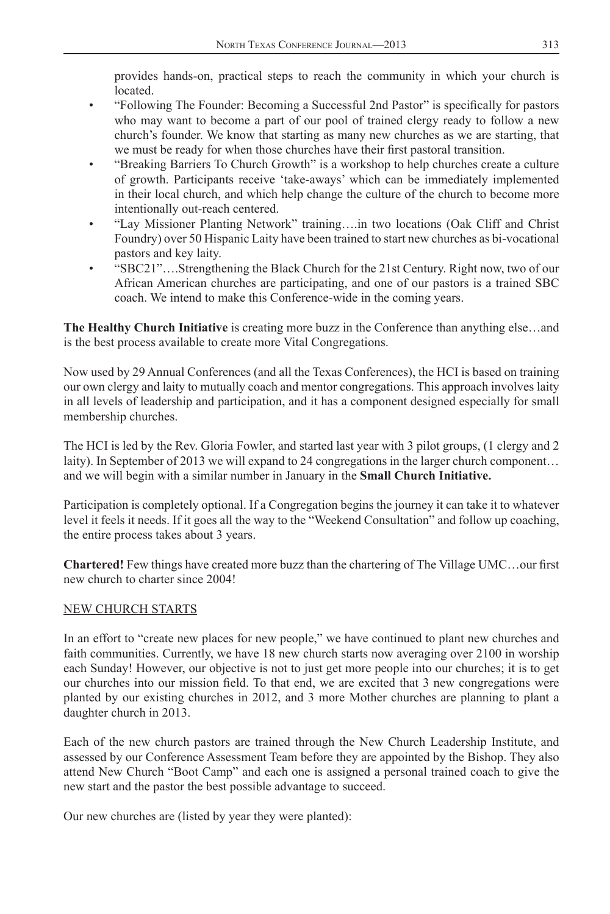provides hands-on, practical steps to reach the community in which your church is located.

- "Following The Founder: Becoming a Successful 2nd Pastor" is specifically for pastors who may want to become a part of our pool of trained clergy ready to follow a new church's founder. We know that starting as many new churches as we are starting, that we must be ready for when those churches have their first pastoral transition.
- "Breaking Barriers To Church Growth" is a workshop to help churches create a culture of growth. Participants receive 'take-aways' which can be immediately implemented in their local church, and which help change the culture of the church to become more intentionally out-reach centered.
- "Lay Missioner Planting Network" training….in two locations (Oak Cliff and Christ Foundry) over 50 Hispanic Laity have been trained to start new churches as bi-vocational pastors and key laity.
- "SBC21"….Strengthening the Black Church for the 21st Century. Right now, two of our African American churches are participating, and one of our pastors is a trained SBC coach. We intend to make this Conference-wide in the coming years.

**The Healthy Church Initiative** is creating more buzz in the Conference than anything else…and is the best process available to create more Vital Congregations.

Now used by 29 Annual Conferences (and all the Texas Conferences), the HCI is based on training our own clergy and laity to mutually coach and mentor congregations. This approach involves laity in all levels of leadership and participation, and it has a component designed especially for small membership churches.

The HCI is led by the Rev. Gloria Fowler, and started last year with 3 pilot groups, (1 clergy and 2 laity). In September of 2013 we will expand to 24 congregations in the larger church component… and we will begin with a similar number in January in the **Small Church Initiative.**

Participation is completely optional. If a Congregation begins the journey it can take it to whatever level it feels it needs. If it goes all the way to the "Weekend Consultation" and follow up coaching, the entire process takes about 3 years.

**Chartered!** Few things have created more buzz than the chartering of The Village UMC...our first new church to charter since 2004!

#### NEW CHURCH STARTS

In an effort to "create new places for new people," we have continued to plant new churches and faith communities. Currently, we have 18 new church starts now averaging over 2100 in worship each Sunday! However, our objective is not to just get more people into our churches; it is to get our churches into our mission field. To that end, we are excited that 3 new congregations were planted by our existing churches in 2012, and 3 more Mother churches are planning to plant a daughter church in 2013.

Each of the new church pastors are trained through the New Church Leadership Institute, and assessed by our Conference Assessment Team before they are appointed by the Bishop. They also attend New Church "Boot Camp" and each one is assigned a personal trained coach to give the new start and the pastor the best possible advantage to succeed.

Our new churches are (listed by year they were planted):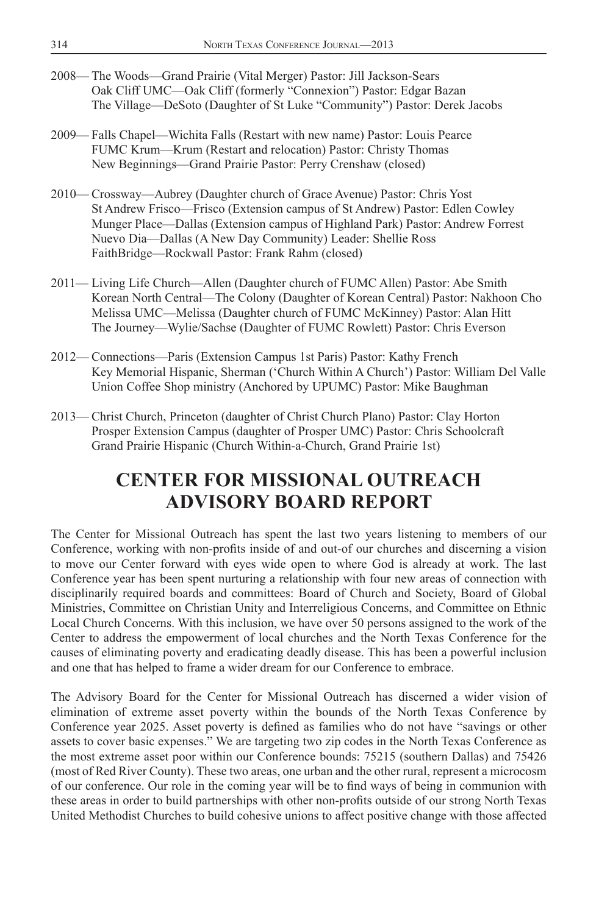- <span id="page-12-0"></span>2008— The Woods—Grand Prairie (Vital Merger) Pastor: Jill Jackson-Sears Oak Cliff UMC—Oak Cliff (formerly "Connexion") Pastor: Edgar Bazan The Village—DeSoto (Daughter of St Luke "Community") Pastor: Derek Jacobs
- 2009— Falls Chapel—Wichita Falls (Restart with new name) Pastor: Louis Pearce FUMC Krum—Krum (Restart and relocation) Pastor: Christy Thomas New Beginnings—Grand Prairie Pastor: Perry Crenshaw (closed)
- 2010— Crossway—Aubrey (Daughter church of Grace Avenue) Pastor: Chris Yost St Andrew Frisco—Frisco (Extension campus of St Andrew) Pastor: Edlen Cowley Munger Place—Dallas (Extension campus of Highland Park) Pastor: Andrew Forrest Nuevo Dia—Dallas (A New Day Community) Leader: Shellie Ross FaithBridge—Rockwall Pastor: Frank Rahm (closed)
- 2011— Living Life Church—Allen (Daughter church of FUMC Allen) Pastor: Abe Smith Korean North Central—The Colony (Daughter of Korean Central) Pastor: Nakhoon Cho Melissa UMC—Melissa (Daughter church of FUMC McKinney) Pastor: Alan Hitt The Journey—Wylie/Sachse (Daughter of FUMC Rowlett) Pastor: Chris Everson
- 2012— Connections—Paris (Extension Campus 1st Paris) Pastor: Kathy French Key Memorial Hispanic, Sherman ('Church Within A Church') Pastor: William Del Valle Union Coffee Shop ministry (Anchored by UPUMC) Pastor: Mike Baughman
- 2013— Christ Church, Princeton (daughter of Christ Church Plano) Pastor: Clay Horton Prosper Extension Campus (daughter of Prosper UMC) Pastor: Chris Schoolcraft Grand Prairie Hispanic (Church Within-a-Church, Grand Prairie 1st)

## **CENTER FOR MISSIONAL OUTREACH ADVISORY BOARD REPORT**

The Center for Missional Outreach has spent the last two years listening to members of our Conference, working with non-profits inside of and out-of our churches and discerning a vision to move our Center forward with eyes wide open to where God is already at work. The last Conference year has been spent nurturing a relationship with four new areas of connection with disciplinarily required boards and committees: Board of Church and Society, Board of Global Ministries, Committee on Christian Unity and Interreligious Concerns, and Committee on Ethnic Local Church Concerns. With this inclusion, we have over 50 persons assigned to the work of the Center to address the empowerment of local churches and the North Texas Conference for the causes of eliminating poverty and eradicating deadly disease. This has been a powerful inclusion and one that has helped to frame a wider dream for our Conference to embrace.

The Advisory Board for the Center for Missional Outreach has discerned a wider vision of elimination of extreme asset poverty within the bounds of the North Texas Conference by Conference year 2025. Asset poverty is defined as families who do not have "savings or other assets to cover basic expenses." We are targeting two zip codes in the North Texas Conference as the most extreme asset poor within our Conference bounds: 75215 (southern Dallas) and 75426 (most of Red River County). These two areas, one urban and the other rural, represent a microcosm of our conference. Our role in the coming year will be to find ways of being in communion with these areas in order to build partnerships with other non-profits outside of our strong North Texas United Methodist Churches to build cohesive unions to affect positive change with those affected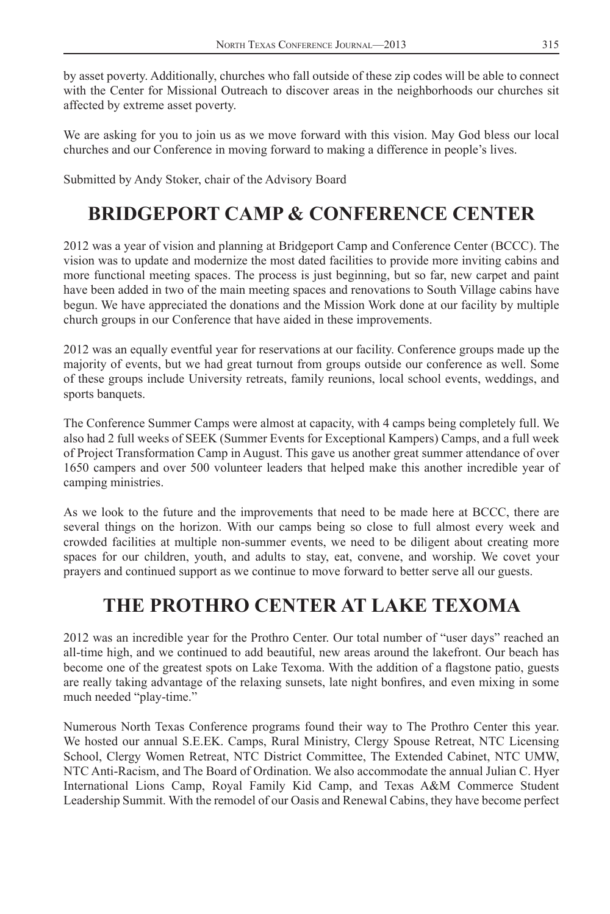<span id="page-13-0"></span>by asset poverty. Additionally, churches who fall outside of these zip codes will be able to connect with the Center for Missional Outreach to discover areas in the neighborhoods our churches sit affected by extreme asset poverty.

We are asking for you to join us as we move forward with this vision. May God bless our local churches and our Conference in moving forward to making a difference in people's lives.

Submitted by Andy Stoker, chair of the Advisory Board

## **BRIDGEPORT CAMP & CONFERENCE CENTER**

2012 was a year of vision and planning at Bridgeport Camp and Conference Center (BCCC). The vision was to update and modernize the most dated facilities to provide more inviting cabins and more functional meeting spaces. The process is just beginning, but so far, new carpet and paint have been added in two of the main meeting spaces and renovations to South Village cabins have begun. We have appreciated the donations and the Mission Work done at our facility by multiple church groups in our Conference that have aided in these improvements.

2012 was an equally eventful year for reservations at our facility. Conference groups made up the majority of events, but we had great turnout from groups outside our conference as well. Some of these groups include University retreats, family reunions, local school events, weddings, and sports banquets.

The Conference Summer Camps were almost at capacity, with 4 camps being completely full. We also had 2 full weeks of SEEK (Summer Events for Exceptional Kampers) Camps, and a full week of Project Transformation Camp in August. This gave us another great summer attendance of over 1650 campers and over 500 volunteer leaders that helped make this another incredible year of camping ministries.

As we look to the future and the improvements that need to be made here at BCCC, there are several things on the horizon. With our camps being so close to full almost every week and crowded facilities at multiple non-summer events, we need to be diligent about creating more spaces for our children, youth, and adults to stay, eat, convene, and worship. We covet your prayers and continued support as we continue to move forward to better serve all our guests.

## **THE PROTHRO CENTER AT LAKE TEXOMA**

2012 was an incredible year for the Prothro Center. Our total number of "user days" reached an all-time high, and we continued to add beautiful, new areas around the lakefront. Our beach has become one of the greatest spots on Lake Texoma. With the addition of a flagstone patio, guests are really taking advantage of the relaxing sunsets, late night bonfires, and even mixing in some much needed "play-time."

Numerous North Texas Conference programs found their way to The Prothro Center this year. We hosted our annual S.E.EK. Camps, Rural Ministry, Clergy Spouse Retreat, NTC Licensing School, Clergy Women Retreat, NTC District Committee, The Extended Cabinet, NTC UMW, NTC Anti-Racism, and The Board of Ordination. We also accommodate the annual Julian C. Hyer International Lions Camp, Royal Family Kid Camp, and Texas A&M Commerce Student Leadership Summit. With the remodel of our Oasis and Renewal Cabins, they have become perfect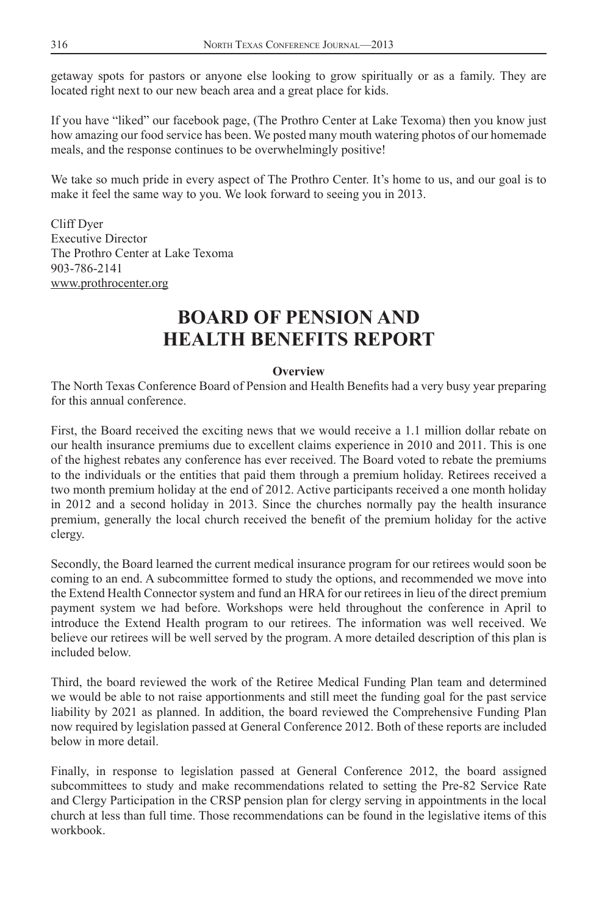<span id="page-14-0"></span>getaway spots for pastors or anyone else looking to grow spiritually or as a family. They are located right next to our new beach area and a great place for kids.

If you have "liked" our facebook page, (The Prothro Center at Lake Texoma) then you know just how amazing our food service has been. We posted many mouth watering photos of our homemade meals, and the response continues to be overwhelmingly positive!

We take so much pride in every aspect of The Prothro Center. It's home to us, and our goal is to make it feel the same way to you. We look forward to seeing you in 2013.

Cliff Dyer Executive Director The Prothro Center at Lake Texoma 903-786-2141 www.prothrocenter.org

## **BOARD OF PENSION AND HEALTH BENEFITS REPORT**

#### **Overview**

The North Texas Conference Board of Pension and Health Benefits had a very busy year preparing for this annual conference.

First, the Board received the exciting news that we would receive a 1.1 million dollar rebate on our health insurance premiums due to excellent claims experience in 2010 and 2011. This is one of the highest rebates any conference has ever received. The Board voted to rebate the premiums to the individuals or the entities that paid them through a premium holiday. Retirees received a two month premium holiday at the end of 2012. Active participants received a one month holiday in 2012 and a second holiday in 2013. Since the churches normally pay the health insurance premium, generally the local church received the benefit of the premium holiday for the active clergy.

Secondly, the Board learned the current medical insurance program for our retirees would soon be coming to an end. A subcommittee formed to study the options, and recommended we move into the Extend Health Connector system and fund an HRA for our retirees in lieu of the direct premium payment system we had before. Workshops were held throughout the conference in April to introduce the Extend Health program to our retirees. The information was well received. We believe our retirees will be well served by the program. A more detailed description of this plan is included below.

Third, the board reviewed the work of the Retiree Medical Funding Plan team and determined we would be able to not raise apportionments and still meet the funding goal for the past service liability by 2021 as planned. In addition, the board reviewed the Comprehensive Funding Plan now required by legislation passed at General Conference 2012. Both of these reports are included below in more detail.

Finally, in response to legislation passed at General Conference 2012, the board assigned subcommittees to study and make recommendations related to setting the Pre-82 Service Rate and Clergy Participation in the CRSP pension plan for clergy serving in appointments in the local church at less than full time. Those recommendations can be found in the legislative items of this workbook.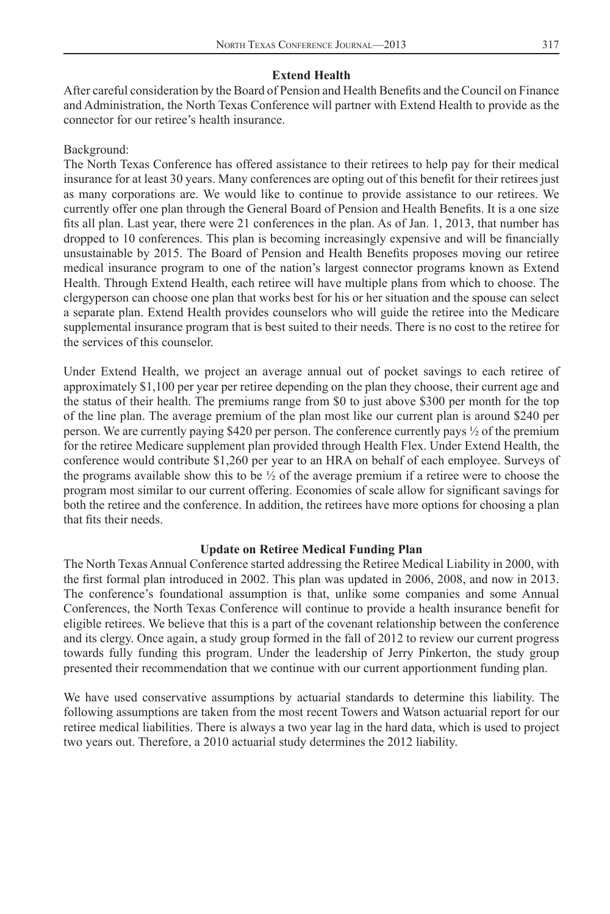#### **Extend Health**

After careful consideration by the Board of Pension and Health Benefits and the Council on Finance and Administration, the North Texas Conference will partner with Extend Health to provide as the connector for our retiree's health insurance.

#### Background:

The North Texas Conference has offered assistance to their retirees to help pay for their medical insurance for at least 30 years. Many conferences are opting out of this benefit for their retirees just as many corporations are. We would like to continue to provide assistance to our retirees. We currently offer one plan through the General Board of Pension and Health Benefits. It is a one size fits all plan. Last year, there were 21 conferences in the plan. As of Jan. 1, 2013, that number has dropped to 10 conferences. This plan is becoming increasingly expensive and will be financially unsustainable by 2015. The Board of Pension and Health Benefits proposes moving our retiree medical insurance program to one of the nation's largest connector programs known as Extend Health. Through Extend Health, each retiree will have multiple plans from which to choose. The clergyperson can choose one plan that works best for his or her situation and the spouse can select a separate plan. Extend Health provides counselors who will guide the retiree into the Medicare supplemental insurance program that is best suited to their needs. There is no cost to the retiree for the services of this counselor.

Under Extend Health, we project an average annual out of pocket savings to each retiree of approximately \$1,100 per year per retiree depending on the plan they choose, their current age and the status of their health. The premiums range from \$0 to just above \$300 per month for the top of the line plan. The average premium of the plan most like our current plan is around \$240 per person. We are currently paying \$420 per person. The conference currently pays ½ of the premium for the retiree Medicare supplement plan provided through Health Flex. Under Extend Health, the conference would contribute \$1,260 per year to an HRA on behalf of each employee. Surveys of the programs available show this to be  $\frac{1}{2}$  of the average premium if a retiree were to choose the program most similar to our current offering. Economies of scale allow for significant savings for both the retiree and the conference. In addition, the retirees have more options for choosing a plan that fits their needs.

#### **Update on Retiree Medical Funding Plan**

The North Texas Annual Conference started addressing the Retiree Medical Liability in 2000, with the first formal plan introduced in 2002. This plan was updated in 2006, 2008, and now in 2013. The conference's foundational assumption is that, unlike some companies and some Annual Conferences, the North Texas Conference will continue to provide a health insurance benefit for eligible retirees. We believe that this is a part of the covenant relationship between the conference and its clergy. Once again, a study group formed in the fall of 2012 to review our current progress towards fully funding this program. Under the leadership of Jerry Pinkerton, the study group presented their recommendation that we continue with our current apportionment funding plan.

We have used conservative assumptions by actuarial standards to determine this liability. The following assumptions are taken from the most recent Towers and Watson actuarial report for our retiree medical liabilities. There is always a two year lag in the hard data, which is used to project two years out. Therefore, a 2010 actuarial study determines the 2012 liability.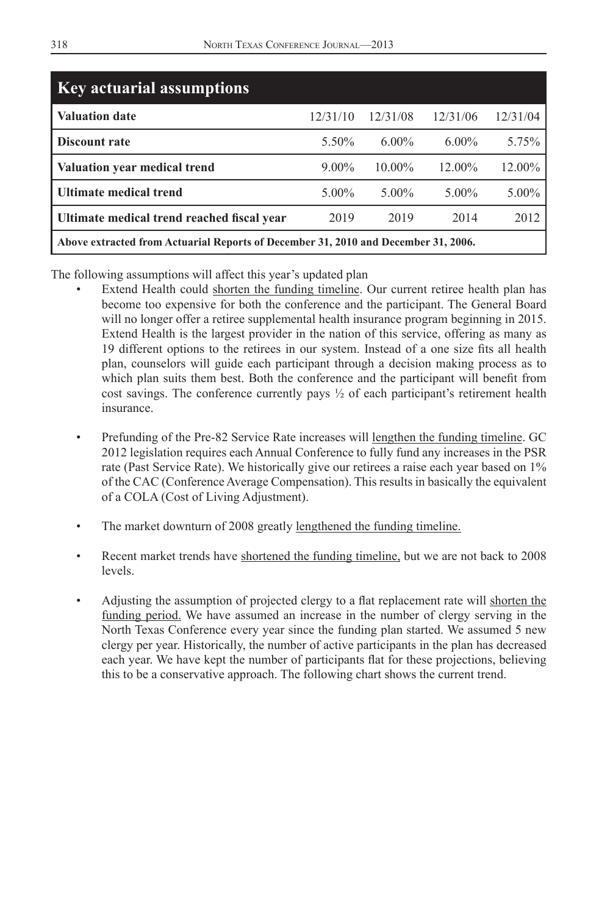| <b>Key actuarial assumptions</b>                                                   |          |          |          |          |
|------------------------------------------------------------------------------------|----------|----------|----------|----------|
| Valuation date                                                                     | 12/31/10 | 12/31/08 | 12/31/06 | 12/31/04 |
| <b>Discount rate</b>                                                               | 5.50%    | $6.00\%$ | $6.00\%$ | 5.75%    |
| Valuation year medical trend                                                       | $9.00\%$ | 10.00%   | 12.00%   | 12.00%   |
| Ultimate medical trend                                                             | $5.00\%$ | $5.00\%$ | $5.00\%$ | $5.00\%$ |
| Ultimate medical trend reached fiscal year                                         | 2019     | 2019     | 2014     | 2012     |
| Above extracted from Actuarial Reports of December 31, 2010 and December 31, 2006. |          |          |          |          |

The following assumptions will affect this year's updated plan

- Extend Health could shorten the funding timeline. Our current retiree health plan has become too expensive for both the conference and the participant. The General Board will no longer offer a retiree supplemental health insurance program beginning in 2015. Extend Health is the largest provider in the nation of this service, offering as many as 19 different options to the retirees in our system. Instead of a one size fits all health plan, counselors will guide each participant through a decision making process as to which plan suits them best. Both the conference and the participant will benefit from cost savings. The conference currently pays ½ of each participant's retirement health insurance.
- Prefunding of the Pre-82 Service Rate increases will lengthen the funding timeline. GC 2012 legislation requires each Annual Conference to fully fund any increases in the PSR rate (Past Service Rate). We historically give our retirees a raise each year based on 1% of the CAC (Conference Average Compensation). This results in basically the equivalent of a COLA (Cost of Living Adjustment).
- The market downturn of 2008 greatly lengthened the funding timeline.
- Recent market trends have shortened the funding timeline, but we are not back to 2008 levels.
- Adjusting the assumption of projected clergy to a flat replacement rate will shorten the funding period. We have assumed an increase in the number of clergy serving in the North Texas Conference every year since the funding plan started. We assumed 5 new clergy per year. Historically, the number of active participants in the plan has decreased each year. We have kept the number of participants flat for these projections, believing this to be a conservative approach. The following chart shows the current trend.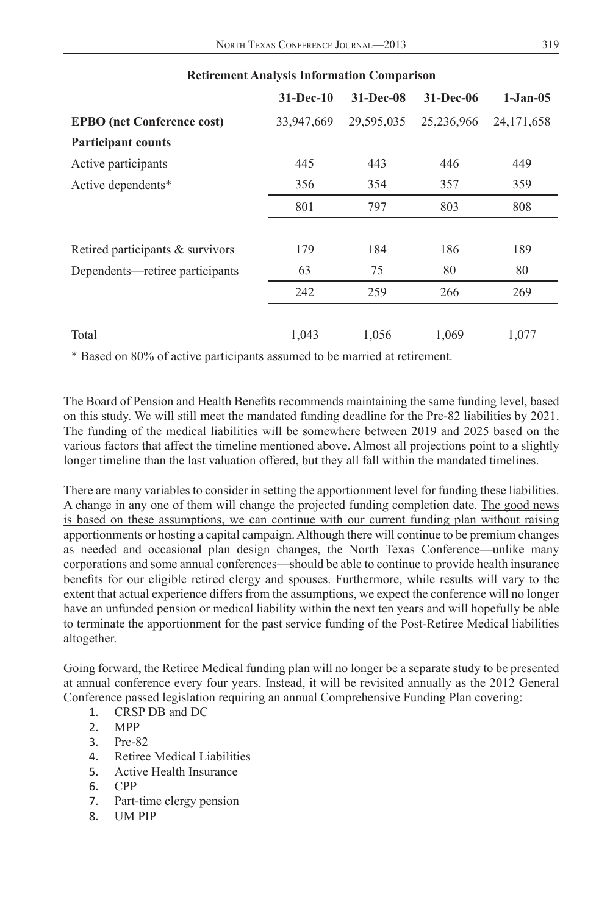|                                   | $31 - Dec-10$ | 31-Dec-08  | 31-Dec-06  | $1 - Jan - 05$ |
|-----------------------------------|---------------|------------|------------|----------------|
| <b>EPBO</b> (net Conference cost) | 33,947,669    | 29,595,035 | 25,236,966 | 24,171,658     |
| <b>Participant counts</b>         |               |            |            |                |
| Active participants               | 445           | 443        | 446        | 449            |
| Active dependents*                | 356           | 354        | 357        | 359            |
|                                   | 801           | 797        | 803        | 808            |
|                                   |               |            |            |                |
| Retired participants & survivors  | 179           | 184        | 186        | 189            |
| Dependents—retiree participants   | 63            | 75         | 80         | 80             |
|                                   | 242           | 259        | 266        | 269            |
| Total                             | 1.043         | 1.056      | 1.069      | 1,077          |

#### **Retirement Analysis Information Comparison**

\* Based on 80% of active participants assumed to be married at retirement.

The Board of Pension and Health Benefits recommends maintaining the same funding level, based on this study. We will still meet the mandated funding deadline for the Pre-82 liabilities by 2021. The funding of the medical liabilities will be somewhere between 2019 and 2025 based on the various factors that affect the timeline mentioned above. Almost all projections point to a slightly longer timeline than the last valuation offered, but they all fall within the mandated timelines.

There are many variables to consider in setting the apportionment level for funding these liabilities. A change in any one of them will change the projected funding completion date. The good news is based on these assumptions, we can continue with our current funding plan without raising apportionments or hosting a capital campaign. Although there will continue to be premium changes as needed and occasional plan design changes, the North Texas Conference—unlike many corporations and some annual conferences—should be able to continue to provide health insurance benefits for our eligible retired clergy and spouses. Furthermore, while results will vary to the extent that actual experience differs from the assumptions, we expect the conference will no longer have an unfunded pension or medical liability within the next ten years and will hopefully be able to terminate the apportionment for the past service funding of the Post-Retiree Medical liabilities altogether.

Going forward, the Retiree Medical funding plan will no longer be a separate study to be presented at annual conference every four years. Instead, it will be revisited annually as the 2012 General Conference passed legislation requiring an annual Comprehensive Funding Plan covering:

- 1. CRSP DB and DC
- 2. MPP
- 3. Pre-82
- 4. Retiree Medical Liabilities
- 5. Active Health Insurance
- 6. CPP
- 7. Part-time clergy pension
- 8. UM PIP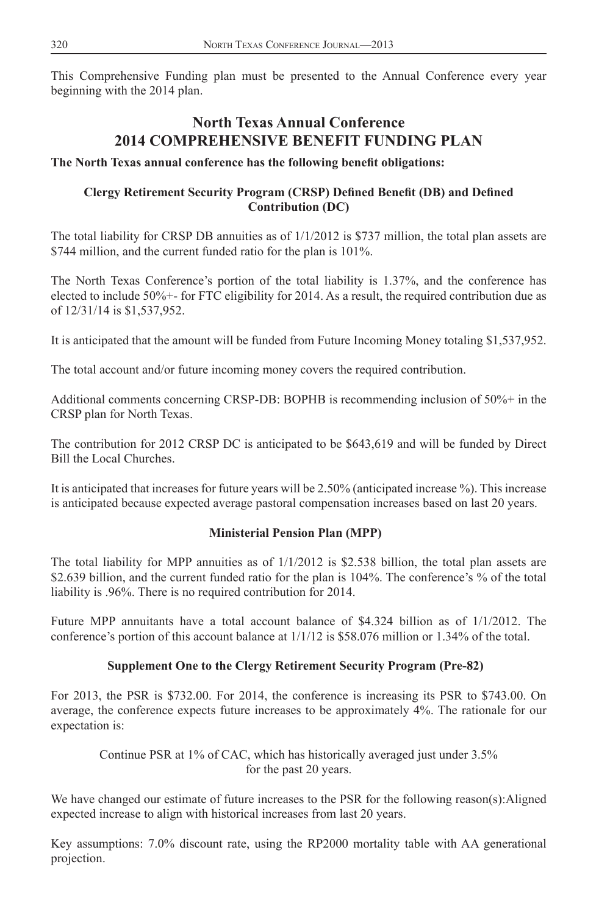<span id="page-18-0"></span>This Comprehensive Funding plan must be presented to the Annual Conference every year beginning with the 2014 plan.

### **North Texas Annual Conference 2014 COMPREHENSIVE BENEFIT FUNDING PLAN**

#### The North Texas annual conference has the following benefit obligations:

#### **Clergy Retirement Security Program (CRSP) Defined Benefit (DB) and Defined Contribution (DC)**

The total liability for CRSP DB annuities as of  $1/1/2012$  is \$737 million, the total plan assets are \$744 million, and the current funded ratio for the plan is 101%.

The North Texas Conference's portion of the total liability is 1.37%, and the conference has elected to include 50%+- for FTC eligibility for 2014. As a result, the required contribution due as of 12/31/14 is \$1,537,952.

It is anticipated that the amount will be funded from Future Incoming Money totaling \$1,537,952.

The total account and/or future incoming money covers the required contribution.

Additional comments concerning CRSP-DB: BOPHB is recommending inclusion of 50%+ in the CRSP plan for North Texas.

The contribution for 2012 CRSP DC is anticipated to be \$643,619 and will be funded by Direct Bill the Local Churches.

It is anticipated that increases for future years will be 2.50% (anticipated increase %). This increase is anticipated because expected average pastoral compensation increases based on last 20 years.

#### **Ministerial Pension Plan (MPP)**

The total liability for MPP annuities as of 1/1/2012 is \$2.538 billion, the total plan assets are \$2.639 billion, and the current funded ratio for the plan is 104%. The conference's % of the total liability is .96%. There is no required contribution for 2014.

Future MPP annuitants have a total account balance of \$4.324 billion as of 1/1/2012. The conference's portion of this account balance at 1/1/12 is \$58.076 million or 1.34% of the total.

#### **Supplement One to the Clergy Retirement Security Program (Pre-82)**

For 2013, the PSR is \$732.00. For 2014, the conference is increasing its PSR to \$743.00. On average, the conference expects future increases to be approximately 4%. The rationale for our expectation is:

Continue PSR at 1% of CAC, which has historically averaged just under 3.5% for the past 20 years.

We have changed our estimate of future increases to the PSR for the following reason(s):Aligned expected increase to align with historical increases from last 20 years.

Key assumptions: 7.0% discount rate, using the RP2000 mortality table with AA generational projection.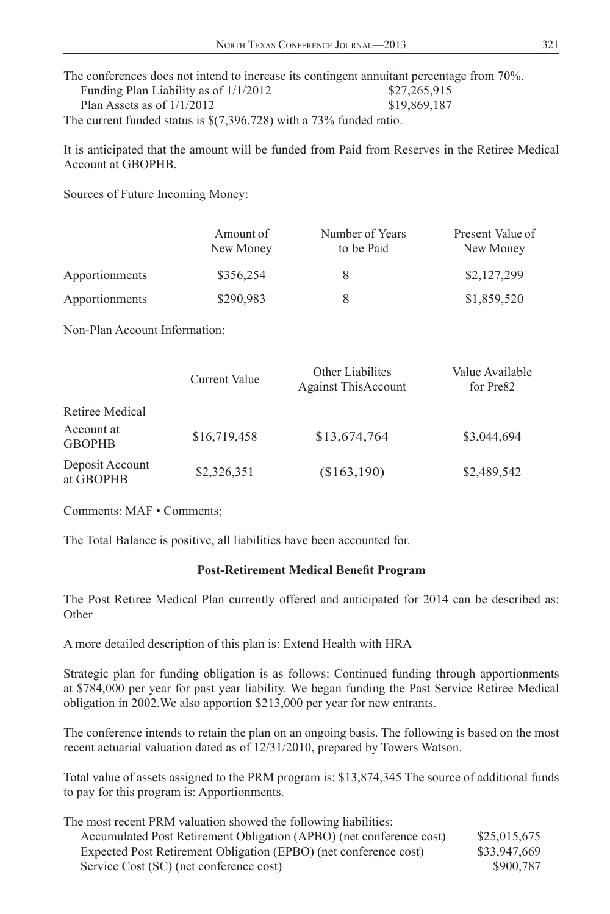The conferences does not intend to increase its contingent annuitant percentage from 70%. Funding Plan Liability as of  $1/1/2012$  \$27,265,915 Plan Assets as of  $1/1/2012$  \$19,869,187 The current funded status is \$(7,396,728) with a 73% funded ratio.

It is anticipated that the amount will be funded from Paid from Reserves in the Retiree Medical Account at GBOPHB.

Sources of Future Incoming Money:

|                | Amount of<br>New Money | Number of Years<br>to be Paid | Present Value of<br>New Money |
|----------------|------------------------|-------------------------------|-------------------------------|
| Apportionments | \$356,254              | 8                             | \$2,127,299                   |
| Apportionments | \$290,983              | 8                             | \$1,859,520                   |

Non-Plan Account Information:

|                              | Current Value | Other Liabilites<br><b>Against This Account</b> | Value Available<br>for Pre <sub>82</sub> |
|------------------------------|---------------|-------------------------------------------------|------------------------------------------|
| Retiree Medical              |               |                                                 |                                          |
| Account at<br><b>GBOPHB</b>  | \$16,719,458  | \$13,674,764                                    | \$3,044,694                              |
| Deposit Account<br>at GBOPHB | \$2,326,351   | (\$163,190)                                     | \$2,489,542                              |

Comments: MAF • Comments;

The Total Balance is positive, all liabilities have been accounted for.

#### **Post-Retirement Medical Benefit Program**

The Post Retiree Medical Plan currently offered and anticipated for 2014 can be described as: **Other** 

A more detailed description of this plan is: Extend Health with HRA

Strategic plan for funding obligation is as follows: Continued funding through apportionments at \$784,000 per year for past year liability. We began funding the Past Service Retiree Medical obligation in 2002.We also apportion \$213,000 per year for new entrants.

The conference intends to retain the plan on an ongoing basis. The following is based on the most recent actuarial valuation dated as of 12/31/2010, prepared by Towers Watson.

Total value of assets assigned to the PRM program is: \$13,874,345 The source of additional funds to pay for this program is: Apportionments.

| The most recent PRM valuation showed the following liabilities:     |              |
|---------------------------------------------------------------------|--------------|
| Accumulated Post Retirement Obligation (APBO) (net conference cost) | \$25,015,675 |
| Expected Post Retirement Obligation (EPBO) (net conference cost)    | \$33,947,669 |
| Service Cost (SC) (net conference cost)                             | \$900.787    |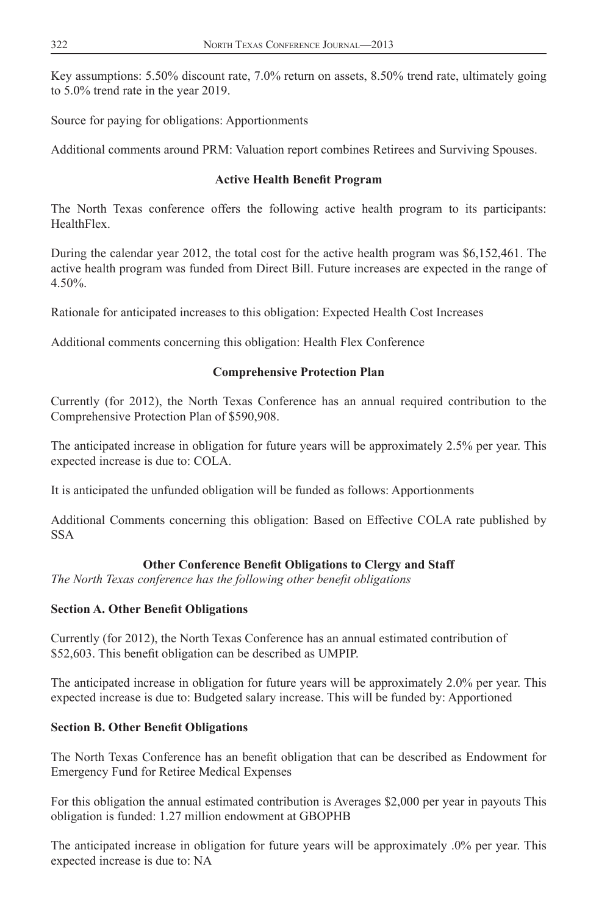Key assumptions: 5.50% discount rate, 7.0% return on assets, 8.50% trend rate, ultimately going to 5.0% trend rate in the year 2019.

Source for paying for obligations: Apportionments

Additional comments around PRM: Valuation report combines Retirees and Surviving Spouses.

#### **Active Health Benefit Program**

The North Texas conference offers the following active health program to its participants: HealthFlex.

During the calendar year 2012, the total cost for the active health program was \$6,152,461. The active health program was funded from Direct Bill. Future increases are expected in the range of 4.50%.

Rationale for anticipated increases to this obligation: Expected Health Cost Increases

Additional comments concerning this obligation: Health Flex Conference

#### **Comprehensive Protection Plan**

Currently (for 2012), the North Texas Conference has an annual required contribution to the Comprehensive Protection Plan of \$590,908.

The anticipated increase in obligation for future years will be approximately 2.5% per year. This expected increase is due to: COLA.

It is anticipated the unfunded obligation will be funded as follows: Apportionments

Additional Comments concerning this obligation: Based on Effective COLA rate published by SSA

#### **Other Conference Benefit Obligations to Clergy and Staff**

*The North Texas conference has the following other benefi t obligations*

#### **Section A. Other Benefit Obligations**

Currently (for 2012), the North Texas Conference has an annual estimated contribution of \$52,603. This benefit obligation can be described as UMPIP.

The anticipated increase in obligation for future years will be approximately 2.0% per year. This expected increase is due to: Budgeted salary increase. This will be funded by: Apportioned

#### **Section B. Other Benefit Obligations**

The North Texas Conference has an benefit obligation that can be described as Endowment for Emergency Fund for Retiree Medical Expenses

For this obligation the annual estimated contribution is Averages \$2,000 per year in payouts This obligation is funded: 1.27 million endowment at GBOPHB

The anticipated increase in obligation for future years will be approximately .0% per year. This expected increase is due to: NA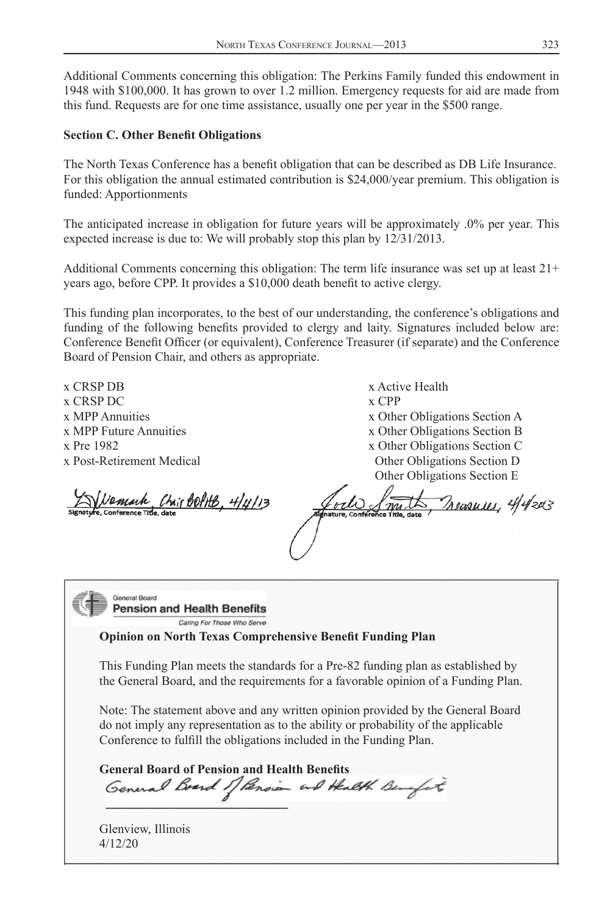Additional Comments concerning this obligation: The Perkins Family funded this endowment in 1948 with \$100,000. It has grown to over 1.2 million. Emergency requests for aid are made from this fund. Requests are for one time assistance, usually one per year in the \$500 range.

#### **Section C. Other Benefit Obligations**

The North Texas Conference has a benefi t obligation that can be described as DB Life Insurance. For this obligation the annual estimated contribution is \$24,000/year premium. This obligation is funded: Apportionments

The anticipated increase in obligation for future years will be approximately .0% per year. This expected increase is due to: We will probably stop this plan by 12/31/2013.

Additional Comments concerning this obligation: The term life insurance was set up at least 21+ years ago, before CPP. It provides a \$10,000 death benefit to active clergy.

This funding plan incorporates, to the best of our understanding, the conference's obligations and funding of the following benefits provided to clergy and laity. Signatures included below are: Conference Benefit Officer (or equivalent), Conference Treasurer (if separate) and the Conference Board of Pension Chair, and others as appropriate.

x CRSP DB x Active Health x CRSP DC  $\overline{\mathbf{x}}$  CRSP DC

x MPP Annuities x Other Obligations Section A x MPP Future Annuities x Other Obligations Section B x Pre 1982 x Other Obligations Section C x Post-Retirement Medical Other Obligations Section D Other Obligations Section E

Vemach Chair BottB, 4/4/13

Preasures, 4/4/2013 odo

General Board **Pension and Health Benefits** 

Caring For Those Who Serve

**Opinion on North Texas Comprehensive Benefit Funding Plan** 

This Funding Plan meets the standards for a Pre-82 funding plan as established by the General Board, and the requirements for a favorable opinion of a Funding Plan.

Note: The statement above and any written opinion provided by the General Board do not imply any representation as to the ability or probability of the applicable Conference to fulfill the obligations included in the Funding Plan.

General Board of Pension and Health Benefits<br>*General Board 1] Pension ind Health Benefit* 

Glenview, Illinois 4/12/20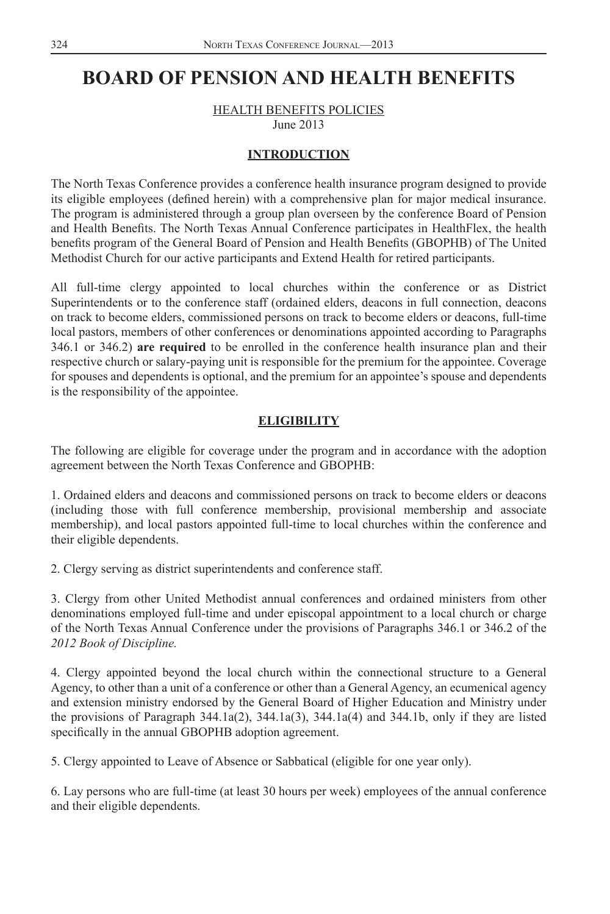### <span id="page-22-0"></span>**BOARD OF PENSION AND HEALTH BENEFITS**

HEALTH BENEFITS POLICIES

June 2013

#### **INTRODUCTION**

The North Texas Conference provides a conference health insurance program designed to provide its eligible employees (defined herein) with a comprehensive plan for major medical insurance. The program is administered through a group plan overseen by the conference Board of Pension and Health Benefits. The North Texas Annual Conference participates in HealthFlex, the health benefits program of the General Board of Pension and Health Benefits (GBOPHB) of The United Methodist Church for our active participants and Extend Health for retired participants.

All full-time clergy appointed to local churches within the conference or as District Superintendents or to the conference staff (ordained elders, deacons in full connection, deacons on track to become elders, commissioned persons on track to become elders or deacons, full-time local pastors, members of other conferences or denominations appointed according to Paragraphs 346.1 or 346.2) **are required** to be enrolled in the conference health insurance plan and their respective church or salary-paying unit is responsible for the premium for the appointee. Coverage for spouses and dependents is optional, and the premium for an appointee's spouse and dependents is the responsibility of the appointee.

#### **ELIGIBILITY**

The following are eligible for coverage under the program and in accordance with the adoption agreement between the North Texas Conference and GBOPHB:

1. Ordained elders and deacons and commissioned persons on track to become elders or deacons (including those with full conference membership, provisional membership and associate membership), and local pastors appointed full-time to local churches within the conference and their eligible dependents.

2. Clergy serving as district superintendents and conference staff.

3. Clergy from other United Methodist annual conferences and ordained ministers from other denominations employed full-time and under episcopal appointment to a local church or charge of the North Texas Annual Conference under the provisions of Paragraphs 346.1 or 346.2 of the *2012 Book of Discipline.*

4. Clergy appointed beyond the local church within the connectional structure to a General Agency, to other than a unit of a conference or other than a General Agency, an ecumenical agency and extension ministry endorsed by the General Board of Higher Education and Ministry under the provisions of Paragraph  $344.1a(2)$ ,  $344.1a(3)$ ,  $344.1a(4)$  and  $344.1b$ , only if they are listed specifically in the annual GBOPHB adoption agreement.

5. Clergy appointed to Leave of Absence or Sabbatical (eligible for one year only).

6. Lay persons who are full-time (at least 30 hours per week) employees of the annual conference and their eligible dependents.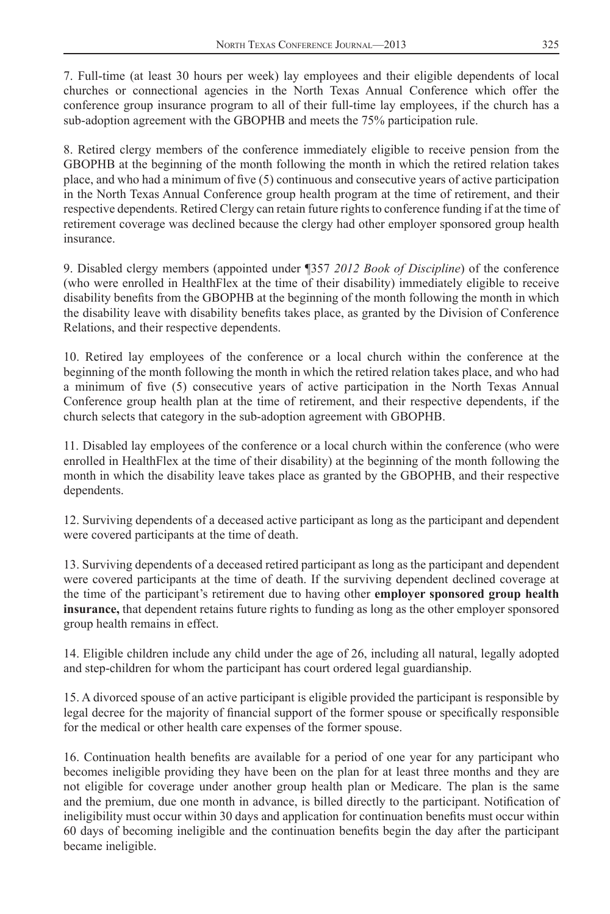7. Full-time (at least 30 hours per week) lay employees and their eligible dependents of local churches or connectional agencies in the North Texas Annual Conference which offer the conference group insurance program to all of their full-time lay employees, if the church has a sub-adoption agreement with the GBOPHB and meets the 75% participation rule.

8. Retired clergy members of the conference immediately eligible to receive pension from the GBOPHB at the beginning of the month following the month in which the retired relation takes place, and who had a minimum of five (5) continuous and consecutive years of active participation in the North Texas Annual Conference group health program at the time of retirement, and their respective dependents. Retired Clergy can retain future rights to conference funding if at the time of retirement coverage was declined because the clergy had other employer sponsored group health insurance.

9. Disabled clergy members (appointed under ¶357 *2012 Book of Discipline*) of the conference (who were enrolled in HealthFlex at the time of their disability) immediately eligible to receive disability benefits from the GBOPHB at the beginning of the month following the month in which the disability leave with disability benefits takes place, as granted by the Division of Conference Relations, and their respective dependents.

10. Retired lay employees of the conference or a local church within the conference at the beginning of the month following the month in which the retired relation takes place, and who had a minimum of five (5) consecutive years of active participation in the North Texas Annual Conference group health plan at the time of retirement, and their respective dependents, if the church selects that category in the sub-adoption agreement with GBOPHB.

11. Disabled lay employees of the conference or a local church within the conference (who were enrolled in HealthFlex at the time of their disability) at the beginning of the month following the month in which the disability leave takes place as granted by the GBOPHB, and their respective dependents.

12. Surviving dependents of a deceased active participant as long as the participant and dependent were covered participants at the time of death.

13. Surviving dependents of a deceased retired participant as long as the participant and dependent were covered participants at the time of death. If the surviving dependent declined coverage at the time of the participant's retirement due to having other **employer sponsored group health insurance,** that dependent retains future rights to funding as long as the other employer sponsored group health remains in effect.

14. Eligible children include any child under the age of 26, including all natural, legally adopted and step-children for whom the participant has court ordered legal guardianship.

15. A divorced spouse of an active participant is eligible provided the participant is responsible by legal decree for the majority of financial support of the former spouse or specifically responsible for the medical or other health care expenses of the former spouse.

16. Continuation health benefits are available for a period of one year for any participant who becomes ineligible providing they have been on the plan for at least three months and they are not eligible for coverage under another group health plan or Medicare. The plan is the same and the premium, due one month in advance, is billed directly to the participant. Notification of ineligibility must occur within 30 days and application for continuation benefits must occur within 60 days of becoming ineligible and the continuation benefits begin the day after the participant became ineligible.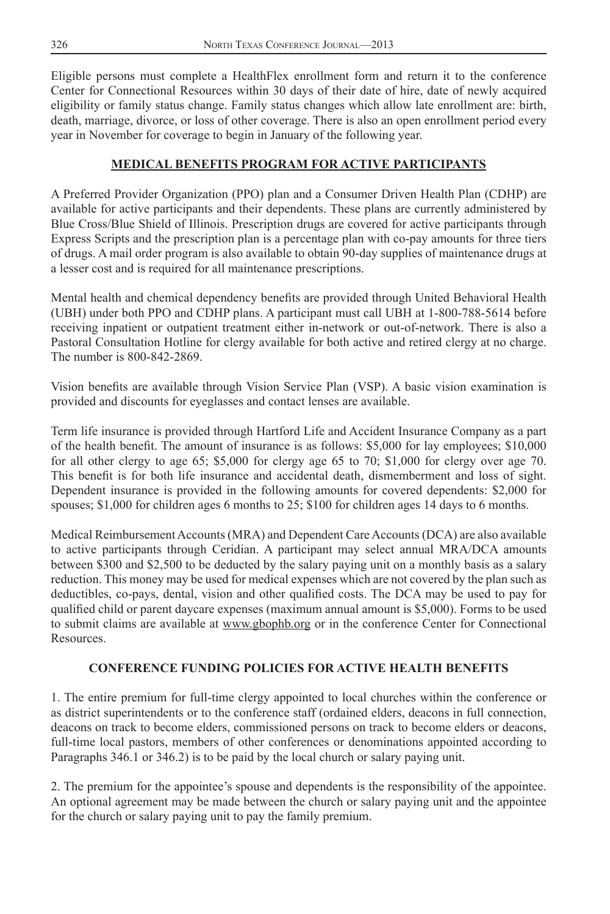Eligible persons must complete a HealthFlex enrollment form and return it to the conference Center for Connectional Resources within 30 days of their date of hire, date of newly acquired eligibility or family status change. Family status changes which allow late enrollment are: birth, death, marriage, divorce, or loss of other coverage. There is also an open enrollment period every year in November for coverage to begin in January of the following year.

### **MEDICAL BENEFITS PROGRAM FOR ACTIVE PARTICIPANTS**

A Preferred Provider Organization (PPO) plan and a Consumer Driven Health Plan (CDHP) are available for active participants and their dependents. These plans are currently administered by Blue Cross/Blue Shield of Illinois. Prescription drugs are covered for active participants through Express Scripts and the prescription plan is a percentage plan with co-pay amounts for three tiers of drugs. A mail order program is also available to obtain 90-day supplies of maintenance drugs at a lesser cost and is required for all maintenance prescriptions.

Mental health and chemical dependency benefits are provided through United Behavioral Health (UBH) under both PPO and CDHP plans. A participant must call UBH at 1-800-788-5614 before receiving inpatient or outpatient treatment either in-network or out-of-network. There is also a Pastoral Consultation Hotline for clergy available for both active and retired clergy at no charge. The number is 800-842-2869.

Vision benefits are available through Vision Service Plan (VSP). A basic vision examination is provided and discounts for eyeglasses and contact lenses are available.

Term life insurance is provided through Hartford Life and Accident Insurance Company as a part of the health benefit. The amount of insurance is as follows: \$5,000 for lay employees; \$10,000 for all other clergy to age 65; \$5,000 for clergy age 65 to 70; \$1,000 for clergy over age 70. This benefit is for both life insurance and accidental death, dismemberment and loss of sight. Dependent insurance is provided in the following amounts for covered dependents: \$2,000 for spouses; \$1,000 for children ages 6 months to 25; \$100 for children ages 14 days to 6 months.

Medical Reimbursement Accounts (MRA) and Dependent Care Accounts (DCA) are also available to active participants through Ceridian. A participant may select annual MRA/DCA amounts between \$300 and \$2,500 to be deducted by the salary paying unit on a monthly basis as a salary reduction. This money may be used for medical expenses which are not covered by the plan such as deductibles, co-pays, dental, vision and other qualified costs. The DCA may be used to pay for qualified child or parent daycare expenses (maximum annual amount is \$5,000). Forms to be used to submit claims are available at www.gbophb.org or in the conference Center for Connectional Resources.

#### **CONFERENCE FUNDING POLICIES FOR ACTIVE HEALTH BENEFITS**

1. The entire premium for full-time clergy appointed to local churches within the conference or as district superintendents or to the conference staff (ordained elders, deacons in full connection, deacons on track to become elders, commissioned persons on track to become elders or deacons, full-time local pastors, members of other conferences or denominations appointed according to Paragraphs 346.1 or 346.2) is to be paid by the local church or salary paying unit.

2. The premium for the appointee's spouse and dependents is the responsibility of the appointee. An optional agreement may be made between the church or salary paying unit and the appointee for the church or salary paying unit to pay the family premium.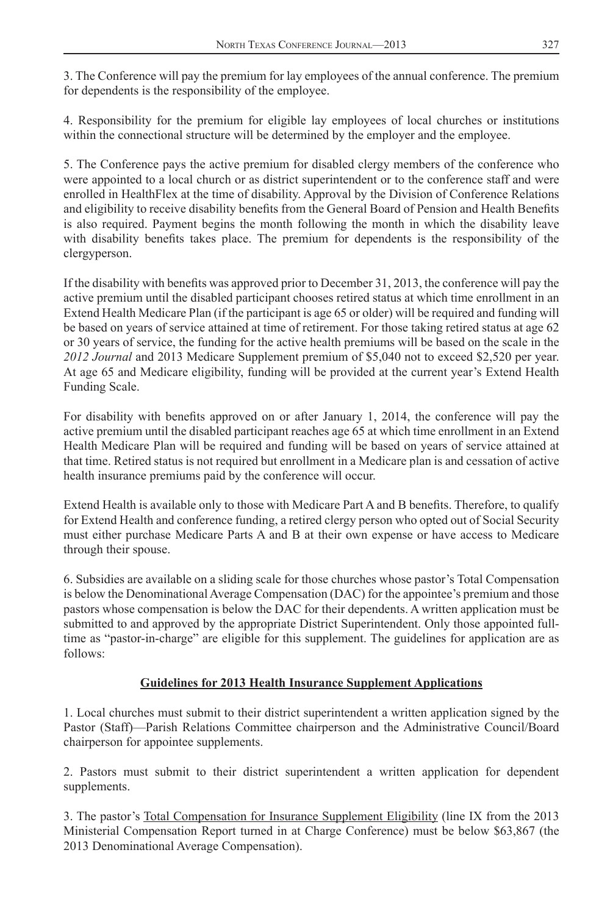3. The Conference will pay the premium for lay employees of the annual conference. The premium for dependents is the responsibility of the employee.

4. Responsibility for the premium for eligible lay employees of local churches or institutions within the connectional structure will be determined by the employer and the employee.

5. The Conference pays the active premium for disabled clergy members of the conference who were appointed to a local church or as district superintendent or to the conference staff and were enrolled in HealthFlex at the time of disability. Approval by the Division of Conference Relations and eligibility to receive disability benefits from the General Board of Pension and Health Benefits is also required. Payment begins the month following the month in which the disability leave with disability benefits takes place. The premium for dependents is the responsibility of the clergyperson.

If the disability with benefits was approved prior to December 31, 2013, the conference will pay the active premium until the disabled participant chooses retired status at which time enrollment in an Extend Health Medicare Plan (if the participant is age 65 or older) will be required and funding will be based on years of service attained at time of retirement. For those taking retired status at age 62 or 30 years of service, the funding for the active health premiums will be based on the scale in the *2012 Journal* and 2013 Medicare Supplement premium of \$5,040 not to exceed \$2,520 per year. At age 65 and Medicare eligibility, funding will be provided at the current year's Extend Health Funding Scale.

For disability with benefits approved on or after January 1, 2014, the conference will pay the active premium until the disabled participant reaches age 65 at which time enrollment in an Extend Health Medicare Plan will be required and funding will be based on years of service attained at that time. Retired status is not required but enrollment in a Medicare plan is and cessation of active health insurance premiums paid by the conference will occur.

Extend Health is available only to those with Medicare Part A and B benefits. Therefore, to qualify for Extend Health and conference funding, a retired clergy person who opted out of Social Security must either purchase Medicare Parts A and B at their own expense or have access to Medicare through their spouse.

6. Subsidies are available on a sliding scale for those churches whose pastor's Total Compensation is below the Denominational Average Compensation (DAC) for the appointee's premium and those pastors whose compensation is below the DAC for their dependents. A written application must be submitted to and approved by the appropriate District Superintendent. Only those appointed fulltime as "pastor-in-charge" are eligible for this supplement. The guidelines for application are as follows:

### **Guidelines for 2013 Health Insurance Supplement Applications**

1. Local churches must submit to their district superintendent a written application signed by the Pastor (Staff)—Parish Relations Committee chairperson and the Administrative Council/Board chairperson for appointee supplements.

2. Pastors must submit to their district superintendent a written application for dependent supplements.

3. The pastor's Total Compensation for Insurance Supplement Eligibility (line IX from the 2013 Ministerial Compensation Report turned in at Charge Conference) must be below \$63,867 (the 2013 Denominational Average Compensation).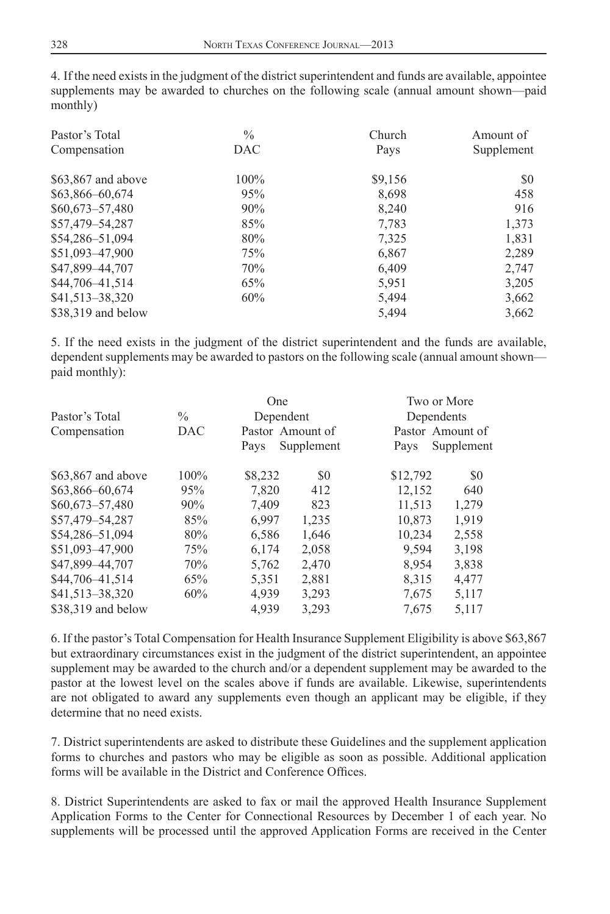4. If the need exists in the judgment of the district superintendent and funds are available, appointee supplements may be awarded to churches on the following scale (annual amount shown—paid monthly)

| Pastor's Total     | $\%$       | Church  | Amount of  |
|--------------------|------------|---------|------------|
| Compensation       | <b>DAC</b> | Pays    | Supplement |
| \$63,867 and above | $100\%$    | \$9,156 | SO.        |
| \$63,866-60,674    | 95%        | 8,698   | 458        |
| $$60,673 - 57,480$ | 90%        | 8,240   | 916        |
| \$57,479-54,287    | 85%        | 7,783   | 1,373      |
| \$54,286-51,094    | 80%        | 7,325   | 1,831      |
| \$51,093-47,900    | 75%        | 6,867   | 2,289      |
| \$47,899-44,707    | 70%        | 6,409   | 2,747      |
| \$44,706-41,514    | 65%        | 5,951   | 3,205      |
| \$41,513-38,320    | 60%        | 5,494   | 3,662      |
| \$38,319 and below |            | 5,494   | 3,662      |

5. If the need exists in the judgment of the district superintendent and the funds are available, dependent supplements may be awarded to pastors on the following scale (annual amount shown paid monthly):

|                    |               | One              |            | Two or More |                  |
|--------------------|---------------|------------------|------------|-------------|------------------|
| Pastor's Total     | $\frac{0}{0}$ | Dependent        |            |             | Dependents       |
| Compensation       | DAC           | Pastor Amount of |            |             | Pastor Amount of |
|                    |               | Pays             | Supplement | Pays        | Supplement       |
| \$63,867 and above | 100%          | \$8,232          | \$0        | \$12,792    | \$0              |
| \$63,866-60,674    | 95%           | 7,820            | 412        | 12,152      | 640              |
| $$60,673 - 57,480$ | 90%           | 7.409            | 823        | 11.513      | 1,279            |
| \$57,479-54,287    | 85%           | 6,997            | 1,235      | 10,873      | 1,919            |
| \$54,286-51,094    | 80%           | 6,586            | 1,646      | 10.234      | 2,558            |
| \$51,093-47,900    | 75%           | 6.174            | 2,058      | 9.594       | 3,198            |
| \$47,899-44,707    | 70%           | 5,762            | 2,470      | 8,954       | 3,838            |
| \$44,706-41,514    | 65%           | 5,351            | 2,881      | 8,315       | 4,477            |
| \$41,513-38,320    | 60%           | 4,939            | 3,293      | 7,675       | 5,117            |
| \$38,319 and below |               | 4,939            | 3,293      | 7,675       | 5,117            |
|                    |               |                  |            |             |                  |

6. If the pastor's Total Compensation for Health Insurance Supplement Eligibility is above \$63,867 but extraordinary circumstances exist in the judgment of the district superintendent, an appointee supplement may be awarded to the church and/or a dependent supplement may be awarded to the pastor at the lowest level on the scales above if funds are available. Likewise, superintendents are not obligated to award any supplements even though an applicant may be eligible, if they determine that no need exists.

7. District superintendents are asked to distribute these Guidelines and the supplement application forms to churches and pastors who may be eligible as soon as possible. Additional application forms will be available in the District and Conference Offices.

8. District Superintendents are asked to fax or mail the approved Health Insurance Supplement Application Forms to the Center for Connectional Resources by December 1 of each year. No supplements will be processed until the approved Application Forms are received in the Center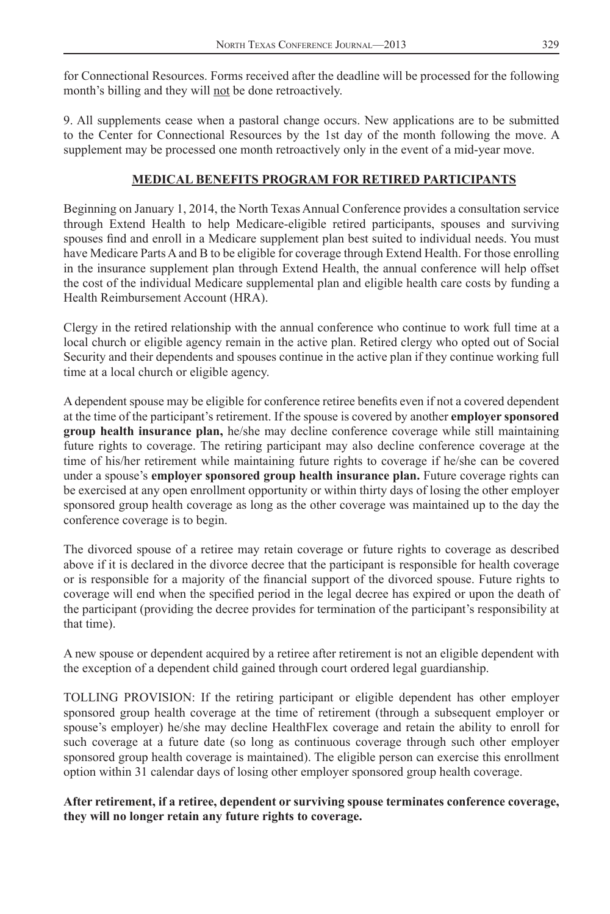for Connectional Resources. Forms received after the deadline will be processed for the following month's billing and they will not be done retroactively.

9. All supplements cease when a pastoral change occurs. New applications are to be submitted to the Center for Connectional Resources by the 1st day of the month following the move. A supplement may be processed one month retroactively only in the event of a mid-year move.

#### **MEDICAL BENEFITS PROGRAM FOR RETIRED PARTICIPANTS**

Beginning on January 1, 2014, the North Texas Annual Conference provides a consultation service through Extend Health to help Medicare-eligible retired participants, spouses and surviving spouses find and enroll in a Medicare supplement plan best suited to individual needs. You must have Medicare Parts A and B to be eligible for coverage through Extend Health. For those enrolling in the insurance supplement plan through Extend Health, the annual conference will help offset the cost of the individual Medicare supplemental plan and eligible health care costs by funding a Health Reimbursement Account (HRA).

Clergy in the retired relationship with the annual conference who continue to work full time at a local church or eligible agency remain in the active plan. Retired clergy who opted out of Social Security and their dependents and spouses continue in the active plan if they continue working full time at a local church or eligible agency.

A dependent spouse may be eligible for conference retiree benefits even if not a covered dependent at the time of the participant's retirement. If the spouse is covered by another **employer sponsored group health insurance plan,** he/she may decline conference coverage while still maintaining future rights to coverage. The retiring participant may also decline conference coverage at the time of his/her retirement while maintaining future rights to coverage if he/she can be covered under a spouse's **employer sponsored group health insurance plan.** Future coverage rights can be exercised at any open enrollment opportunity or within thirty days of losing the other employer sponsored group health coverage as long as the other coverage was maintained up to the day the conference coverage is to begin.

The divorced spouse of a retiree may retain coverage or future rights to coverage as described above if it is declared in the divorce decree that the participant is responsible for health coverage or is responsible for a majority of the financial support of the divorced spouse. Future rights to coverage will end when the specified period in the legal decree has expired or upon the death of the participant (providing the decree provides for termination of the participant's responsibility at that time).

A new spouse or dependent acquired by a retiree after retirement is not an eligible dependent with the exception of a dependent child gained through court ordered legal guardianship.

TOLLING PROVISION: If the retiring participant or eligible dependent has other employer sponsored group health coverage at the time of retirement (through a subsequent employer or spouse's employer) he/she may decline HealthFlex coverage and retain the ability to enroll for such coverage at a future date (so long as continuous coverage through such other employer sponsored group health coverage is maintained). The eligible person can exercise this enrollment option within 31 calendar days of losing other employer sponsored group health coverage.

**After retirement, if a retiree, dependent or surviving spouse terminates conference coverage, they will no longer retain any future rights to coverage.**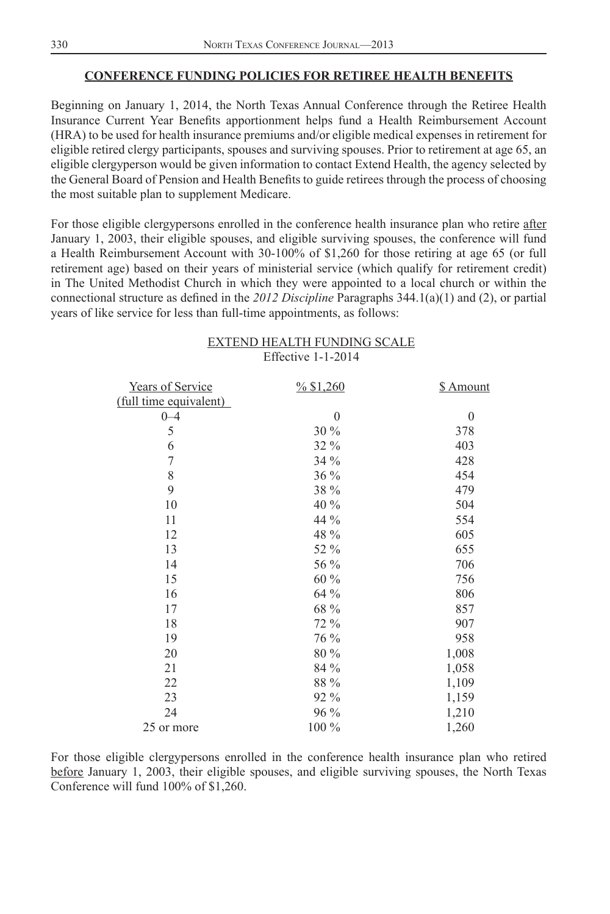#### **CONFERENCE FUNDING POLICIES FOR RETIREE HEALTH BENEFITS**

Beginning on January 1, 2014, the North Texas Annual Conference through the Retiree Health Insurance Current Year Benefits apportionment helps fund a Health Reimbursement Account (HRA) to be used for health insurance premiums and/or eligible medical expenses in retirement for eligible retired clergy participants, spouses and surviving spouses. Prior to retirement at age 65, an eligible clergyperson would be given information to contact Extend Health, the agency selected by the General Board of Pension and Health Benefits to guide retirees through the process of choosing the most suitable plan to supplement Medicare.

For those eligible clergypersons enrolled in the conference health insurance plan who retire after January 1, 2003, their eligible spouses, and eligible surviving spouses, the conference will fund a Health Reimbursement Account with 30-100% of \$1,260 for those retiring at age 65 (or full retirement age) based on their years of ministerial service (which qualify for retirement credit) in The United Methodist Church in which they were appointed to a local church or within the connectional structure as defined in the 2012 Discipline Paragraphs 344.1(a)(1) and (2), or partial years of like service for less than full-time appointments, as follows:

|                      | EXTEND HEALTH FUNDING SCALE |  |
|----------------------|-----------------------------|--|
| Effective $1-1-2014$ |                             |  |

| <b>Years of Service</b> | $\frac{9}{6}$ \$1,260 | \$ Amount |
|-------------------------|-----------------------|-----------|
| (full time equivalent)  |                       |           |
| $0 - 4$                 | $\boldsymbol{0}$      | $\theta$  |
| 5                       | 30%                   | 378       |
| 6                       | 32 %                  | 403       |
| $\overline{7}$          | 34%                   | 428       |
| 8                       | 36 %                  | 454       |
| 9                       | 38 %                  | 479       |
| 10                      | 40 %                  | 504       |
| 11                      | 44 %                  | 554       |
| 12                      | 48 %                  | 605       |
| 13                      | 52 %                  | 655       |
| 14                      | 56 %                  | 706       |
| 15                      | $60\%$                | 756       |
| 16                      | 64 %                  | 806       |
| 17                      | 68 %                  | 857       |
| 18                      | 72 %                  | 907       |
| 19                      | 76 %                  | 958       |
| 20                      | 80 %                  | 1,008     |
| 21                      | 84 %                  | 1,058     |
| 22                      | $88\ \%$              | 1,109     |
| 23                      | 92 %                  | 1,159     |
| 24                      | 96 %                  | 1,210     |
| 25 or more              | 100 %                 | 1,260     |

For those eligible clergypersons enrolled in the conference health insurance plan who retired before January 1, 2003, their eligible spouses, and eligible surviving spouses, the North Texas Conference will fund 100% of \$1,260.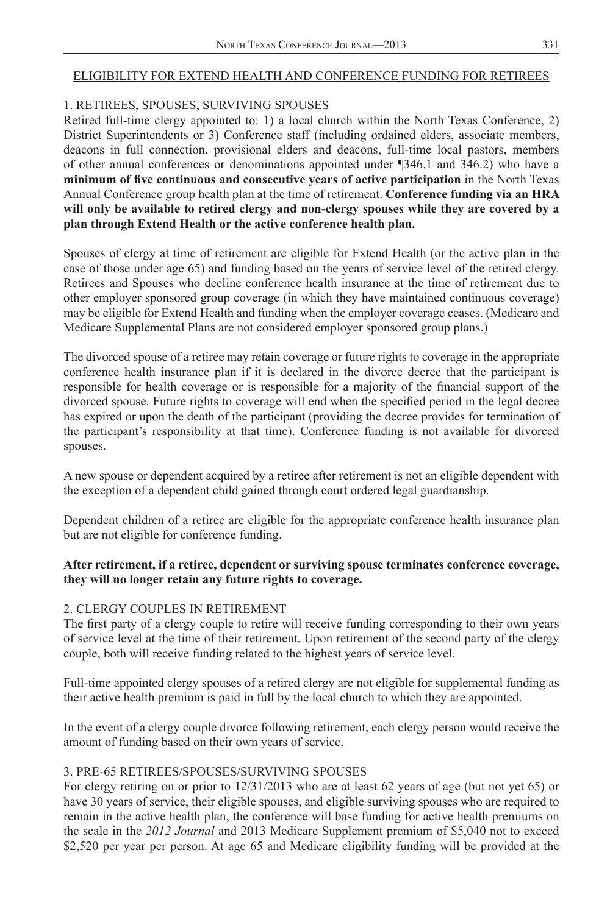#### ELIGIBILITY FOR EXTEND HEALTH AND CONFERENCE FUNDING FOR RETIREES

#### 1. RETIREES, SPOUSES, SURVIVING SPOUSES

Retired full-time clergy appointed to: 1) a local church within the North Texas Conference, 2) District Superintendents or 3) Conference staff (including ordained elders, associate members, deacons in full connection, provisional elders and deacons, full-time local pastors, members of other annual conferences or denominations appointed under ¶346.1 and 346.2) who have a minimum of five continuous and consecutive years of active participation in the North Texas Annual Conference group health plan at the time of retirement. **Conference funding via an HRA will only be available to retired clergy and non-clergy spouses while they are covered by a plan through Extend Health or the active conference health plan.**

Spouses of clergy at time of retirement are eligible for Extend Health (or the active plan in the case of those under age 65) and funding based on the years of service level of the retired clergy. Retirees and Spouses who decline conference health insurance at the time of retirement due to other employer sponsored group coverage (in which they have maintained continuous coverage) may be eligible for Extend Health and funding when the employer coverage ceases. (Medicare and Medicare Supplemental Plans are not considered employer sponsored group plans.)

The divorced spouse of a retiree may retain coverage or future rights to coverage in the appropriate conference health insurance plan if it is declared in the divorce decree that the participant is responsible for health coverage or is responsible for a majority of the financial support of the divorced spouse. Future rights to coverage will end when the specified period in the legal decree has expired or upon the death of the participant (providing the decree provides for termination of the participant's responsibility at that time). Conference funding is not available for divorced spouses.

A new spouse or dependent acquired by a retiree after retirement is not an eligible dependent with the exception of a dependent child gained through court ordered legal guardianship.

Dependent children of a retiree are eligible for the appropriate conference health insurance plan but are not eligible for conference funding.

#### **After retirement, if a retiree, dependent or surviving spouse terminates conference coverage, they will no longer retain any future rights to coverage.**

#### 2. CLERGY COUPLES IN RETIREMENT

The first party of a clergy couple to retire will receive funding corresponding to their own years of service level at the time of their retirement. Upon retirement of the second party of the clergy couple, both will receive funding related to the highest years of service level.

Full-time appointed clergy spouses of a retired clergy are not eligible for supplemental funding as their active health premium is paid in full by the local church to which they are appointed.

In the event of a clergy couple divorce following retirement, each clergy person would receive the amount of funding based on their own years of service.

#### 3. PRE-65 RETIREES/SPOUSES/SURVIVING SPOUSES

For clergy retiring on or prior to 12/31/2013 who are at least 62 years of age (but not yet 65) or have 30 years of service, their eligible spouses, and eligible surviving spouses who are required to remain in the active health plan, the conference will base funding for active health premiums on the scale in the *2012 Journal* and 2013 Medicare Supplement premium of \$5,040 not to exceed \$2,520 per year per person. At age 65 and Medicare eligibility funding will be provided at the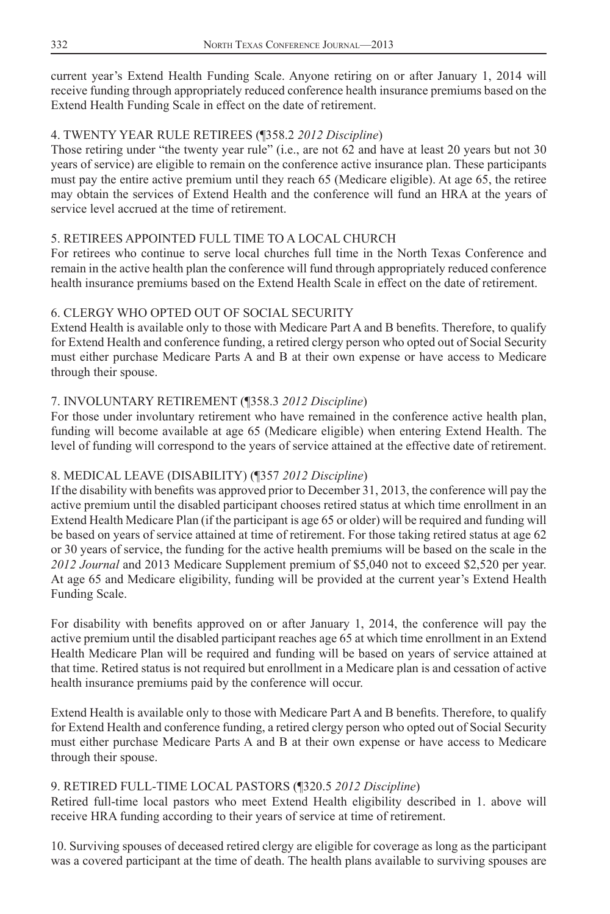current year's Extend Health Funding Scale. Anyone retiring on or after January 1, 2014 will receive funding through appropriately reduced conference health insurance premiums based on the Extend Health Funding Scale in effect on the date of retirement.

#### 4. TWENTY YEAR RULE RETIREES (¶358.2 *2012 Discipline*)

Those retiring under "the twenty year rule" (i.e., are not 62 and have at least 20 years but not 30 years of service) are eligible to remain on the conference active insurance plan. These participants must pay the entire active premium until they reach 65 (Medicare eligible). At age 65, the retiree may obtain the services of Extend Health and the conference will fund an HRA at the years of service level accrued at the time of retirement.

### 5. RETIREES APPOINTED FULL TIME TO A LOCAL CHURCH

For retirees who continue to serve local churches full time in the North Texas Conference and remain in the active health plan the conference will fund through appropriately reduced conference health insurance premiums based on the Extend Health Scale in effect on the date of retirement.

#### 6. CLERGY WHO OPTED OUT OF SOCIAL SECURITY

Extend Health is available only to those with Medicare Part A and B benefits. Therefore, to qualify for Extend Health and conference funding, a retired clergy person who opted out of Social Security must either purchase Medicare Parts A and B at their own expense or have access to Medicare through their spouse.

#### 7. INVOLUNTARY RETIREMENT (¶358.3 *2012 Discipline*)

For those under involuntary retirement who have remained in the conference active health plan, funding will become available at age 65 (Medicare eligible) when entering Extend Health. The level of funding will correspond to the years of service attained at the effective date of retirement.

#### 8. MEDICAL LEAVE (DISABILITY) (¶357 *2012 Discipline*)

If the disability with benefits was approved prior to December 31, 2013, the conference will pay the active premium until the disabled participant chooses retired status at which time enrollment in an Extend Health Medicare Plan (if the participant is age 65 or older) will be required and funding will be based on years of service attained at time of retirement. For those taking retired status at age 62 or 30 years of service, the funding for the active health premiums will be based on the scale in the *2012 Journal* and 2013 Medicare Supplement premium of \$5,040 not to exceed \$2,520 per year. At age 65 and Medicare eligibility, funding will be provided at the current year's Extend Health Funding Scale.

For disability with benefits approved on or after January 1, 2014, the conference will pay the active premium until the disabled participant reaches age 65 at which time enrollment in an Extend Health Medicare Plan will be required and funding will be based on years of service attained at that time. Retired status is not required but enrollment in a Medicare plan is and cessation of active health insurance premiums paid by the conference will occur.

Extend Health is available only to those with Medicare Part A and B benefits. Therefore, to qualify for Extend Health and conference funding, a retired clergy person who opted out of Social Security must either purchase Medicare Parts A and B at their own expense or have access to Medicare through their spouse.

#### 9. RETIRED FULL-TIME LOCAL PASTORS (¶320.5 *2012 Discipline*)

Retired full-time local pastors who meet Extend Health eligibility described in 1. above will receive HRA funding according to their years of service at time of retirement.

10. Surviving spouses of deceased retired clergy are eligible for coverage as long as the participant was a covered participant at the time of death. The health plans available to surviving spouses are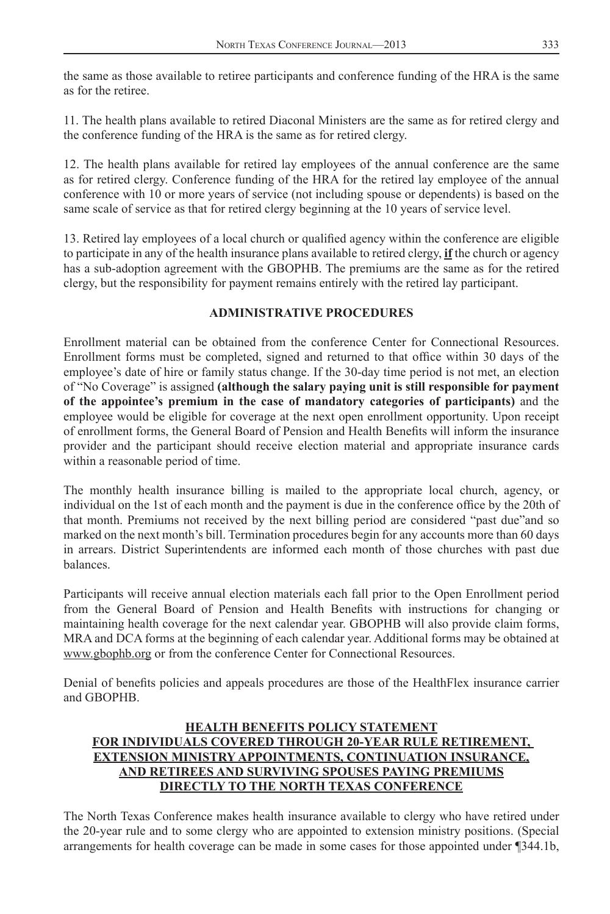the same as those available to retiree participants and conference funding of the HRA is the same as for the retiree.

11. The health plans available to retired Diaconal Ministers are the same as for retired clergy and the conference funding of the HRA is the same as for retired clergy.

12. The health plans available for retired lay employees of the annual conference are the same as for retired clergy. Conference funding of the HRA for the retired lay employee of the annual conference with 10 or more years of service (not including spouse or dependents) is based on the same scale of service as that for retired clergy beginning at the 10 years of service level.

13. Retired lay employees of a local church or qualified agency within the conference are eligible to participate in any of the health insurance plans available to retired clergy, **if** the church or agency has a sub-adoption agreement with the GBOPHB. The premiums are the same as for the retired clergy, but the responsibility for payment remains entirely with the retired lay participant.

#### **ADMINISTRATIVE PROCEDURES**

Enrollment material can be obtained from the conference Center for Connectional Resources. Enrollment forms must be completed, signed and returned to that office within 30 days of the employee's date of hire or family status change. If the 30-day time period is not met, an election of "No Coverage" is assigned **(although the salary paying unit is still responsible for payment of the appointee's premium in the case of mandatory categories of participants)** and the employee would be eligible for coverage at the next open enrollment opportunity. Upon receipt of enrollment forms, the General Board of Pension and Health Benefits will inform the insurance provider and the participant should receive election material and appropriate insurance cards within a reasonable period of time.

The monthly health insurance billing is mailed to the appropriate local church, agency, or individual on the 1st of each month and the payment is due in the conference office by the 20th of that month. Premiums not received by the next billing period are considered "past due"and so marked on the next month's bill. Termination procedures begin for any accounts more than 60 days in arrears. District Superintendents are informed each month of those churches with past due balances.

Participants will receive annual election materials each fall prior to the Open Enrollment period from the General Board of Pension and Health Benefits with instructions for changing or maintaining health coverage for the next calendar year. GBOPHB will also provide claim forms, MRA and DCA forms at the beginning of each calendar year. Additional forms may be obtained at www.gbophb.org or from the conference Center for Connectional Resources.

Denial of benefits policies and appeals procedures are those of the HealthFlex insurance carrier and GBOPHB.

#### **HEALTH BENEFITS POLICY STATEMENT FOR INDIVIDUALS COVERED THROUGH 20-YEAR RULE RETIREMENT, EXTENSION MINISTRY APPOINTMENTS, CONTINUATION INSURANCE, AND RETIREES AND SURVIVING SPOUSES PAYING PREMIUMS DIRECTLY TO THE NORTH TEXAS CONFERENCE**

The North Texas Conference makes health insurance available to clergy who have retired under the 20-year rule and to some clergy who are appointed to extension ministry positions. (Special arrangements for health coverage can be made in some cases for those appointed under ¶344.1b,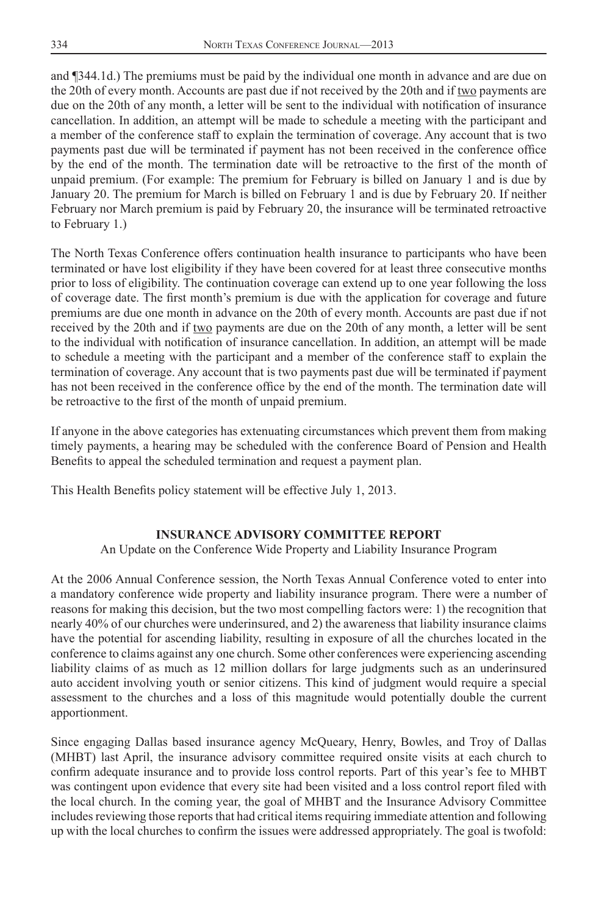<span id="page-32-0"></span>and ¶344.1d.) The premiums must be paid by the individual one month in advance and are due on the 20th of every month. Accounts are past due if not received by the 20th and if  $\underline{two}$  payments are due on the 20th of any month, a letter will be sent to the individual with notification of insurance cancellation. In addition, an attempt will be made to schedule a meeting with the participant and a member of the conference staff to explain the termination of coverage. Any account that is two payments past due will be terminated if payment has not been received in the conference office by the end of the month. The termination date will be retroactive to the first of the month of unpaid premium. (For example: The premium for February is billed on January 1 and is due by January 20. The premium for March is billed on February 1 and is due by February 20. If neither February nor March premium is paid by February 20, the insurance will be terminated retroactive to February 1.)

The North Texas Conference offers continuation health insurance to participants who have been terminated or have lost eligibility if they have been covered for at least three consecutive months prior to loss of eligibility. The continuation coverage can extend up to one year following the loss of coverage date. The first month's premium is due with the application for coverage and future premiums are due one month in advance on the 20th of every month. Accounts are past due if not received by the 20th and if two payments are due on the 20th of any month, a letter will be sent to the individual with notification of insurance cancellation. In addition, an attempt will be made to schedule a meeting with the participant and a member of the conference staff to explain the termination of coverage. Any account that is two payments past due will be terminated if payment has not been received in the conference office by the end of the month. The termination date will be retroactive to the first of the month of unpaid premium.

If anyone in the above categories has extenuating circumstances which prevent them from making timely payments, a hearing may be scheduled with the conference Board of Pension and Health Benefits to appeal the scheduled termination and request a payment plan.

This Health Benefits policy statement will be effective July 1, 2013.

#### **INSURANCE ADVISORY COMMITTEE REPORT**

An Update on the Conference Wide Property and Liability Insurance Program

At the 2006 Annual Conference session, the North Texas Annual Conference voted to enter into a mandatory conference wide property and liability insurance program. There were a number of reasons for making this decision, but the two most compelling factors were: 1) the recognition that nearly 40% of our churches were underinsured, and 2) the awareness that liability insurance claims have the potential for ascending liability, resulting in exposure of all the churches located in the conference to claims against any one church. Some other conferences were experiencing ascending liability claims of as much as 12 million dollars for large judgments such as an underinsured auto accident involving youth or senior citizens. This kind of judgment would require a special assessment to the churches and a loss of this magnitude would potentially double the current apportionment.

Since engaging Dallas based insurance agency McQueary, Henry, Bowles, and Troy of Dallas (MHBT) last April, the insurance advisory committee required onsite visits at each church to confirm adequate insurance and to provide loss control reports. Part of this year's fee to MHBT was contingent upon evidence that every site had been visited and a loss control report filed with the local church. In the coming year, the goal of MHBT and the Insurance Advisory Committee includes reviewing those reports that had critical items requiring immediate attention and following up with the local churches to confirm the issues were addressed appropriately. The goal is twofold: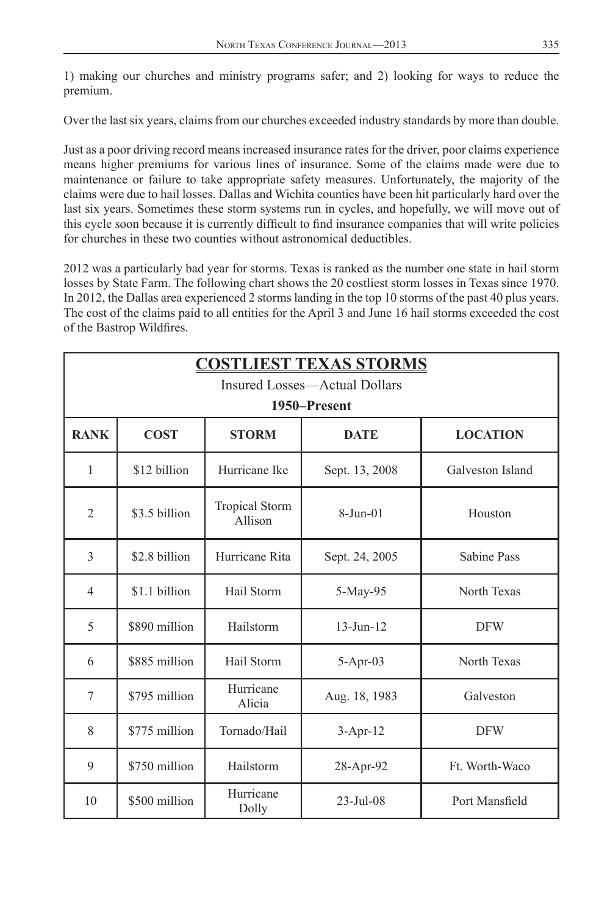1) making our churches and ministry programs safer; and 2) looking for ways to reduce the premium.

Over the last six years, claims from our churches exceeded industry standards by more than double.

Just as a poor driving record means increased insurance rates for the driver, poor claims experience means higher premiums for various lines of insurance. Some of the claims made were due to maintenance or failure to take appropriate safety measures. Unfortunately, the majority of the claims were due to hail losses. Dallas and Wichita counties have been hit particularly hard over the last six years. Sometimes these storm systems run in cycles, and hopefully, we will move out of this cycle soon because it is currently difficult to find insurance companies that will write policies for churches in these two counties without astronomical deductibles.

2012 was a particularly bad year for storms. Texas is ranked as the number one state in hail storm losses by State Farm. The following chart shows the 20 costliest storm losses in Texas since 1970. In 2012, the Dallas area experienced 2 storms landing in the top 10 storms of the past 40 plus years. The cost of the claims paid to all entities for the April 3 and June 16 hail storms exceeded the cost of the Bastrop Wildfires.

| <b>COSTLIEST TEXAS STORMS</b> |                                                               |                           |                               |                  |  |  |
|-------------------------------|---------------------------------------------------------------|---------------------------|-------------------------------|------------------|--|--|
|                               |                                                               |                           | Insured Losses—Actual Dollars |                  |  |  |
|                               |                                                               |                           | 1950–Present                  |                  |  |  |
| <b>RANK</b>                   | <b>COST</b><br><b>STORM</b><br><b>DATE</b><br><b>LOCATION</b> |                           |                               |                  |  |  |
| $\mathbf{1}$                  | \$12 billion                                                  | Hurricane Ike             | Sept. 13, 2008                | Galveston Island |  |  |
| $\overline{2}$                | \$3.5 billion                                                 | Tropical Storm<br>Allison | $8-Jun-01$                    | Houston          |  |  |
| 3                             | \$2.8 billion                                                 | Hurricane Rita            | Sept. 24, 2005                | Sabine Pass      |  |  |
| $\overline{4}$                | \$1.1 billion                                                 | Hail Storm                | 5-May-95                      | North Texas      |  |  |
| 5                             | \$890 million                                                 | Hailstorm                 | $13$ -Jun- $12$               | <b>DFW</b>       |  |  |
| 6                             | \$885 million                                                 | Hail Storm                | 5-Apr-03                      | North Texas      |  |  |
| 7                             | \$795 million                                                 | Hurricane<br>Alicia       | Aug. 18, 1983                 | Galveston        |  |  |
| 8                             | \$775 million                                                 | Tornado/Hail              | $3-Apr-12$                    | <b>DFW</b>       |  |  |
| 9                             | \$750 million                                                 | Hailstorm                 | 28-Apr-92                     | Ft. Worth-Waco   |  |  |
| 10                            | \$500 million                                                 | Hurricane<br>Dolly        | $23 - Jul - 08$               | Port Mansfield   |  |  |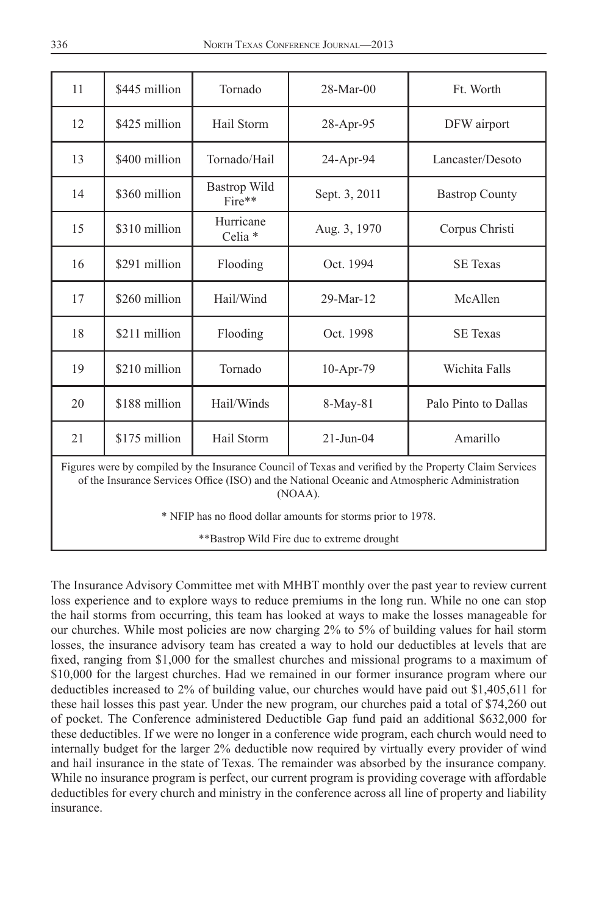| 11 | \$445 million | Tornado                        | $28-Mar-00$                                                                 | Ft. Worth             |
|----|---------------|--------------------------------|-----------------------------------------------------------------------------|-----------------------|
| 12 | \$425 million | Hail Storm                     | 28-Apr-95                                                                   | DFW airport           |
| 13 | \$400 million | Tornado/Hail                   | 24-Apr-94                                                                   | Lancaster/Desoto      |
| 14 | \$360 million | Bastrop Wild<br>Fire**         | Sept. 3, 2011                                                               | <b>Bastrop County</b> |
| 15 | \$310 million | Hurricane<br>Celia *           | Aug. 3, 1970                                                                | Corpus Christi        |
| 16 | \$291 million | Flooding                       | Oct. 1994                                                                   | <b>SE Texas</b>       |
| 17 | \$260 million | Hail/Wind                      | 29-Mar-12                                                                   | McAllen               |
| 18 | \$211 million | Flooding                       | Oct. 1998                                                                   | <b>SE Texas</b>       |
| 19 | \$210 million | Tornado                        | 10-Apr-79                                                                   | Wichita Falls         |
| 20 | \$188 million | Hail/Winds                     | 8-May-81                                                                    | Palo Pinto to Dallas  |
| 21 | \$175 million | Hail Storm                     | $21-Jun-04$                                                                 | Amarillo              |
| m. |               | 11.11.11.11.1<br>$\sim$ $\sim$ | $\mathbf{u}$ and $\mathbf{u}$ is the state of $\mathbf{u}$ and $\mathbf{u}$ |                       |

Figures were by compiled by the Insurance Council of Texas and verified by the Property Claim Services of the Insurance Services Office (ISO) and the National Oceanic and Atmospheric Administration (NOAA).

\* NFIP has no flood dollar amounts for storms prior to 1978.

\*\*Bastrop Wild Fire due to extreme drought

The Insurance Advisory Committee met with MHBT monthly over the past year to review current loss experience and to explore ways to reduce premiums in the long run. While no one can stop the hail storms from occurring, this team has looked at ways to make the losses manageable for our churches. While most policies are now charging 2% to 5% of building values for hail storm losses, the insurance advisory team has created a way to hold our deductibles at levels that are fixed, ranging from \$1,000 for the smallest churches and missional programs to a maximum of \$10,000 for the largest churches. Had we remained in our former insurance program where our deductibles increased to 2% of building value, our churches would have paid out \$1,405,611 for these hail losses this past year. Under the new program, our churches paid a total of \$74,260 out of pocket. The Conference administered Deductible Gap fund paid an additional \$632,000 for these deductibles. If we were no longer in a conference wide program, each church would need to internally budget for the larger 2% deductible now required by virtually every provider of wind and hail insurance in the state of Texas. The remainder was absorbed by the insurance company. While no insurance program is perfect, our current program is providing coverage with affordable deductibles for every church and ministry in the conference across all line of property and liability insurance.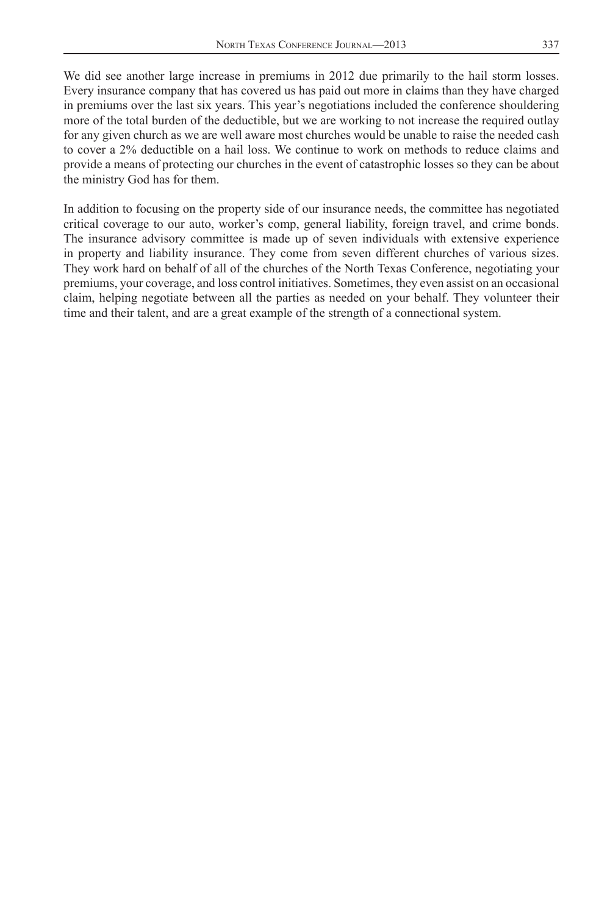We did see another large increase in premiums in 2012 due primarily to the hail storm losses. Every insurance company that has covered us has paid out more in claims than they have charged in premiums over the last six years. This year's negotiations included the conference shouldering more of the total burden of the deductible, but we are working to not increase the required outlay for any given church as we are well aware most churches would be unable to raise the needed cash to cover a 2% deductible on a hail loss. We continue to work on methods to reduce claims and provide a means of protecting our churches in the event of catastrophic losses so they can be about the ministry God has for them.

In addition to focusing on the property side of our insurance needs, the committee has negotiated critical coverage to our auto, worker's comp, general liability, foreign travel, and crime bonds. The insurance advisory committee is made up of seven individuals with extensive experience in property and liability insurance. They come from seven different churches of various sizes. They work hard on behalf of all of the churches of the North Texas Conference, negotiating your premiums, your coverage, and loss control initiatives. Sometimes, they even assist on an occasional claim, helping negotiate between all the parties as needed on your behalf. They volunteer their time and their talent, and are a great example of the strength of a connectional system.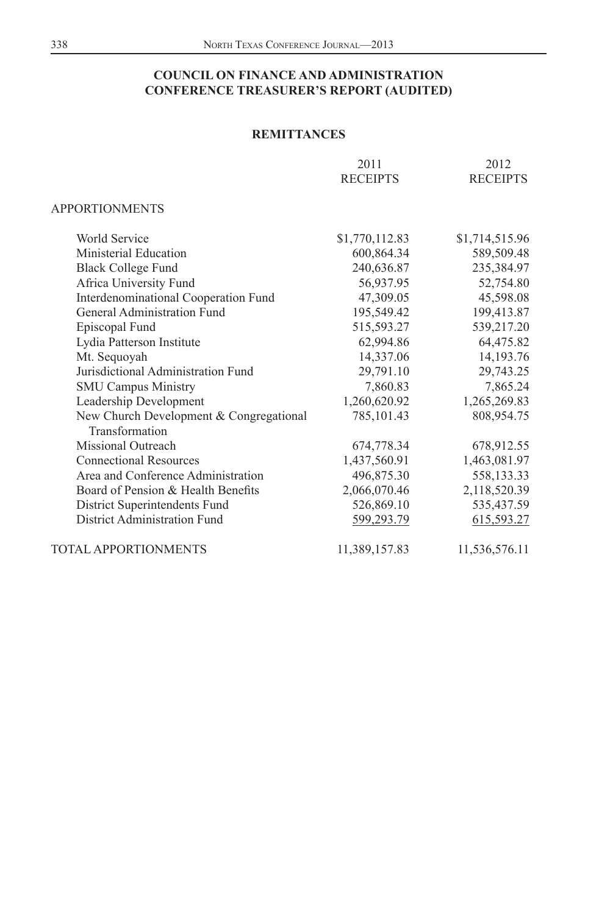|                                                           | 2011<br><b>RECEIPTS</b> | 2012<br><b>RECEIPTS</b> |
|-----------------------------------------------------------|-------------------------|-------------------------|
| <b>APPORTIONMENTS</b>                                     |                         |                         |
| <b>World Service</b>                                      | \$1,770,112.83          | \$1,714,515.96          |
| Ministerial Education                                     | 600,864.34              | 589,509.48              |
| <b>Black College Fund</b>                                 | 240,636.87              | 235,384.97              |
| Africa University Fund                                    | 56,937.95               | 52,754.80               |
| Interdenominational Cooperation Fund                      | 47,309.05               | 45,598.08               |
| General Administration Fund                               | 195,549.42              | 199,413.87              |
| Episcopal Fund                                            | 515,593.27              | 539,217.20              |
| Lydia Patterson Institute                                 | 62,994.86               | 64,475.82               |
| Mt. Sequoyah                                              | 14,337.06               | 14,193.76               |
| Jurisdictional Administration Fund                        | 29,791.10               | 29,743.25               |
| <b>SMU Campus Ministry</b>                                | 7,860.83                | 7,865.24                |
| Leadership Development                                    | 1,260,620.92            | 1,265,269.83            |
| New Church Development & Congregational<br>Transformation | 785, 101.43             | 808,954.75              |
| Missional Outreach                                        | 674,778.34              | 678,912.55              |
| <b>Connectional Resources</b>                             | 1,437,560.91            | 1,463,081.97            |
| Area and Conference Administration                        | 496,875.30              | 558,133.33              |
| Board of Pension & Health Benefits                        | 2,066,070.46            | 2,118,520.39            |
| District Superintendents Fund                             | 526,869.10              | 535,437.59              |
| District Administration Fund                              | 599,293.79              | 615,593.27              |
| TOTAL APPORTIONMENTS                                      | 11,389,157.83           | 11,536,576.11           |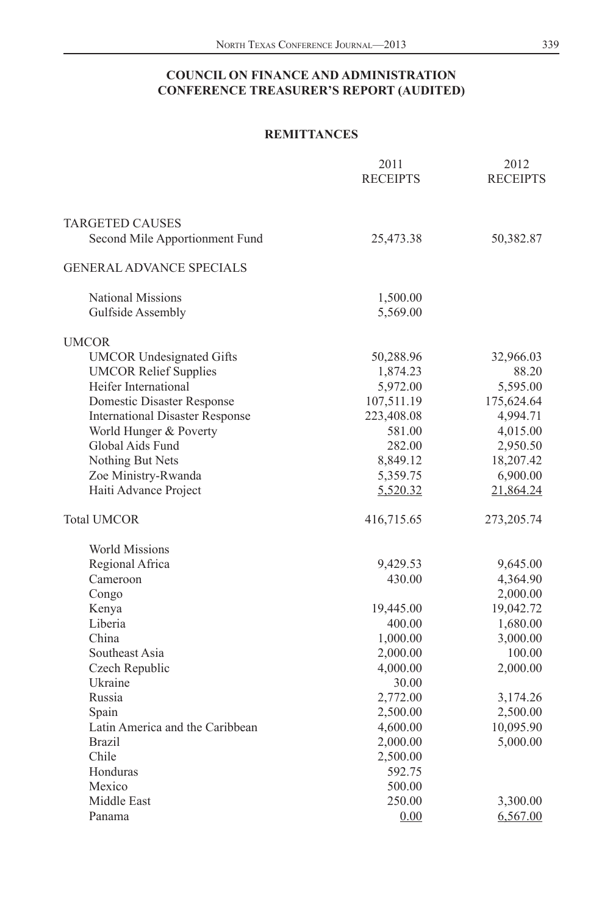|                                        | 2011<br><b>RECEIPTS</b> | 2012<br><b>RECEIPTS</b> |
|----------------------------------------|-------------------------|-------------------------|
|                                        |                         |                         |
| <b>TARGETED CAUSES</b>                 |                         |                         |
| Second Mile Apportionment Fund         | 25,473.38               | 50,382.87               |
| <b>GENERAL ADVANCE SPECIALS</b>        |                         |                         |
| <b>National Missions</b>               | 1,500.00                |                         |
| Gulfside Assembly                      | 5,569.00                |                         |
| <b>UMCOR</b>                           |                         |                         |
| <b>UMCOR Undesignated Gifts</b>        | 50,288.96               | 32,966.03               |
| <b>UMCOR Relief Supplies</b>           | 1,874.23                | 88.20                   |
| Heifer International                   | 5,972.00                | 5,595.00                |
| Domestic Disaster Response             | 107,511.19              | 175,624.64              |
| <b>International Disaster Response</b> | 223,408.08              | 4,994.71                |
| World Hunger & Poverty                 | 581.00                  | 4,015.00                |
| Global Aids Fund                       | 282.00                  | 2,950.50                |
| Nothing But Nets                       | 8,849.12                | 18,207.42               |
| Zoe Ministry-Rwanda                    | 5,359.75                | 6,900.00                |
| Haiti Advance Project                  | 5,520.32                | 21,864.24               |
| <b>Total UMCOR</b>                     | 416,715.65              | 273, 205. 74            |
| <b>World Missions</b>                  |                         |                         |
| Regional Africa                        | 9,429.53                | 9,645.00                |
| Cameroon                               | 430.00                  | 4,364.90                |
| Congo                                  |                         | 2,000.00                |
| Kenya                                  | 19,445.00               | 19,042.72               |
| Liberia                                | 400.00                  | 1,680.00                |
| China                                  | 1,000.00                | 3,000.00                |
| Southeast Asia                         | 2,000.00                | 100.00                  |
| Czech Republic                         | 4,000.00                | 2,000.00                |
| Ukraine                                | 30.00                   |                         |
| Russia                                 | 2,772.00                | 3,174.26                |
| Spain                                  | 2,500.00                | 2,500.00                |
| Latin America and the Caribbean        | 4,600.00                | 10,095.90               |
| <b>Brazil</b>                          | 2,000.00                | 5,000.00                |
| Chile                                  | 2,500.00                |                         |
| Honduras                               | 592.75                  |                         |
| Mexico                                 | 500.00                  |                         |
| Middle East                            | 250.00                  | 3,300.00                |
| Panama                                 | 0.00                    | 6,567.00                |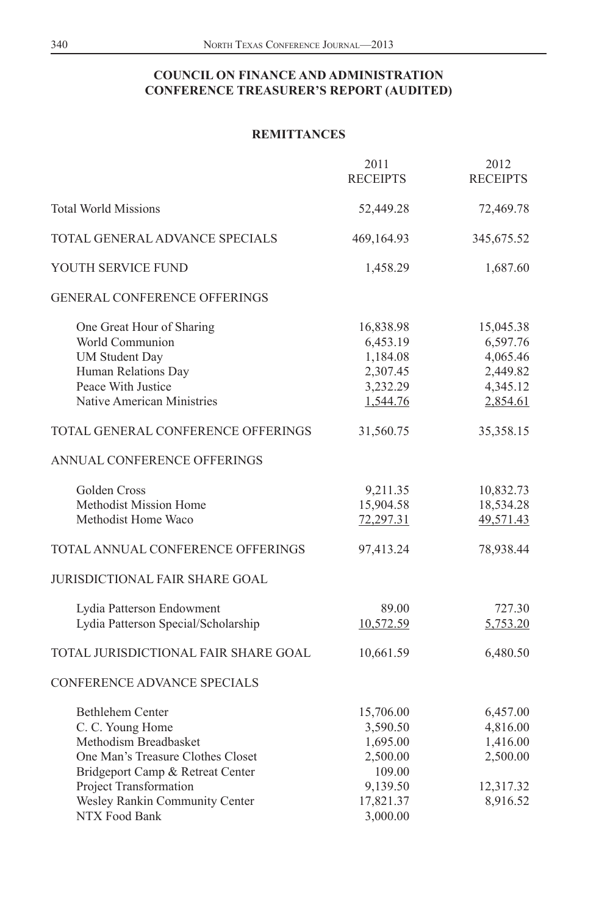|                                                                                                                                                                                                                     | 2011<br><b>RECEIPTS</b>                                                                      | 2012<br><b>RECEIPTS</b>                                               |
|---------------------------------------------------------------------------------------------------------------------------------------------------------------------------------------------------------------------|----------------------------------------------------------------------------------------------|-----------------------------------------------------------------------|
| <b>Total World Missions</b>                                                                                                                                                                                         | 52,449.28                                                                                    | 72,469.78                                                             |
| TOTAL GENERAL ADVANCE SPECIALS                                                                                                                                                                                      | 469,164.93                                                                                   | 345,675.52                                                            |
| YOUTH SERVICE FUND                                                                                                                                                                                                  | 1,458.29                                                                                     | 1,687.60                                                              |
| <b>GENERAL CONFERENCE OFFERINGS</b>                                                                                                                                                                                 |                                                                                              |                                                                       |
| One Great Hour of Sharing<br>World Communion<br><b>UM Student Day</b><br>Human Relations Day<br>Peace With Justice<br>Native American Ministries                                                                    | 16,838.98<br>6,453.19<br>1,184.08<br>2,307.45<br>3,232.29<br>1,544.76                        | 15,045.38<br>6,597.76<br>4,065.46<br>2,449.82<br>4,345.12<br>2,854.61 |
| TOTAL GENERAL CONFERENCE OFFERINGS                                                                                                                                                                                  | 31,560.75                                                                                    | 35,358.15                                                             |
| ANNUAL CONFERENCE OFFERINGS                                                                                                                                                                                         |                                                                                              |                                                                       |
| Golden Cross<br>Methodist Mission Home<br>Methodist Home Waco                                                                                                                                                       | 9,211.35<br>15,904.58<br>72,297.31                                                           | 10,832.73<br>18,534.28<br>49,571.43                                   |
| TOTAL ANNUAL CONFERENCE OFFERINGS                                                                                                                                                                                   | 97,413.24                                                                                    | 78,938.44                                                             |
| JURISDICTIONAL FAIR SHARE GOAL                                                                                                                                                                                      |                                                                                              |                                                                       |
| Lydia Patterson Endowment<br>Lydia Patterson Special/Scholarship                                                                                                                                                    | 89.00<br>10,572.59                                                                           | 727.30<br>5,753.20                                                    |
| TOTAL JURISDICTIONAL FAIR SHARE GOAL                                                                                                                                                                                | 10,661.59                                                                                    | 6,480.50                                                              |
| <b>CONFERENCE ADVANCE SPECIALS</b>                                                                                                                                                                                  |                                                                                              |                                                                       |
| Bethlehem Center<br>C. C. Young Home<br>Methodism Breadbasket<br>One Man's Treasure Clothes Closet<br>Bridgeport Camp & Retreat Center<br>Project Transformation<br>Wesley Rankin Community Center<br>NTX Food Bank | 15,706.00<br>3,590.50<br>1,695.00<br>2,500.00<br>109.00<br>9,139.50<br>17,821.37<br>3,000.00 | 6,457.00<br>4,816.00<br>1,416.00<br>2,500.00<br>12,317.32<br>8,916.52 |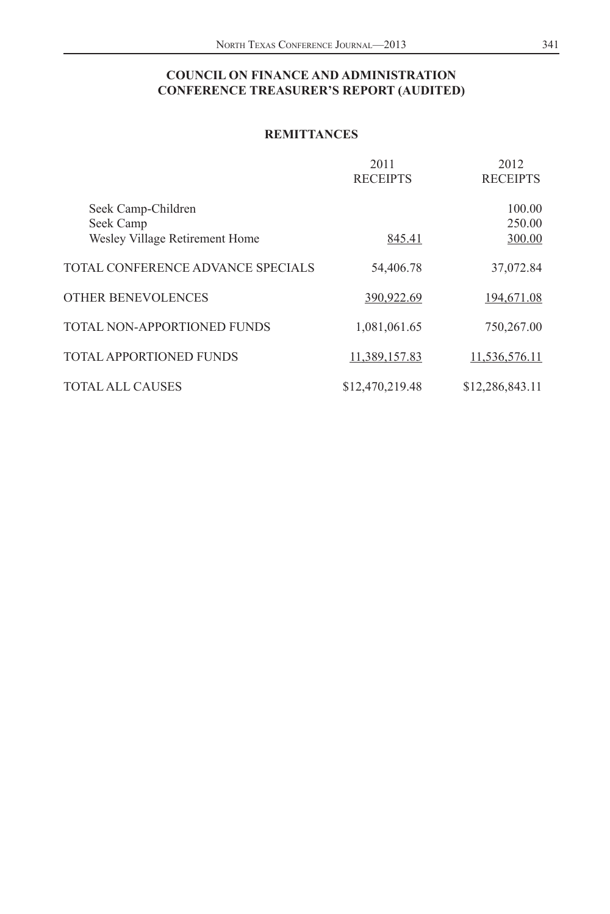|                                                                   | 2011<br><b>RECEIPTS</b> | 2012<br><b>RECEIPTS</b>    |
|-------------------------------------------------------------------|-------------------------|----------------------------|
| Seek Camp-Children<br>Seek Camp<br>Wesley Village Retirement Home | 845.41                  | 100.00<br>250.00<br>300.00 |
| TOTAL CONFERENCE ADVANCE SPECIALS                                 | 54,406.78               | 37,072.84                  |
| OTHER BENEVOLENCES                                                | 390,922.69              | 194,671.08                 |
| TOTAL NON-APPORTIONED FUNDS                                       | 1,081,061.65            | 750,267.00                 |
| TOTAL APPORTIONED FUNDS                                           | 11,389,157.83           | 11,536,576.11              |
| <b>TOTAL ALL CAUSES</b>                                           | \$12,470,219.48         | \$12,286,843.11            |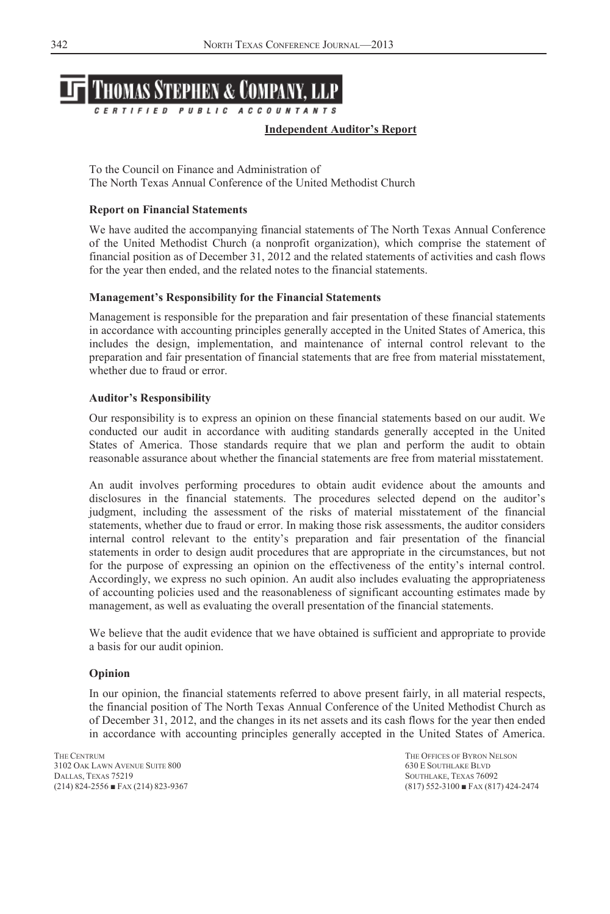

#### **Independent Auditor's Report**

To the Council on Finance and Administration of The North Texas Annual Conference of the United Methodist Church

#### **Report on Financial Statements**

We have audited the accompanying financial statements of The North Texas Annual Conference of the United Methodist Church (a nonprofit organization), which comprise the statement of financial position as of December 31, 2012 and the related statements of activities and cash flows for the year then ended, and the related notes to the financial statements.

#### **Management's Responsibility for the Financial Statements**

Management is responsible for the preparation and fair presentation of these financial statements in accordance with accounting principles generally accepted in the United States of America, this includes the design, implementation, and maintenance of internal control relevant to the preparation and fair presentation of financial statements that are free from material misstatement, whether due to fraud or error.

#### **Auditor's Responsibility**

Our responsibility is to express an opinion on these financial statements based on our audit. We conducted our audit in accordance with auditing standards generally accepted in the United States of America. Those standards require that we plan and perform the audit to obtain reasonable assurance about whether the financial statements are free from material misstatement.

An audit involves performing procedures to obtain audit evidence about the amounts and disclosures in the financial statements. The procedures selected depend on the auditor's judgment, including the assessment of the risks of material misstatement of the financial statements, whether due to fraud or error. In making those risk assessments, the auditor considers internal control relevant to the entity's preparation and fair presentation of the financial statements in order to design audit procedures that are appropriate in the circumstances, but not for the purpose of expressing an opinion on the effectiveness of the entity's internal control. Accordingly, we express no such opinion. An audit also includes evaluating the appropriateness of accounting policies used and the reasonableness of significant accounting estimates made by management, as well as evaluating the overall presentation of the financial statements.

We believe that the audit evidence that we have obtained is sufficient and appropriate to provide a basis for our audit opinion.

#### **Opinion**

In our opinion, the financial statements referred to above present fairly, in all material respects, the financial position of The North Texas Annual Conference of the United Methodist Church as of December 31, 2012, and the changes in its net assets and its cash flows for the year then ended in accordance with accounting principles generally accepted in the United States of America.

3102 OAK LAWN AVENUE SUITE 800 630 E SOUTHLAKE BLVD DALLAS, TEXAS 75219<br>
(214) 824-2556 ■ FAX (214) 823-9367<br>
(817) 552-3100 ■ FAX (81

THE CENTRUM THE OFFICES OF BYRON NELSON  $(817)$  552-3100  $\blacksquare$  FAX  $(817)$  424-2474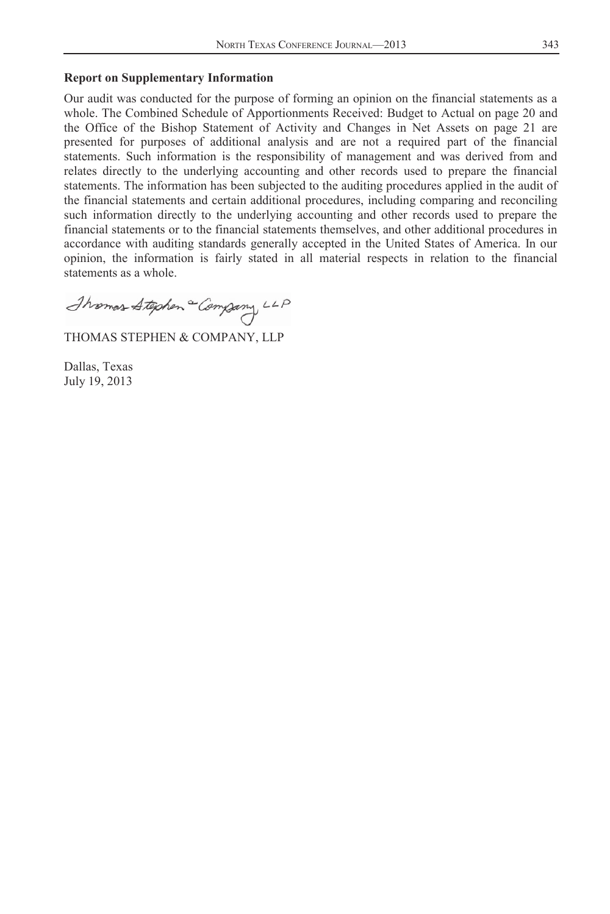## **Report on Supplementary Information**

Our audit was conducted for the purpose of forming an opinion on the financial statements as a whole. The Combined Schedule of Apportionments Received: Budget to Actual on page 20 and the Office of the Bishop Statement of Activity and Changes in Net Assets on page 21 are presented for purposes of additional analysis and are not a required part of the financial statements. Such information is the responsibility of management and was derived from and relates directly to the underlying accounting and other records used to prepare the financial statements. The information has been subjected to the auditing procedures applied in the audit of the financial statements and certain additional procedures, including comparing and reconciling such information directly to the underlying accounting and other records used to prepare the financial statements or to the financial statements themselves, and other additional procedures in accordance with auditing standards generally accepted in the United States of America. In our opinion, the information is fairly stated in all material respects in relation to the financial statements as a whole.

Thomas Stephen Company LLP

THOMAS STEPHEN & COMPANY, LLP

Dallas, Texas July 19, 2013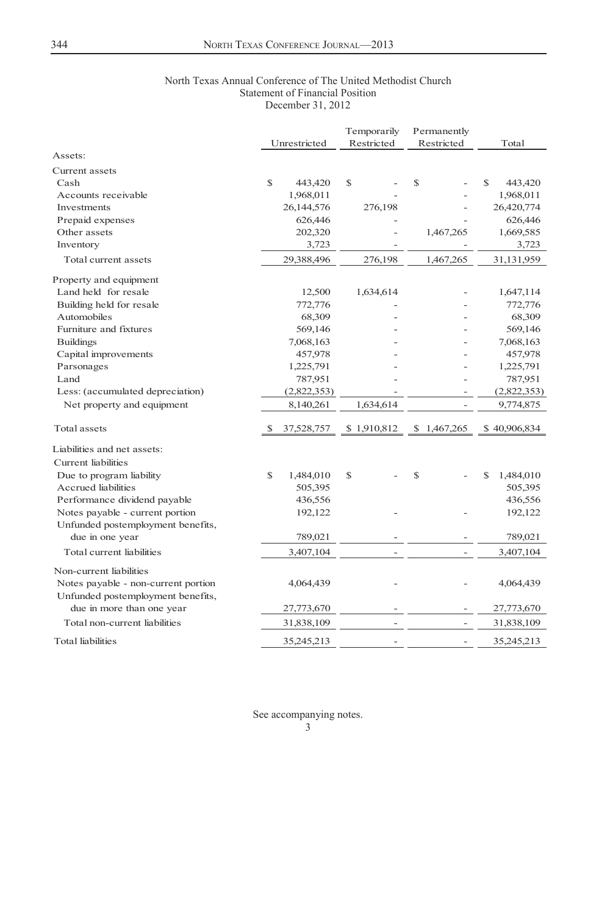#### North Texas Annual Conference of The United Methodist Church Statement of Financial Position December 31, 2012

|                                     |    |              |   | Temporarily |   | Permanently |                |  |
|-------------------------------------|----|--------------|---|-------------|---|-------------|----------------|--|
|                                     |    | Unrestricted |   | Restricted  |   | Restricted  | Total          |  |
| Assets:                             |    |              |   |             |   |             |                |  |
| Current assets                      |    |              |   |             |   |             |                |  |
| Cash                                | \$ | 443,420      | S |             | S |             | S<br>443,420   |  |
| Accounts receivable                 |    | 1,968,011    |   |             |   |             | 1,968,011      |  |
| Investments                         |    | 26,144,576   |   | 276,198     |   |             | 26,420,774     |  |
| Prepaid expenses                    |    | 626,446      |   |             |   |             | 626,446        |  |
| Other assets                        |    | 202,320      |   |             |   | 1,467,265   | 1,669,585      |  |
| Inventory                           |    | 3,723        |   |             |   |             | 3,723          |  |
| Total current assets                |    | 29,388,496   |   | 276,198     |   | 1,467,265   | 31,131,959     |  |
| Property and equipment              |    |              |   |             |   |             |                |  |
| Land held for resale                |    | 12,500       |   | 1,634,614   |   |             | 1,647,114      |  |
| Building held for resale            |    | 772,776      |   |             |   |             | 772,776        |  |
| Automobiles                         |    | 68,309       |   |             |   |             | 68,309         |  |
| Furniture and fixtures              |    | 569,146      |   |             |   |             | 569,146        |  |
| <b>Buildings</b>                    |    | 7,068,163    |   |             |   |             | 7,068,163      |  |
| Capital improvements                |    | 457,978      |   |             |   |             | 457,978        |  |
| Parsonages                          |    | 1,225,791    |   |             |   |             | 1,225,791      |  |
| Land                                |    | 787,951      |   |             |   |             | 787,951        |  |
| Less: (accumulated depreciation)    |    | (2,822,353)  |   |             |   |             | (2,822,353)    |  |
| Net property and equipment          |    | 8,140,261    |   | 1,634,614   |   | Ĭ.          | 9,774,875      |  |
| Total assets                        | -S | 37,528,757   |   | \$1,910,812 |   | \$1,467,265 | \$40,906,834   |  |
| Liabilities and net assets:         |    |              |   |             |   |             |                |  |
| Current liabilities                 |    |              |   |             |   |             |                |  |
| Due to program liability            | \$ | 1,484,010    | S |             | S |             | S<br>1,484,010 |  |
| <b>Accrued</b> liabilities          |    | 505,395      |   |             |   |             | 505,395        |  |
| Performance dividend payable        |    | 436,556      |   |             |   |             | 436,556        |  |
| Notes payable - current portion     |    | 192,122      |   |             |   |             | 192,122        |  |
| Unfunded postemployment benefits,   |    |              |   |             |   |             |                |  |
| due in one year                     |    | 789,021      |   |             |   |             | 789,021        |  |
| Total current liabilities           |    | 3,407,104    |   |             |   |             | 3,407,104      |  |
| Non-current liabilities             |    |              |   |             |   |             |                |  |
| Notes payable - non-current portion |    | 4,064,439    |   |             |   |             | 4,064,439      |  |
| Unfunded postemployment benefits,   |    |              |   |             |   |             |                |  |
| due in more than one year           |    | 27,773,670   |   |             |   |             | 27,773,670     |  |
| Total non-current liabilities       |    | 31,838,109   |   |             |   |             | 31,838,109     |  |
| <b>Total liabilities</b>            |    | 35,245,213   |   |             |   | ÷,          | 35,245,213     |  |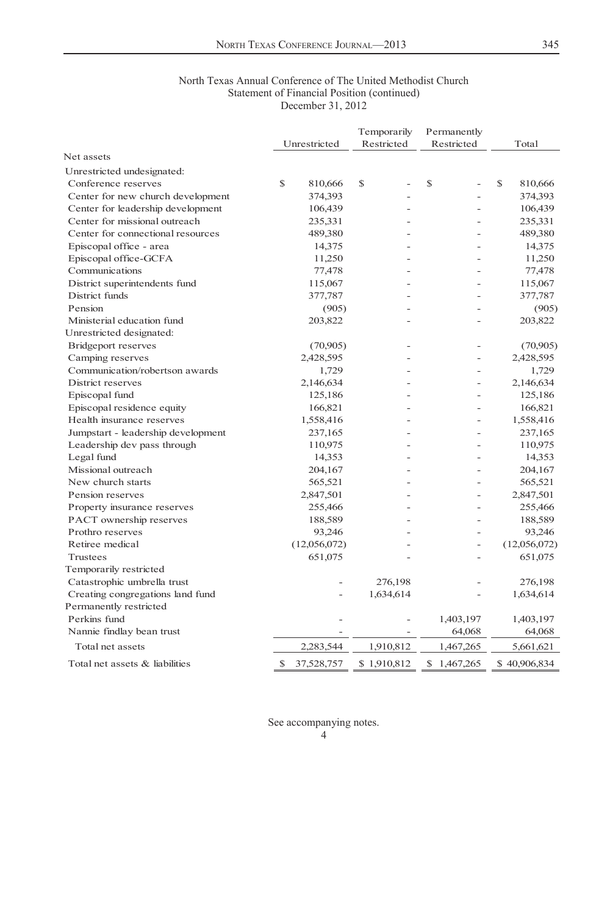#### North Texas Annual Conference of The United Methodist Church Statement of Financial Position (continued) December 31, 2012

|                                    |   |              | Temporarily   | Permanently |               |
|------------------------------------|---|--------------|---------------|-------------|---------------|
|                                    |   | Unrestricted | Restricted    | Restricted  | Total         |
| Net assets                         |   |              |               |             |               |
| Unrestricted undesignated:         |   |              |               |             |               |
| Conference reserves                | S | 810,666      | <sup>\$</sup> | \$          | \$<br>810,666 |
| Center for new church development  |   | 374,393      |               |             | 374,393       |
| Center for leadership development  |   | 106,439      |               |             | 106,439       |
| Center for missional outreach      |   | 235,331      |               |             | 235,331       |
| Center for connectional resources  |   | 489,380      |               |             | 489,380       |
| Episcopal office - area            |   | 14,375       |               |             | 14,375        |
| Episcopal office-GCFA              |   | 11,250       |               |             | 11,250        |
| Communications                     |   | 77,478       |               |             | 77,478        |
| District superintendents fund      |   | 115,067      |               |             | 115,067       |
| District funds                     |   | 377,787      |               |             | 377,787       |
| Pension                            |   | (905)        |               |             | (905)         |
| Ministerial education fund         |   | 203,822      |               |             | 203,822       |
| Unrestricted designated:           |   |              |               |             |               |
| <b>Bridgeport reserves</b>         |   | (70,905)     |               |             | (70,905)      |
| Camping reserves                   |   | 2,428,595    |               | Ĩ.          | 2,428,595     |
| Communication/robertson awards     |   | 1,729        |               |             | 1,729         |
| District reserves                  |   | 2,146,634    |               |             | 2,146,634     |
| Episcopal fund                     |   | 125,186      |               |             | 125,186       |
| Episcopal residence equity         |   | 166,821      |               |             | 166,821       |
| Health insurance reserves          |   | 1,558,416    |               |             | 1,558,416     |
| Jumpstart - leadership development |   | 237,165      |               |             | 237,165       |
| Leadership dev pass through        |   | 110,975      |               |             | 110,975       |
| Legal fund                         |   | 14,353       |               |             | 14,353        |
| Missional outreach                 |   | 204,167      |               |             | 204,167       |
| New church starts                  |   | 565,521      |               |             | 565,521       |
| Pension reserves                   |   | 2,847,501    |               |             | 2,847,501     |
| Property insurance reserves        |   | 255,466      |               | ۰           | 255,466       |
| PACT ownership reserves            |   | 188,589      |               | ä,          | 188,589       |
| Prothro reserves                   |   | 93,246       |               |             | 93,246        |
| Retiree medical                    |   | (12,056,072) |               | ÷,          | (12,056,072)  |
| Trustees                           |   | 651,075      |               |             | 651,075       |
| Temporarily restricted             |   |              |               |             |               |
| Catastrophic umbrella trust        |   |              | 276,198       |             | 276,198       |
| Creating congregations land fund   |   |              | 1,634,614     | ÷           | 1,634,614     |
| Permanently restricted             |   |              |               |             |               |
| Perkins fund                       |   |              |               | 1,403,197   | 1,403,197     |
| Nannie findlay bean trust          |   |              | ÷,            | 64,068      | 64,068        |
| Total net assets                   |   | 2,283,544    | 1,910,812     | 1,467,265   | 5,661,621     |
| Total net assets & liabilities     | S | 37,528,757   | \$1,910,812   | \$1,467,265 | \$40,906,834  |

<sup>4</sup>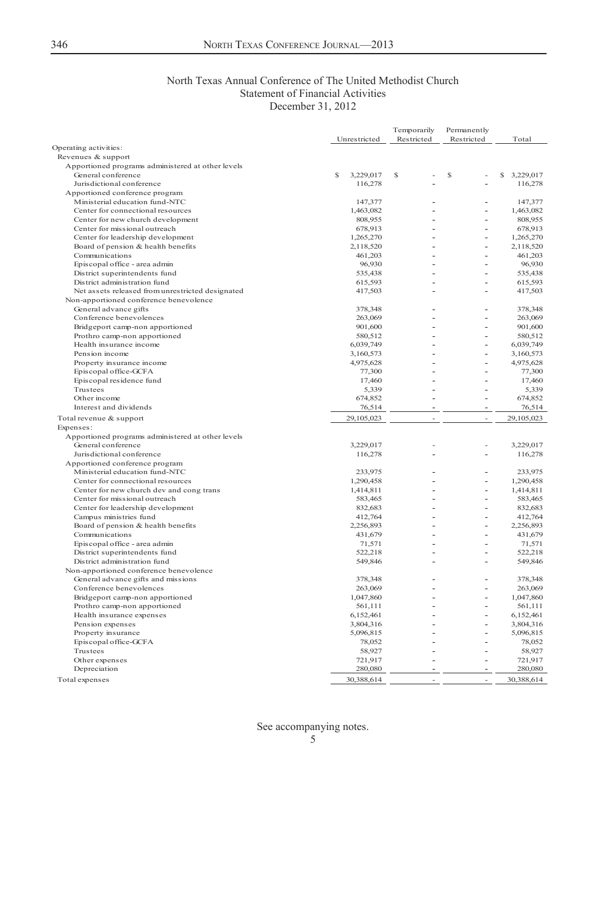### North Texas Annual Conference of The United Methodist Church Statement of Financial Activities December 31, 2012

|                                                             |                        | Temporarily              | Permanently |                        |
|-------------------------------------------------------------|------------------------|--------------------------|-------------|------------------------|
|                                                             | Unrestricted           | Restricted               | Restricted  | Total                  |
| Operating activities:                                       |                        |                          |             |                        |
| Revenues & support                                          |                        |                          |             |                        |
| Apportioned programs administered at other levels           |                        |                          |             |                        |
| General conference                                          | S<br>3,229,017         | S                        | S<br>ä,     | \$ 3,229,017           |
| Jurisdictional conference                                   | 116,278                |                          |             | 116,278                |
| Apportioned conference program                              |                        |                          |             |                        |
| Ministerial education fund-NTC                              | 147,377                |                          | ä,          | 147.377                |
| Center for connectional resources                           | 1,463,082              |                          | Ĭ.          | 1,463,082              |
| Center for new church development                           | 808,955                |                          | J.          | 808,955                |
| Center for missional outreach                               | 678,913                |                          | ä,          | 678,913                |
| Center for leadership development                           | 1,265,270              |                          | L,          | 1,265,270              |
| Board of pension & health benefits                          | 2,118,520              |                          | Ĭ.          | 2,118,520              |
| Communications                                              | 461,203                | J.                       | L,          | 461,203                |
| Episcopal office - area admin                               | 96,930                 | ÷.                       | ä,          | 96,930                 |
| District superintendents fund                               | 535,438                |                          | J.          | 535,438                |
| District administration fund                                | 615,593                |                          | J.          | 615,593                |
| Net assets released from unrestricted designated            | 417,503                |                          | L,          | 417,503                |
| Non-apportioned conference benevolence                      |                        |                          |             |                        |
| General advance gifts                                       | 378,348                | ä,                       | J.          | 378,348                |
| Conference benevolences                                     | 263,069                |                          | J.          | 263,069                |
| Bridgeport camp-non apportioned                             | 901,600                |                          |             | 901,600                |
| Prothro camp-non apportioned                                | 580,512                |                          | L,          | 580,512                |
| Health insurance income                                     | 6,039,749              |                          | J.          | 6,039,749              |
| Pension income                                              | 3,160,573              | ÷.                       |             | 3,160,573              |
| Property insurance income                                   | 4,975,628              |                          | L,          | 4,975,628              |
| Episcopal office-GCFA                                       | 77,300                 |                          |             | 77,300                 |
| Episcopal residence fund                                    | 17,460                 |                          | L,          | 17,460                 |
| Trustees                                                    | 5,339                  |                          |             | 5,339                  |
| Other income                                                | 674,852                |                          | ä,          | 674,852                |
| Interest and dividends                                      | 76,514                 | $\overline{\phantom{m}}$ | ÷,          | 76,514                 |
| Total revenue & support                                     | 29,105,023             | ä,                       | ÷,          | 29,105,023             |
| Expenses:                                                   |                        |                          |             |                        |
| Apportioned programs administered at other levels           |                        |                          | ä,          |                        |
| General conference<br>Jurisdictional conference             | 3,229,017              |                          |             | 3,229,017              |
|                                                             | 116,278                |                          |             | 116,278                |
| Apportioned conference program                              |                        |                          |             | 233,975                |
| Ministerial education fund-NTC                              | 233,975                |                          | ÷<br>L,     |                        |
| Center for connectional resources                           | 1,290,458              |                          | J.          | 1,290,458              |
| Center for new church dev and cong trans                    | 1,414,811<br>583,465   | ÷.                       | ä,          | 1,414,811              |
| Center for missional outreach                               |                        |                          | L,          | 583,465                |
| Center for leadership development<br>Campus ministries fund | 832,683<br>412,764     |                          | ä,          | 832,683<br>412,764     |
| Board of pension & health benefits                          | 2,256,893              | J.                       | Ĭ.          | 2,256,893              |
| Communications                                              | 431,679                | J.                       | L,          | 431,679                |
| Episcopal office - area admin                               | 71,571                 |                          |             | 71,571                 |
| District superintendents fund                               | 522,218                | L,                       | L,          | 522,218                |
| District administration fund                                | 549,846                |                          | Ĭ.          | 549,846                |
| Non-apportioned conference benevolence                      |                        |                          |             |                        |
| General advance gifts and missions                          | 378,348                |                          | ä,          | 378,348                |
| Conference benevolences                                     | 263,069                |                          |             | 263,069                |
| Bridgeport camp-non apportioned                             | 1,047,860              | J.                       | L,          | 1,047,860              |
| Prothro camp-non apportioned                                | 561,111                |                          | ä,          | 561,111                |
| Health insurance expenses                                   | 6,152,461              | L,                       | L,          | 6,152,461              |
|                                                             |                        |                          | L.          |                        |
| Pension expenses<br>Property insurance                      | 3,804,316<br>5,096,815 |                          | ä,          | 3,804,316<br>5,096,815 |
| Episcopal office-GCFA                                       | 78,052                 |                          | L,          | 78,052                 |
| Trustees                                                    | 58,927                 |                          |             | 58,927                 |
| Other expenses                                              | 721,917                |                          | J.          | 721,917                |
| Depreciation                                                | 280,080                | ä,                       |             | 280,080                |
|                                                             |                        | à.                       | ÷           |                        |
| Total expenses                                              | 30,388,614             |                          |             | 30,388,614             |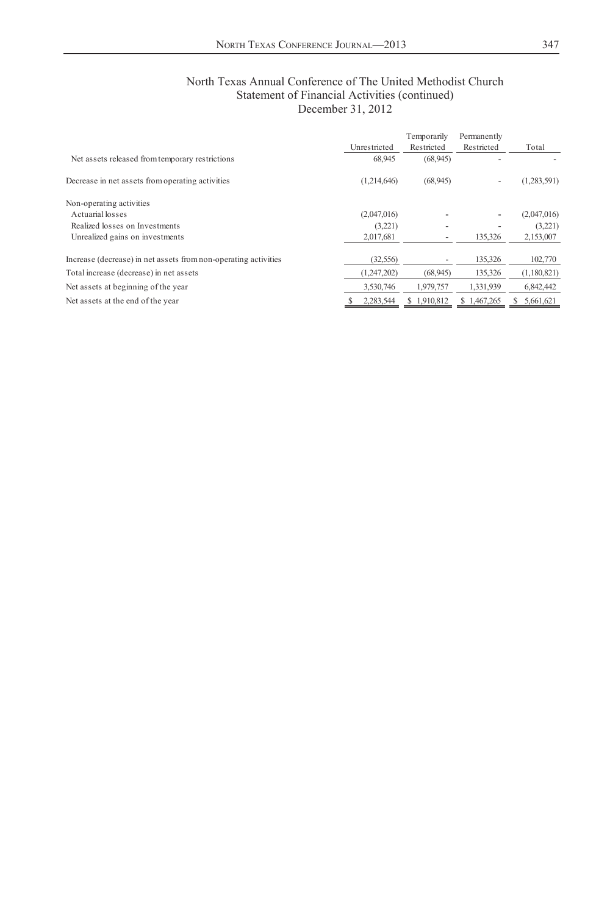| North Texas Annual Conference of The United Methodist Church |
|--------------------------------------------------------------|
| Statement of Financial Activities (continued)                |
| December 31, 2012                                            |

|                                                                 |              | Temporarily | Permanently              |             |
|-----------------------------------------------------------------|--------------|-------------|--------------------------|-------------|
|                                                                 | Unrestricted | Restricted  | Restricted               | Total       |
| Net assets released from temporary restrictions                 | 68.945       | (68, 945)   |                          |             |
| Decrease in net assets from operating activities                | (1,214,646)  | (68, 945)   | $\overline{\phantom{a}}$ | (1,283,591) |
| Non-operating activities                                        |              |             |                          |             |
| Actuarial losses                                                | (2,047,016)  |             |                          | (2,047,016) |
| Realized losses on Investments                                  | (3,221)      |             |                          | (3,221)     |
| Unrealized gains on investments                                 | 2,017,681    |             | 135,326                  | 2,153,007   |
| Increase (decrease) in net assets from non-operating activities | (32, 556)    |             | 135,326                  | 102,770     |
| Total increase (decrease) in net assets                         | (1,247,202)  | (68, 945)   | 135,326                  | (1,180,821) |
| Net assets at beginning of the year                             | 3.530.746    | 1.979.757   | 1,331,939                | 6,842,442   |
| Net assets at the end of the year                               | 2,283,544    | \$1.910.812 | \$1.467.265              | 5,661,621   |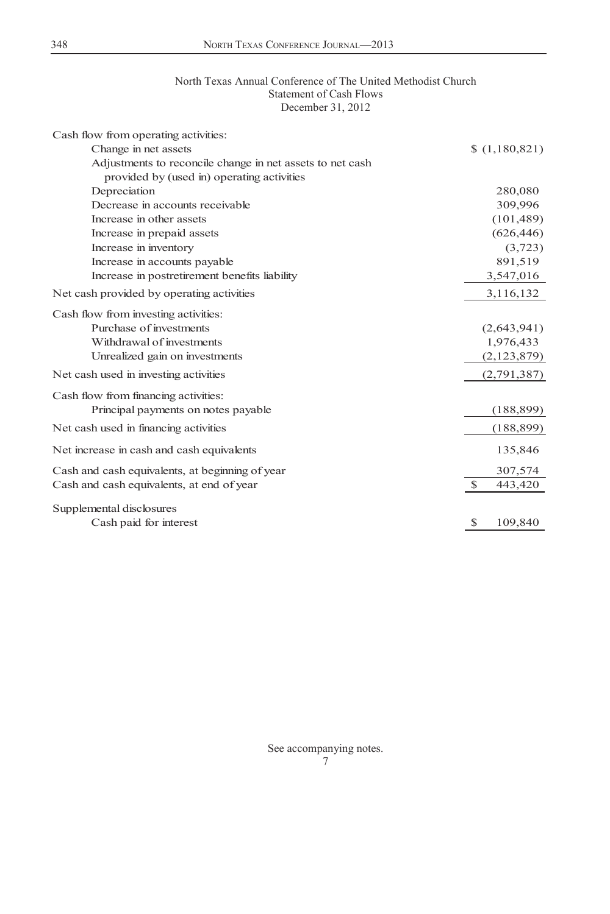## North Texas Annual Conference of The United Methodist Church Statement of Cash Flows December 31, 2012

| Cash flow from operating activities:                      |               |
|-----------------------------------------------------------|---------------|
| Change in net assets                                      | (1,180,821)   |
| Adjustments to reconcile change in net assets to net cash |               |
| provided by (used in) operating activities                |               |
| Depreciation                                              | 280,080       |
| Decrease in accounts receivable                           | 309,996       |
| Increase in other assets                                  | (101, 489)    |
| Increase in prepaid assets                                | (626, 446)    |
| Increase in inventory                                     | (3, 723)      |
| Increase in accounts payable                              | 891,519       |
| Increase in postretirement benefits liability             | 3,547,016     |
| Net cash provided by operating activities                 | 3,116,132     |
| Cash flow from investing activities:                      |               |
| Purchase of investments                                   | (2,643,941)   |
| Withdrawal of investments                                 | 1,976,433     |
| Unrealized gain on investments                            | (2,123,879)   |
| Net cash used in investing activities                     | (2,791,387)   |
| Cash flow from financing activities:                      |               |
| Principal payments on notes payable                       | (188, 899)    |
| Net cash used in financing activities                     | (188, 899)    |
| Net increase in cash and cash equivalents                 | 135,846       |
| Cash and cash equivalents, at beginning of year           | 307,574       |
| Cash and cash equivalents, at end of year                 | -S<br>443,420 |
| Supplemental disclosures                                  |               |
| Cash paid for interest                                    | 109,840<br>S  |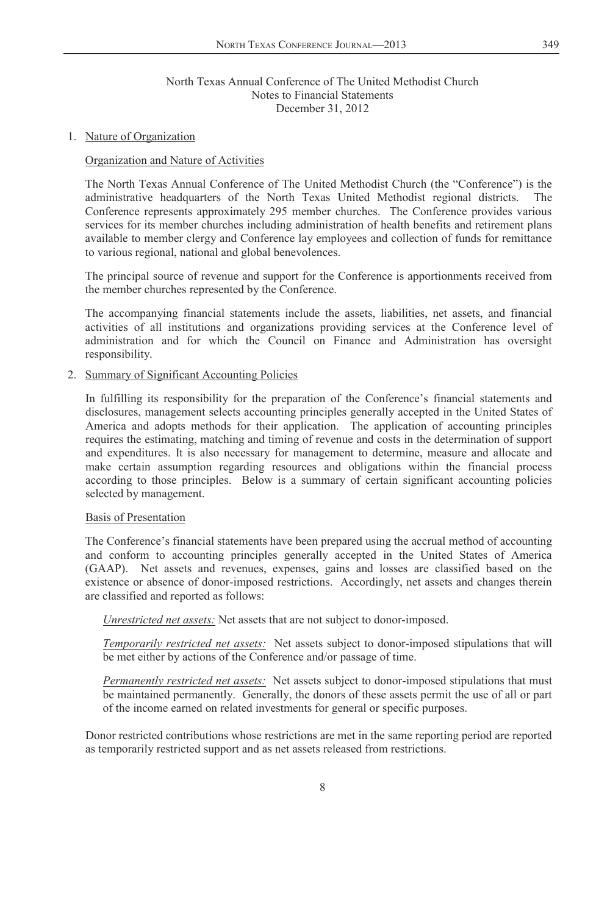#### 1. Nature of Organization

### Organization and Nature of Activities

The North Texas Annual Conference of The United Methodist Church (the "Conference") is the administrative headquarters of the North Texas United Methodist regional districts. The Conference represents approximately 295 member churches. The Conference provides various services for its member churches including administration of health benefits and retirement plans available to member clergy and Conference lay employees and collection of funds for remittance to various regional, national and global benevolences.

The principal source of revenue and support for the Conference is apportionments received from the member churches represented by the Conference.

The accompanying financial statements include the assets, liabilities, net assets, and financial activities of all institutions and organizations providing services at the Conference level of administration and for which the Council on Finance and Administration has oversight responsibility.

## 2. Summary of Significant Accounting Policies

In fulfilling its responsibility for the preparation of the Conference's financial statements and disclosures, management selects accounting principles generally accepted in the United States of America and adopts methods for their application. The application of accounting principles requires the estimating, matching and timing of revenue and costs in the determination of support and expenditures. It is also necessary for management to determine, measure and allocate and make certain assumption regarding resources and obligations within the financial process according to those principles. Below is a summary of certain significant accounting policies selected by management.

#### Basis of Presentation

The Conference's financial statements have been prepared using the accrual method of accounting and conform to accounting principles generally accepted in the United States of America (GAAP). Net assets and revenues, expenses, gains and losses are classified based on the existence or absence of donor-imposed restrictions. Accordingly, net assets and changes therein are classified and reported as follows:

*Unrestricted net assets:* Net assets that are not subject to donor-imposed.

*Temporarily restricted net assets:* Net assets subject to donor-imposed stipulations that will be met either by actions of the Conference and/or passage of time.

*Permanently restricted net assets:* Net assets subject to donor-imposed stipulations that must be maintained permanently. Generally, the donors of these assets permit the use of all or part of the income earned on related investments for general or specific purposes.

Donor restricted contributions whose restrictions are met in the same reporting period are reported as temporarily restricted support and as net assets released from restrictions.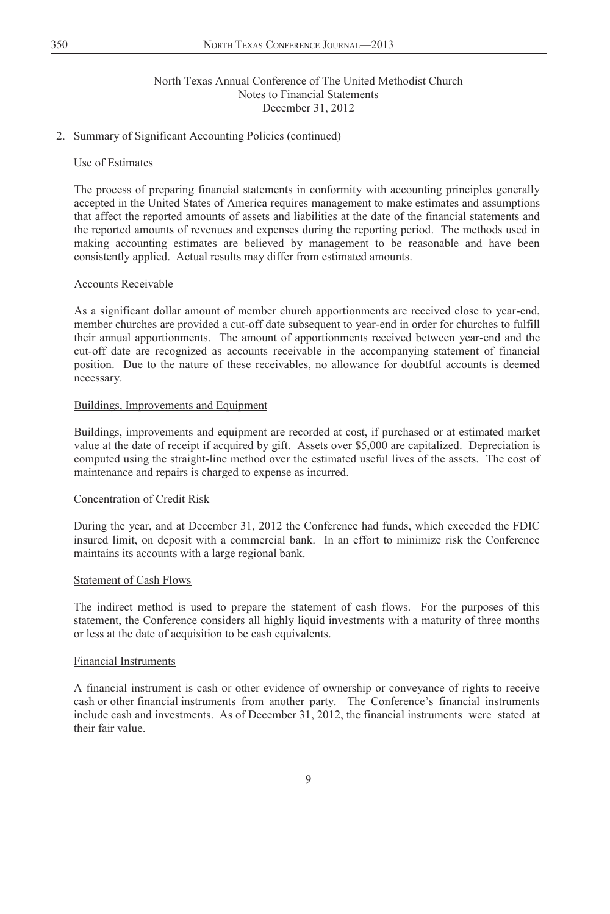### 2. Summary of Significant Accounting Policies (continued)

#### Use of Estimates

The process of preparing financial statements in conformity with accounting principles generally accepted in the United States of America requires management to make estimates and assumptions that affect the reported amounts of assets and liabilities at the date of the financial statements and the reported amounts of revenues and expenses during the reporting period. The methods used in making accounting estimates are believed by management to be reasonable and have been consistently applied. Actual results may differ from estimated amounts.

## Accounts Receivable

As a significant dollar amount of member church apportionments are received close to year-end, member churches are provided a cut-off date subsequent to year-end in order for churches to fulfill their annual apportionments. The amount of apportionments received between year-end and the cut-off date are recognized as accounts receivable in the accompanying statement of financial position. Due to the nature of these receivables, no allowance for doubtful accounts is deemed necessary.

#### Buildings, Improvements and Equipment

Buildings, improvements and equipment are recorded at cost, if purchased or at estimated market value at the date of receipt if acquired by gift. Assets over \$5,000 are capitalized. Depreciation is computed using the straight-line method over the estimated useful lives of the assets. The cost of maintenance and repairs is charged to expense as incurred.

#### Concentration of Credit Risk

During the year, and at December 31, 2012 the Conference had funds, which exceeded the FDIC insured limit, on deposit with a commercial bank. In an effort to minimize risk the Conference maintains its accounts with a large regional bank.

#### Statement of Cash Flows

The indirect method is used to prepare the statement of cash flows. For the purposes of this statement, the Conference considers all highly liquid investments with a maturity of three months or less at the date of acquisition to be cash equivalents.

#### Financial Instruments

A financial instrument is cash or other evidence of ownership or conveyance of rights to receive cash or other financial instruments from another party. The Conference's financial instruments include cash and investments. As of December 31, 2012, the financial instruments were stated at their fair value.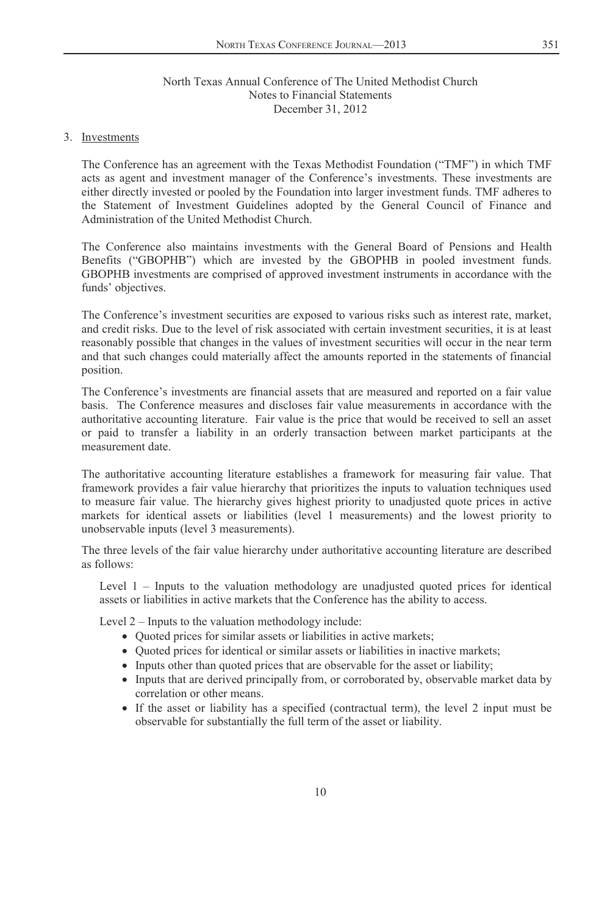#### 3. Investments

The Conference has an agreement with the Texas Methodist Foundation ("TMF") in which TMF acts as agent and investment manager of the Conference's investments. These investments are either directly invested or pooled by the Foundation into larger investment funds. TMF adheres to the Statement of Investment Guidelines adopted by the General Council of Finance and Administration of the United Methodist Church.

The Conference also maintains investments with the General Board of Pensions and Health Benefits ("GBOPHB") which are invested by the GBOPHB in pooled investment funds. GBOPHB investments are comprised of approved investment instruments in accordance with the funds' objectives.

The Conference's investment securities are exposed to various risks such as interest rate, market, and credit risks. Due to the level of risk associated with certain investment securities, it is at least reasonably possible that changes in the values of investment securities will occur in the near term and that such changes could materially affect the amounts reported in the statements of financial position.

The Conference's investments are financial assets that are measured and reported on a fair value basis. The Conference measures and discloses fair value measurements in accordance with the authoritative accounting literature. Fair value is the price that would be received to sell an asset or paid to transfer a liability in an orderly transaction between market participants at the measurement date.

The authoritative accounting literature establishes a framework for measuring fair value. That framework provides a fair value hierarchy that prioritizes the inputs to valuation techniques used to measure fair value. The hierarchy gives highest priority to unadjusted quote prices in active markets for identical assets or liabilities (level 1 measurements) and the lowest priority to unobservable inputs (level 3 measurements).

The three levels of the fair value hierarchy under authoritative accounting literature are described as follows:

Level 1 – Inputs to the valuation methodology are unadjusted quoted prices for identical assets or liabilities in active markets that the Conference has the ability to access.

Level 2 – Inputs to the valuation methodology include:

- Quoted prices for similar assets or liabilities in active markets;
- Quoted prices for identical or similar assets or liabilities in inactive markets;
- Inputs other than quoted prices that are observable for the asset or liability;
- Inputs that are derived principally from, or corroborated by, observable market data by correlation or other means.
- If the asset or liability has a specified (contractual term), the level 2 input must be observable for substantially the full term of the asset or liability.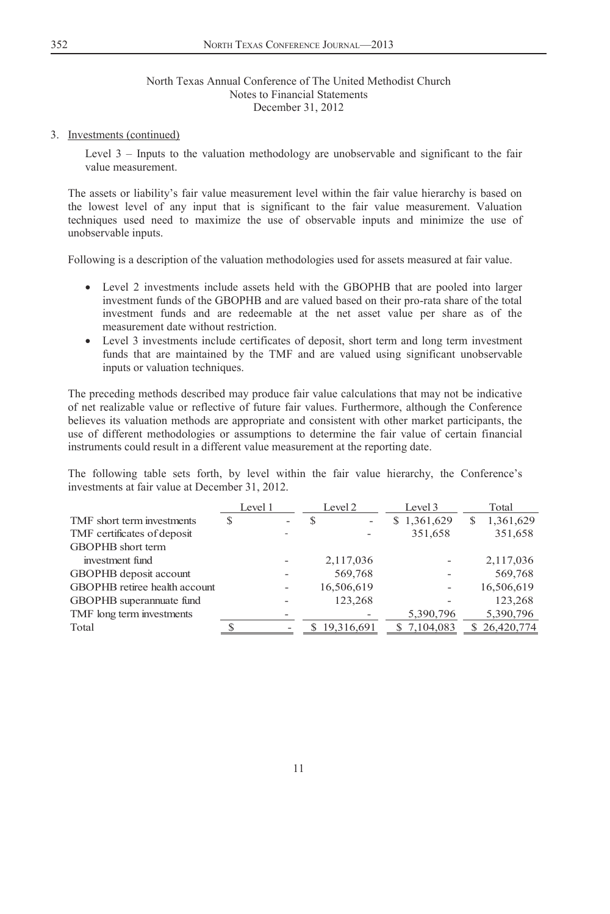#### 3. Investments (continued)

Level 3 – Inputs to the valuation methodology are unobservable and significant to the fair value measurement.

The assets or liability's fair value measurement level within the fair value hierarchy is based on the lowest level of any input that is significant to the fair value measurement. Valuation techniques used need to maximize the use of observable inputs and minimize the use of unobservable inputs.

Following is a description of the valuation methodologies used for assets measured at fair value.

- Level 2 investments include assets held with the GBOPHB that are pooled into larger investment funds of the GBOPHB and are valued based on their pro-rata share of the total investment funds and are redeemable at the net asset value per share as of the measurement date without restriction.
- Level 3 investments include certificates of deposit, short term and long term investment funds that are maintained by the TMF and are valued using significant unobservable inputs or valuation techniques.

The preceding methods described may produce fair value calculations that may not be indicative of net realizable value or reflective of future fair values. Furthermore, although the Conference believes its valuation methods are appropriate and consistent with other market participants, the use of different methodologies or assumptions to determine the fair value of certain financial instruments could result in a different value measurement at the reporting date.

The following table sets forth, by level within the fair value hierarchy, the Conference's investments at fair value at December 31, 2012.

|                               | Level 1 |   | Level 2    | Level 3     |    | Total        |
|-------------------------------|---------|---|------------|-------------|----|--------------|
| TMF short term investments    |         | S |            | \$1,361,629 | \$ | 1,361,629    |
| TMF certificates of deposit   |         |   |            | 351,658     |    | 351,658      |
| <b>GBOPHB</b> short term      |         |   |            |             |    |              |
| investment fund               |         |   | 2,117,036  |             |    | 2,117,036    |
| GBOPHB deposit account        |         |   | 569,768    |             |    | 569,768      |
| GBOPHB retiree health account |         |   | 16,506,619 |             |    | 16,506,619   |
| GBOPHB superannuate fund      |         |   | 123,268    |             |    | 123,268      |
| TMF long term investments     |         |   |            | 5,390,796   |    | 5,390,796    |
| Total                         |         |   | 19,316,691 | \$7,104,083 |    | \$26,420,774 |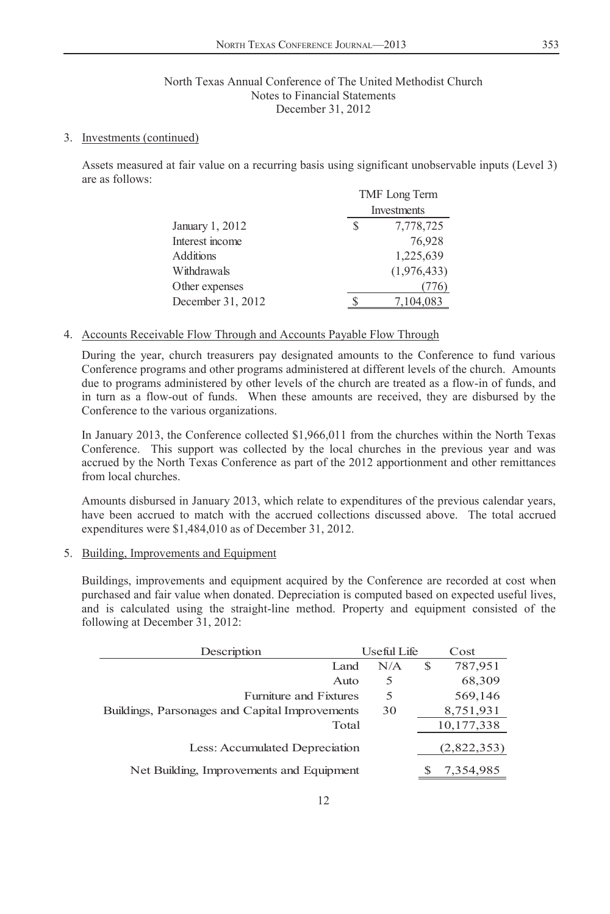### 3. Investments (continued)

Assets measured at fair value on a recurring basis using significant unobservable inputs (Level 3) are as follows:

|                   | TMF Long Term |             |  |  |
|-------------------|---------------|-------------|--|--|
|                   |               | Investments |  |  |
| January 1, 2012   | S             | 7,778,725   |  |  |
| Interest income   |               | 76,928      |  |  |
| <b>Additions</b>  |               | 1,225,639   |  |  |
| Withdrawals       |               | (1,976,433) |  |  |
| Other expenses    |               |             |  |  |
| December 31, 2012 |               | 7,104,083   |  |  |

## 4. Accounts Receivable Flow Through and Accounts Payable Flow Through

During the year, church treasurers pay designated amounts to the Conference to fund various Conference programs and other programs administered at different levels of the church. Amounts due to programs administered by other levels of the church are treated as a flow-in of funds, and in turn as a flow-out of funds. When these amounts are received, they are disbursed by the Conference to the various organizations.

In January 2013, the Conference collected \$1,966,011 from the churches within the North Texas Conference. This support was collected by the local churches in the previous year and was accrued by the North Texas Conference as part of the 2012 apportionment and other remittances from local churches.

Amounts disbursed in January 2013, which relate to expenditures of the previous calendar years, have been accrued to match with the accrued collections discussed above. The total accrued expenditures were \$1,484,010 as of December 31, 2012.

5. Building, Improvements and Equipment

Buildings, improvements and equipment acquired by the Conference are recorded at cost when purchased and fair value when donated. Depreciation is computed based on expected useful lives, and is calculated using the straight-line method. Property and equipment consisted of the following at December 31, 2012:

| Description                                    | Useful Life |   | Cost        |
|------------------------------------------------|-------------|---|-------------|
| Land                                           | N/A         | S | 787,951     |
| Auto                                           | 5           |   | 68,309      |
| <b>Furniture and Fixtures</b>                  | 5           |   | 569,146     |
| Buildings, Parsonages and Capital Improvements | 30          |   | 8,751,931   |
| Total                                          |             |   | 10,177,338  |
| Less: Accumulated Depreciation                 |             |   | (2,822,353) |
| Net Building, Improvements and Equipment       |             |   | 7,354,985   |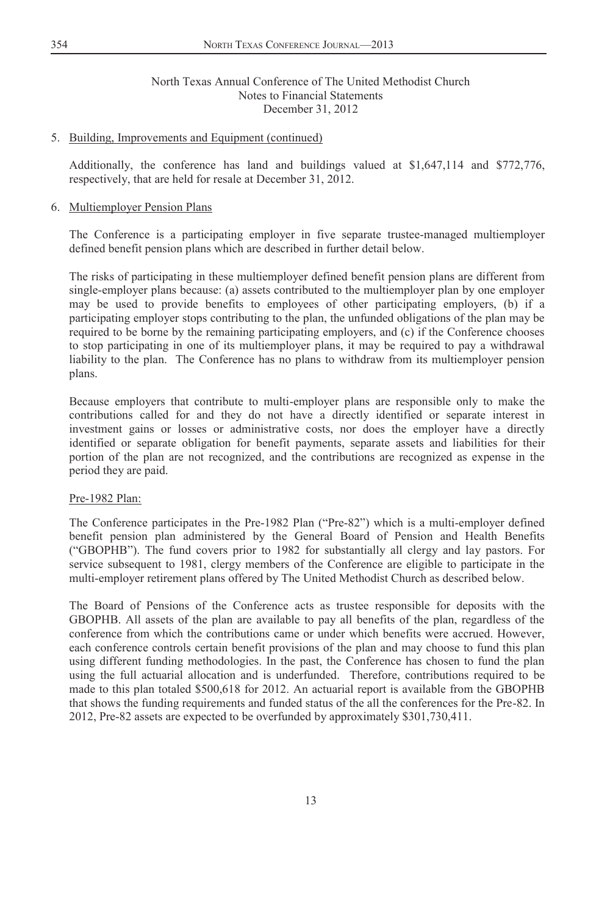#### 5. Building, Improvements and Equipment (continued)

Additionally, the conference has land and buildings valued at \$1,647,114 and \$772,776, respectively, that are held for resale at December 31, 2012.

### 6. Multiemployer Pension Plans

The Conference is a participating employer in five separate trustee-managed multiemployer defined benefit pension plans which are described in further detail below.

The risks of participating in these multiemployer defined benefit pension plans are different from single-employer plans because: (a) assets contributed to the multiemployer plan by one employer may be used to provide benefits to employees of other participating employers, (b) if a participating employer stops contributing to the plan, the unfunded obligations of the plan may be required to be borne by the remaining participating employers, and (c) if the Conference chooses to stop participating in one of its multiemployer plans, it may be required to pay a withdrawal liability to the plan. The Conference has no plans to withdraw from its multiemployer pension plans.

Because employers that contribute to multi-employer plans are responsible only to make the contributions called for and they do not have a directly identified or separate interest in investment gains or losses or administrative costs, nor does the employer have a directly identified or separate obligation for benefit payments, separate assets and liabilities for their portion of the plan are not recognized, and the contributions are recognized as expense in the period they are paid.

#### Pre-1982 Plan:

The Conference participates in the Pre-1982 Plan ("Pre-82") which is a multi-employer defined benefit pension plan administered by the General Board of Pension and Health Benefits ("GBOPHB"). The fund covers prior to 1982 for substantially all clergy and lay pastors. For service subsequent to 1981, clergy members of the Conference are eligible to participate in the multi-employer retirement plans offered by The United Methodist Church as described below.

The Board of Pensions of the Conference acts as trustee responsible for deposits with the GBOPHB. All assets of the plan are available to pay all benefits of the plan, regardless of the conference from which the contributions came or under which benefits were accrued. However, each conference controls certain benefit provisions of the plan and may choose to fund this plan using different funding methodologies. In the past, the Conference has chosen to fund the plan using the full actuarial allocation and is underfunded. Therefore, contributions required to be made to this plan totaled \$500,618 for 2012. An actuarial report is available from the GBOPHB that shows the funding requirements and funded status of the all the conferences for the Pre-82. In 2012, Pre-82 assets are expected to be overfunded by approximately \$301,730,411.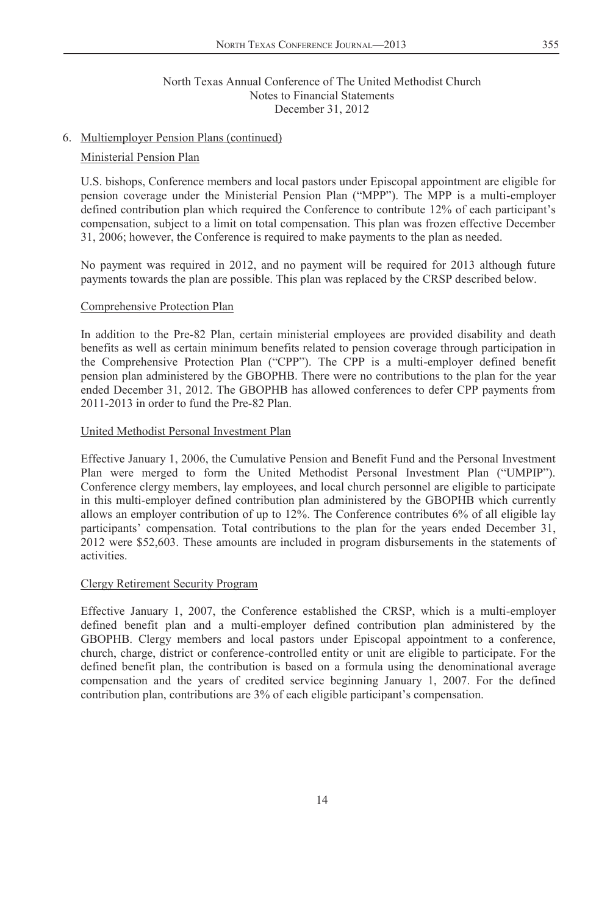### 6. Multiemployer Pension Plans (continued)

#### Ministerial Pension Plan

U.S. bishops, Conference members and local pastors under Episcopal appointment are eligible for pension coverage under the Ministerial Pension Plan ("MPP"). The MPP is a multi-employer defined contribution plan which required the Conference to contribute 12% of each participant's compensation, subject to a limit on total compensation. This plan was frozen effective December 31, 2006; however, the Conference is required to make payments to the plan as needed.

No payment was required in 2012, and no payment will be required for 2013 although future payments towards the plan are possible. This plan was replaced by the CRSP described below.

#### Comprehensive Protection Plan

In addition to the Pre-82 Plan, certain ministerial employees are provided disability and death benefits as well as certain minimum benefits related to pension coverage through participation in the Comprehensive Protection Plan ("CPP"). The CPP is a multi-employer defined benefit pension plan administered by the GBOPHB. There were no contributions to the plan for the year ended December 31, 2012. The GBOPHB has allowed conferences to defer CPP payments from 2011-2013 in order to fund the Pre-82 Plan.

#### United Methodist Personal Investment Plan

Effective January 1, 2006, the Cumulative Pension and Benefit Fund and the Personal Investment Plan were merged to form the United Methodist Personal Investment Plan ("UMPIP"). Conference clergy members, lay employees, and local church personnel are eligible to participate in this multi-employer defined contribution plan administered by the GBOPHB which currently allows an employer contribution of up to 12%. The Conference contributes 6% of all eligible lay participants' compensation. Total contributions to the plan for the years ended December 31, 2012 were \$52,603. These amounts are included in program disbursements in the statements of activities.

#### Clergy Retirement Security Program

Effective January 1, 2007, the Conference established the CRSP, which is a multi-employer defined benefit plan and a multi-employer defined contribution plan administered by the GBOPHB. Clergy members and local pastors under Episcopal appointment to a conference, church, charge, district or conference-controlled entity or unit are eligible to participate. For the defined benefit plan, the contribution is based on a formula using the denominational average compensation and the years of credited service beginning January 1, 2007. For the defined contribution plan, contributions are 3% of each eligible participant's compensation.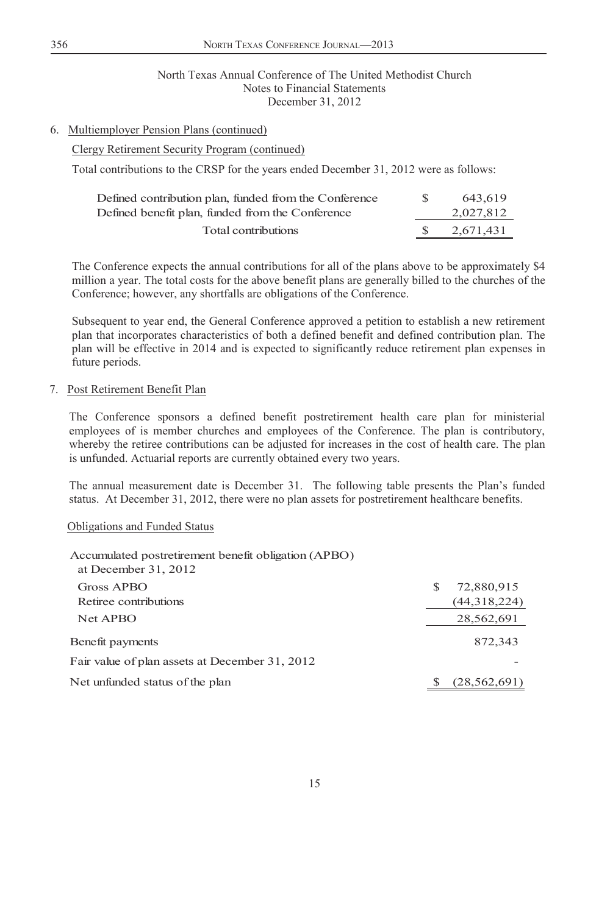## 6. Multiemployer Pension Plans (continued)

### Clergy Retirement Security Program (continued)

Total contributions to the CRSP for the years ended December 31, 2012 were as follows:

| Defined contribution plan, funded from the Conference | 643.619   |
|-------------------------------------------------------|-----------|
| Defined benefit plan, funded from the Conference      | 2,027,812 |
| Total contributions                                   | 2.671.431 |

The Conference expects the annual contributions for all of the plans above to be approximately \$4 million a year. The total costs for the above benefit plans are generally billed to the churches of the Conference; however, any shortfalls are obligations of the Conference.

Subsequent to year end, the General Conference approved a petition to establish a new retirement plan that incorporates characteristics of both a defined benefit and defined contribution plan. The plan will be effective in 2014 and is expected to significantly reduce retirement plan expenses in future periods.

### 7. Post Retirement Benefit Plan

The Conference sponsors a defined benefit postretirement health care plan for ministerial employees of is member churches and employees of the Conference. The plan is contributory, whereby the retiree contributions can be adjusted for increases in the cost of health care. The plan is unfunded. Actuarial reports are currently obtained every two years.

The annual measurement date is December 31. The following table presents the Plan's funded status. At December 31, 2012, there were no plan assets for postretirement healthcare benefits.

#### Obligations and Funded Status

| Accumulated postretirement benefit obligation (APBO)<br>at December 31, 2012 |   |                |
|------------------------------------------------------------------------------|---|----------------|
| Gross APBO                                                                   | S | 72,880,915     |
| Retiree contributions                                                        |   | (44,318,224)   |
| Net APBO                                                                     |   | 28,562,691     |
| Benefit payments                                                             |   | 872,343        |
| Fair value of plan assets at December 31, 2012                               |   |                |
| Net unfunded status of the plan                                              |   | (28, 562, 691) |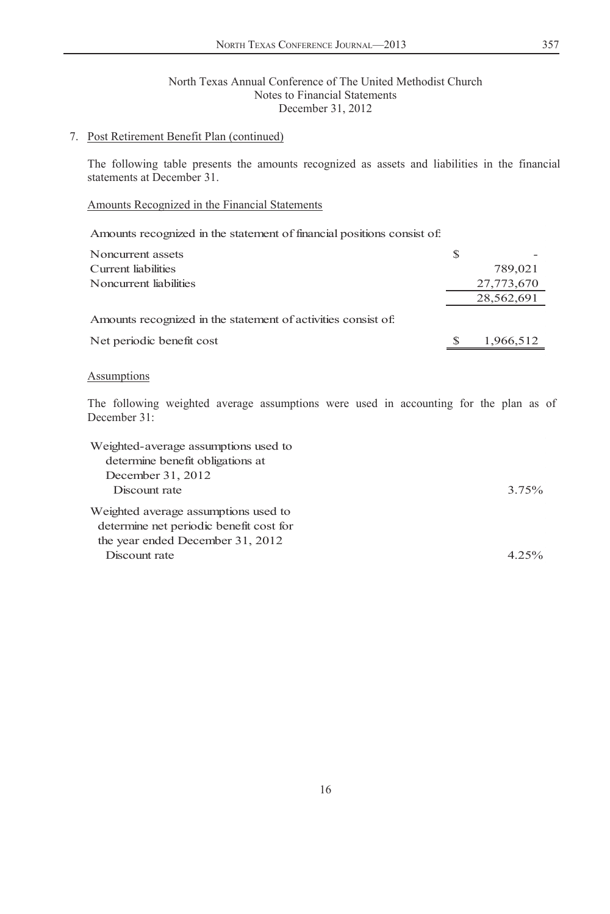### 7. Post Retirement Benefit Plan (continued)

The following table presents the amounts recognized as assets and liabilities in the financial statements at December 31.

## Amounts Recognized in the Financial Statements

Amounts recognized in the statement of financial positions consist of:

| Noncurrent assets                                             | S |            |
|---------------------------------------------------------------|---|------------|
| Current liabilities                                           |   | 789,021    |
| Noncurrent liabilities                                        |   | 27,773,670 |
|                                                               |   | 28,562,691 |
| Amounts recognized in the statement of activities consist of. |   |            |
| Net periodic benefit cost                                     |   | 1,966,512  |

## **Assumptions**

The following weighted average assumptions were used in accounting for the plan as of December 31:

| Weighted-average assumptions used to    |          |
|-----------------------------------------|----------|
| determine benefit obligations at        |          |
| December 31, 2012                       |          |
| Discount rate                           | 3.75%    |
| Weighted average assumptions used to    |          |
| determine net periodic benefit cost for |          |
| the year ended December 31, 2012        |          |
| Discount rate                           | $4.25\%$ |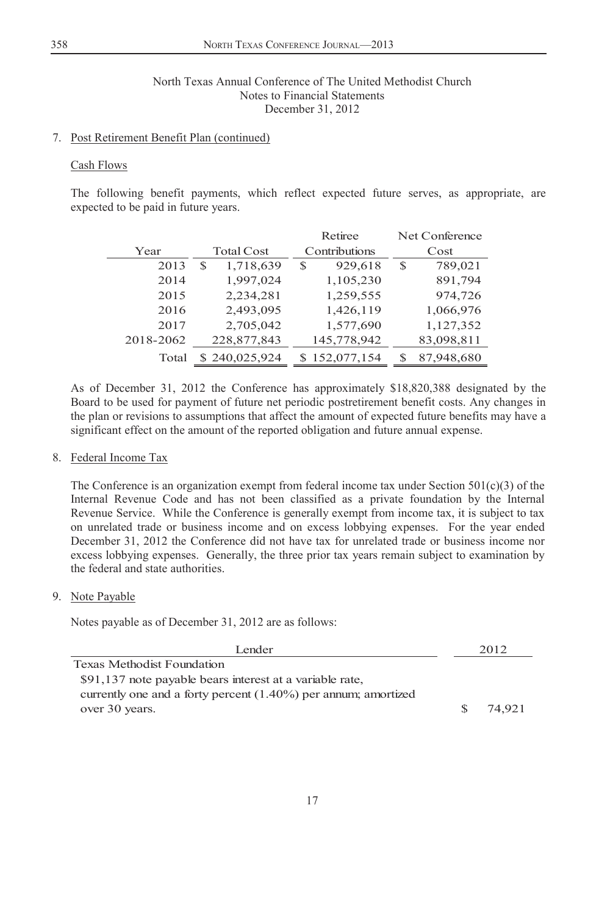### 7. Post Retirement Benefit Plan (continued)

## Cash Flows

The following benefit payments, which reflect expected future serves, as appropriate, are expected to be paid in future years.

|           |                   | Retiree          | Net Conference  |
|-----------|-------------------|------------------|-----------------|
| Year      | <b>Total Cost</b> | Contributions    | Cost            |
| 2013      | 1,718,639<br>S    | 929,618<br>S     | 789,021<br>S    |
| 2014      | 1,997,024         | 1,105,230        | 891,794         |
| 2015      | 2,234,281         | 1,259,555        | 974,726         |
| 2016      | 2,493,095         | 1,426,119        | 1,066,976       |
| 2017      | 2,705,042         | 1,577,690        | 1,127,352       |
| 2018-2062 | 228,877,843       | 145,778,942      | 83,098,811      |
| Total     | \$240,025,924     | 152,077,154<br>S | 87,948,680<br>S |

As of December 31, 2012 the Conference has approximately \$18,820,388 designated by the Board to be used for payment of future net periodic postretirement benefit costs. Any changes in the plan or revisions to assumptions that affect the amount of expected future benefits may have a significant effect on the amount of the reported obligation and future annual expense.

#### 8. Federal Income Tax

The Conference is an organization exempt from federal income tax under Section  $501(c)(3)$  of the Internal Revenue Code and has not been classified as a private foundation by the Internal Revenue Service. While the Conference is generally exempt from income tax, it is subject to tax on unrelated trade or business income and on excess lobbying expenses. For the year ended December 31, 2012 the Conference did not have tax for unrelated trade or business income nor excess lobbying expenses. Generally, the three prior tax years remain subject to examination by the federal and state authorities.

#### 9. Note Payable

Notes payable as of December 31, 2012 are as follows:

| Lender                                                            |    | 2012   |
|-------------------------------------------------------------------|----|--------|
| Texas Methodist Foundation                                        |    |        |
| \$91,137 note payable bears interest at a variable rate.          |    |        |
| currently one and a forty percent $(1.40\%)$ per annum; amortized |    |        |
| over 30 years.                                                    | S. | 74.921 |
|                                                                   |    |        |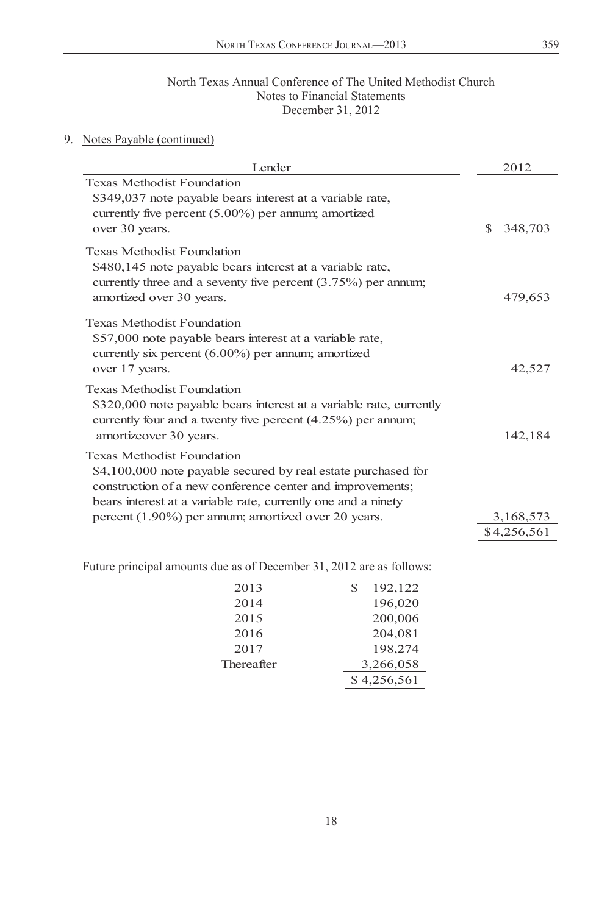# 9. Notes Payable (continued)

| Lender                                                                                                                                                                                                                           | 2012                     |
|----------------------------------------------------------------------------------------------------------------------------------------------------------------------------------------------------------------------------------|--------------------------|
| <b>Texas Methodist Foundation</b><br>\$349,037 note payable bears interest at a variable rate,<br>currently five percent $(5.00\%)$ per annum; amortized<br>over 30 years.                                                       | S.<br>348,703            |
| <b>Texas Methodist Foundation</b><br>\$480,145 note payable bears interest at a variable rate,<br>currently three and a seventy five percent $(3.75%)$ per annum;<br>amortized over 30 years.                                    | 479,653                  |
| <b>Texas Methodist Foundation</b><br>\$57,000 note payable bears interest at a variable rate,<br>currently six percent $(6.00\%)$ per annum; amortized<br>over 17 years.                                                         | 42,527                   |
| <b>Texas Methodist Foundation</b><br>\$320,000 note payable bears interest at a variable rate, currently<br>currently four and a twenty five percent $(4.25%)$ per annum;<br>amortizeover 30 years.                              | 142,184                  |
| <b>Texas Methodist Foundation</b><br>\$4,100,000 note payable secured by real estate purchased for<br>construction of a new conference center and improvements;<br>bears interest at a variable rate, currently one and a ninety |                          |
| percent (1.90%) per annum; amortized over 20 years.                                                                                                                                                                              | 3,168,573<br>\$4,256,561 |
|                                                                                                                                                                                                                                  |                          |

Future principal amounts due as of December 31, 2012 are as follows:

| 2013       | 192,122<br>S |
|------------|--------------|
| 2014       | 196,020      |
| 2015       | 200,006      |
| 2016       | 204,081      |
| 2017       | 198,274      |
| Thereafter | 3,266,058    |
|            | \$4,256,561  |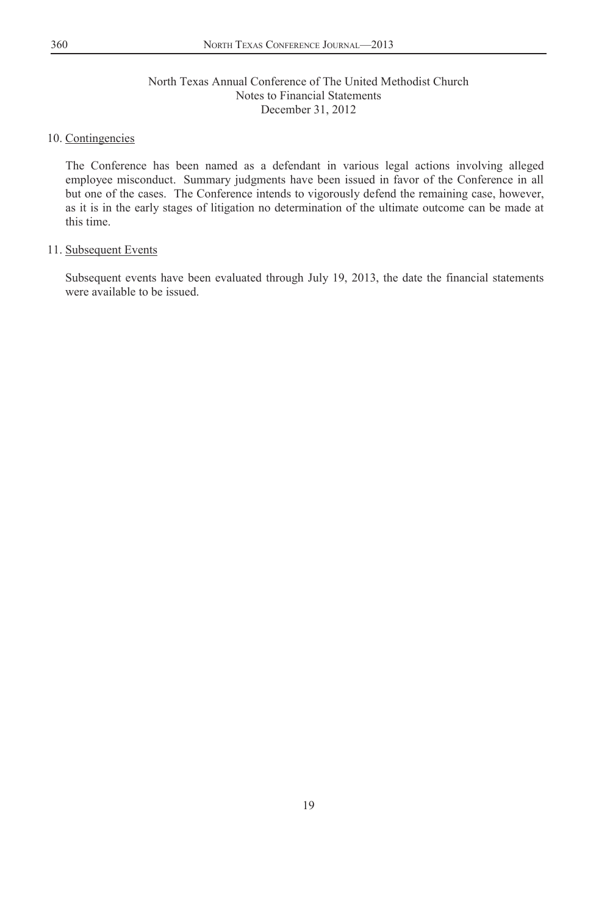## 10. Contingencies

The Conference has been named as a defendant in various legal actions involving alleged employee misconduct. Summary judgments have been issued in favor of the Conference in all but one of the cases. The Conference intends to vigorously defend the remaining case, however, as it is in the early stages of litigation no determination of the ultimate outcome can be made at this time.

## 11. Subsequent Events

Subsequent events have been evaluated through July 19, 2013, the date the financial statements were available to be issued.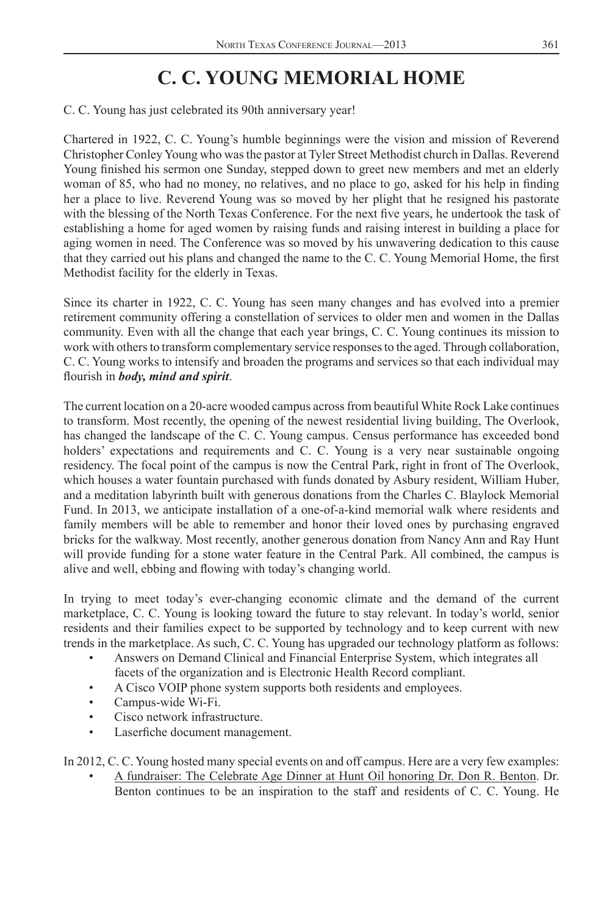# **C. C. YOUNG MEMORIAL HOME**

C. C. Young has just celebrated its 90th anniversary year!

Chartered in 1922, C. C. Young's humble beginnings were the vision and mission of Reverend Christopher Conley Young who was the pastor at Tyler Street Methodist church in Dallas. Reverend Young finished his sermon one Sunday, stepped down to greet new members and met an elderly woman of 85, who had no money, no relatives, and no place to go, asked for his help in finding her a place to live. Reverend Young was so moved by her plight that he resigned his pastorate with the blessing of the North Texas Conference. For the next five years, he undertook the task of establishing a home for aged women by raising funds and raising interest in building a place for aging women in need. The Conference was so moved by his unwavering dedication to this cause that they carried out his plans and changed the name to the C. C. Young Memorial Home, the first Methodist facility for the elderly in Texas.

Since its charter in 1922, C. C. Young has seen many changes and has evolved into a premier retirement community offering a constellation of services to older men and women in the Dallas community. Even with all the change that each year brings, C. C. Young continues its mission to work with others to transform complementary service responses to the aged. Through collaboration, C. C. Young works to intensify and broaden the programs and services so that each individual may flourish in *body*, mind and spirit.

The current location on a 20-acre wooded campus across from beautiful White Rock Lake continues to transform. Most recently, the opening of the newest residential living building, The Overlook, has changed the landscape of the C. C. Young campus. Census performance has exceeded bond holders' expectations and requirements and C. C. Young is a very near sustainable ongoing residency. The focal point of the campus is now the Central Park, right in front of The Overlook, which houses a water fountain purchased with funds donated by Asbury resident, William Huber, and a meditation labyrinth built with generous donations from the Charles C. Blaylock Memorial Fund. In 2013, we anticipate installation of a one-of-a-kind memorial walk where residents and family members will be able to remember and honor their loved ones by purchasing engraved bricks for the walkway. Most recently, another generous donation from Nancy Ann and Ray Hunt will provide funding for a stone water feature in the Central Park. All combined, the campus is alive and well, ebbing and flowing with today's changing world.

In trying to meet today's ever-changing economic climate and the demand of the current marketplace, C. C. Young is looking toward the future to stay relevant. In today's world, senior residents and their families expect to be supported by technology and to keep current with new trends in the marketplace. As such, C. C. Young has upgraded our technology platform as follows:

- Answers on Demand Clinical and Financial Enterprise System, which integrates all facets of the organization and is Electronic Health Record compliant.
- A Cisco VOIP phone system supports both residents and employees.
- Campus-wide Wi-Fi.
- Cisco network infrastructure.
- Laserfiche document management.

In 2012, C. C. Young hosted many special events on and off campus. Here are a very few examples:

• A fundraiser: The Celebrate Age Dinner at Hunt Oil honoring Dr. Don R. Benton. Dr. Benton continues to be an inspiration to the staff and residents of C. C. Young. He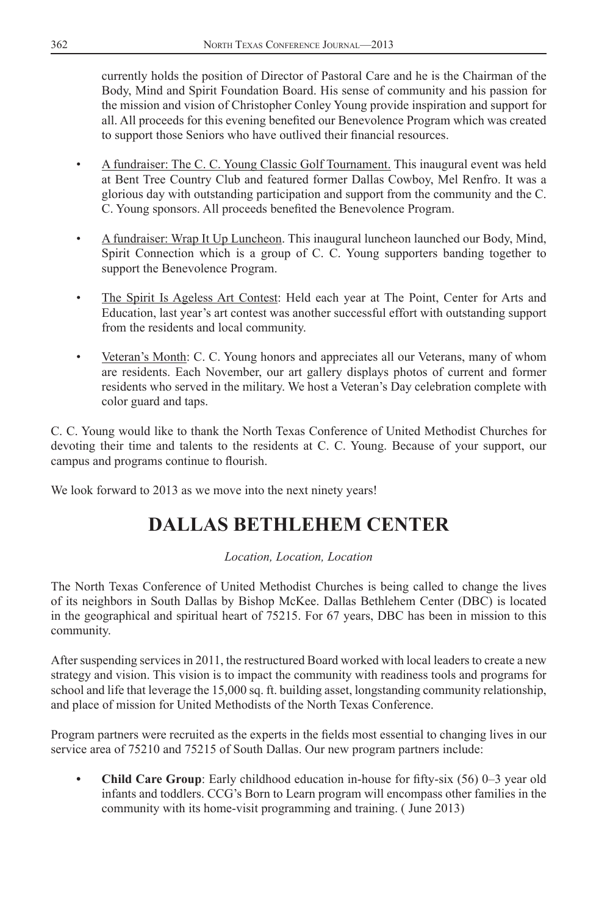currently holds the position of Director of Pastoral Care and he is the Chairman of the Body, Mind and Spirit Foundation Board. His sense of community and his passion for the mission and vision of Christopher Conley Young provide inspiration and support for all. All proceeds for this evening benefited our Benevolence Program which was created to support those Seniors who have outlived their financial resources.

- A fundraiser: The C. C. Young Classic Golf Tournament. This inaugural event was held at Bent Tree Country Club and featured former Dallas Cowboy, Mel Renfro. It was a glorious day with outstanding participation and support from the community and the C. C. Young sponsors. All proceeds benefited the Benevolence Program.
- A fundraiser: Wrap It Up Luncheon. This inaugural luncheon launched our Body, Mind, Spirit Connection which is a group of C. C. Young supporters banding together to support the Benevolence Program.
- The Spirit Is Ageless Art Contest: Held each year at The Point, Center for Arts and Education, last year's art contest was another successful effort with outstanding support from the residents and local community.
- Veteran's Month: C. C. Young honors and appreciates all our Veterans, many of whom are residents. Each November, our art gallery displays photos of current and former residents who served in the military. We host a Veteran's Day celebration complete with color guard and taps.

C. C. Young would like to thank the North Texas Conference of United Methodist Churches for devoting their time and talents to the residents at C. C. Young. Because of your support, our campus and programs continue to flourish.

We look forward to 2013 as we move into the next ninety years!

# **DALLAS BETHLEHEM CENTER**

## *Location, Location, Location*

The North Texas Conference of United Methodist Churches is being called to change the lives of its neighbors in South Dallas by Bishop McKee. Dallas Bethlehem Center (DBC) is located in the geographical and spiritual heart of 75215. For 67 years, DBC has been in mission to this community.

After suspending services in 2011, the restructured Board worked with local leaders to create a new strategy and vision. This vision is to impact the community with readiness tools and programs for school and life that leverage the 15,000 sq. ft. building asset, longstanding community relationship, and place of mission for United Methodists of the North Texas Conference.

Program partners were recruited as the experts in the fields most essential to changing lives in our service area of 75210 and 75215 of South Dallas. Our new program partners include:

**Child Care Group**: Early childhood education in-house for fifty-six (56) 0–3 year old infants and toddlers. CCG's Born to Learn program will encompass other families in the community with its home-visit programming and training. ( June 2013)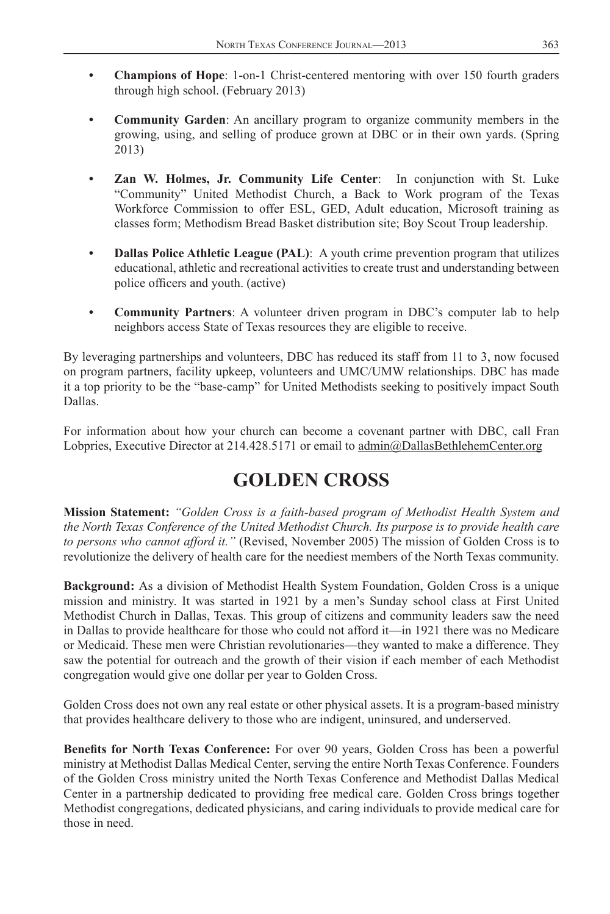- **Champions of Hope**: 1-on-1 Christ-centered mentoring with over 150 fourth graders through high school. (February 2013)
- **Community Garden**: An ancillary program to organize community members in the growing, using, and selling of produce grown at DBC or in their own yards. (Spring 2013)
- **Zan W. Holmes, Jr. Community Life Center**: In conjunction with St. Luke "Community" United Methodist Church, a Back to Work program of the Texas Workforce Commission to offer ESL, GED, Adult education, Microsoft training as classes form; Methodism Bread Basket distribution site; Boy Scout Troup leadership.
- **Dallas Police Athletic League (PAL)**: A youth crime prevention program that utilizes educational, athletic and recreational activities to create trust and understanding between police officers and youth. (active)
- **Community Partners**: A volunteer driven program in DBC's computer lab to help neighbors access State of Texas resources they are eligible to receive.

By leveraging partnerships and volunteers, DBC has reduced its staff from 11 to 3, now focused on program partners, facility upkeep, volunteers and UMC/UMW relationships. DBC has made it a top priority to be the "base-camp" for United Methodists seeking to positively impact South Dallas.

For information about how your church can become a covenant partner with DBC, call Fran Lobpries, Executive Director at 214.428.5171 or email to admin@DallasBethlehemCenter.org

# **GOLDEN CROSS**

**Mission Statement:** *"Golden Cross is a faith-based program of Methodist Health System and the North Texas Conference of the United Methodist Church. Its purpose is to provide health care to persons who cannot afford it."* (Revised, November 2005) The mission of Golden Cross is to revolutionize the delivery of health care for the neediest members of the North Texas community.

**Background:** As a division of Methodist Health System Foundation, Golden Cross is a unique mission and ministry. It was started in 1921 by a men's Sunday school class at First United Methodist Church in Dallas, Texas. This group of citizens and community leaders saw the need in Dallas to provide healthcare for those who could not afford it—in 1921 there was no Medicare or Medicaid. These men were Christian revolutionaries—they wanted to make a difference. They saw the potential for outreach and the growth of their vision if each member of each Methodist congregation would give one dollar per year to Golden Cross.

Golden Cross does not own any real estate or other physical assets. It is a program-based ministry that provides healthcare delivery to those who are indigent, uninsured, and underserved.

**Benefits for North Texas Conference:** For over 90 years, Golden Cross has been a powerful ministry at Methodist Dallas Medical Center, serving the entire North Texas Conference. Founders of the Golden Cross ministry united the North Texas Conference and Methodist Dallas Medical Center in a partnership dedicated to providing free medical care. Golden Cross brings together Methodist congregations, dedicated physicians, and caring individuals to provide medical care for those in need.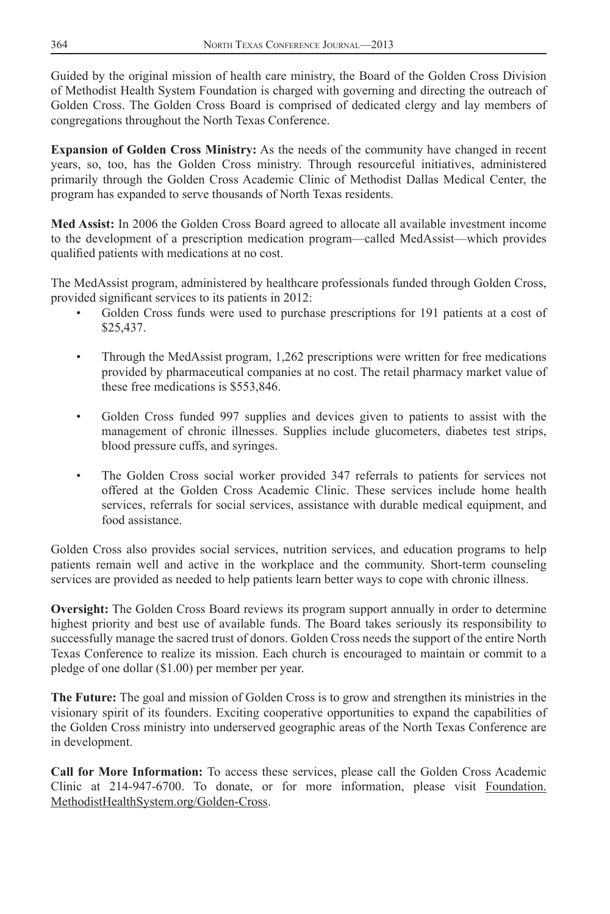Guided by the original mission of health care ministry, the Board of the Golden Cross Division of Methodist Health System Foundation is charged with governing and directing the outreach of Golden Cross. The Golden Cross Board is comprised of dedicated clergy and lay members of congregations throughout the North Texas Conference.

**Expansion of Golden Cross Ministry:** As the needs of the community have changed in recent years, so, too, has the Golden Cross ministry. Through resourceful initiatives, administered primarily through the Golden Cross Academic Clinic of Methodist Dallas Medical Center, the program has expanded to serve thousands of North Texas residents.

**Med Assist:** In 2006 the Golden Cross Board agreed to allocate all available investment income to the development of a prescription medication program—called MedAssist—which provides qualified patients with medications at no cost.

The MedAssist program, administered by healthcare professionals funded through Golden Cross, provided significant services to its patients in 2012:

- Golden Cross funds were used to purchase prescriptions for 191 patients at a cost of \$25,437.
- Through the MedAssist program, 1,262 prescriptions were written for free medications provided by pharmaceutical companies at no cost. The retail pharmacy market value of these free medications is \$553,846.
- Golden Cross funded 997 supplies and devices given to patients to assist with the management of chronic illnesses. Supplies include glucometers, diabetes test strips, blood pressure cuffs, and syringes.
- The Golden Cross social worker provided 347 referrals to patients for services not offered at the Golden Cross Academic Clinic. These services include home health services, referrals for social services, assistance with durable medical equipment, and food assistance.

Golden Cross also provides social services, nutrition services, and education programs to help patients remain well and active in the workplace and the community. Short-term counseling services are provided as needed to help patients learn better ways to cope with chronic illness.

**Oversight:** The Golden Cross Board reviews its program support annually in order to determine highest priority and best use of available funds. The Board takes seriously its responsibility to successfully manage the sacred trust of donors. Golden Cross needs the support of the entire North Texas Conference to realize its mission. Each church is encouraged to maintain or commit to a pledge of one dollar (\$1.00) per member per year.

**The Future:** The goal and mission of Golden Cross is to grow and strengthen its ministries in the visionary spirit of its founders. Exciting cooperative opportunities to expand the capabilities of the Golden Cross ministry into underserved geographic areas of the North Texas Conference are in development.

**Call for More Information:** To access these services, please call the Golden Cross Academic Clinic at 214-947-6700. To donate, or for more information, please visit Foundation. MethodistHealthSystem.org/Golden-Cross.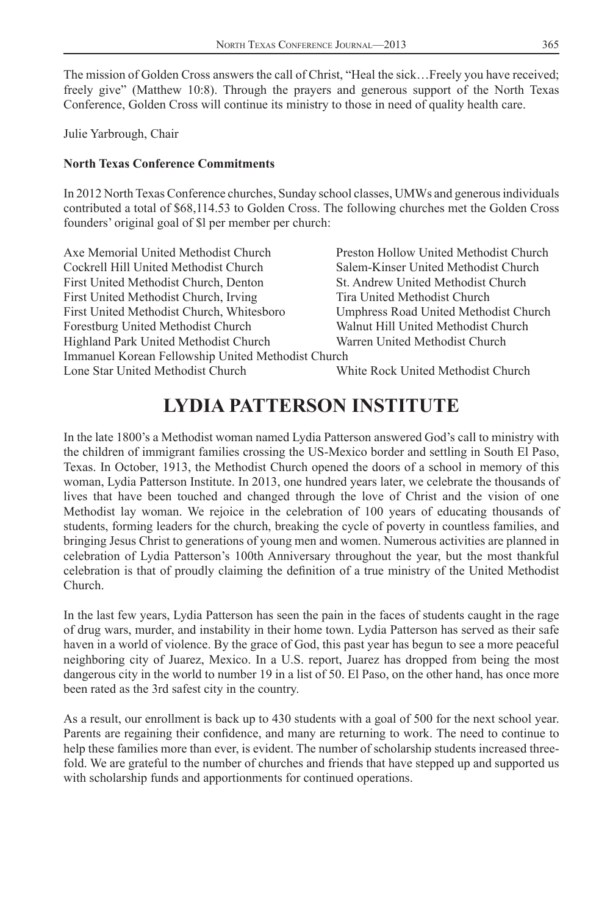The mission of Golden Cross answers the call of Christ, "Heal the sick…Freely you have received; freely give" (Matthew 10:8). Through the prayers and generous support of the North Texas Conference, Golden Cross will continue its ministry to those in need of quality health care.

Julie Yarbrough, Chair

## **North Texas Conference Commitments**

In 2012 North Texas Conference churches, Sunday school classes, UMWs and generous individuals contributed a total of \$68,114.53 to Golden Cross. The following churches met the Golden Cross founders' original goal of \$l per member per church:

| Axe Memorial United Methodist Church               | Preston Hollow United Methodist Church |
|----------------------------------------------------|----------------------------------------|
| Cockrell Hill United Methodist Church              | Salem-Kinser United Methodist Church   |
| First United Methodist Church, Denton              | St. Andrew United Methodist Church     |
| First United Methodist Church, Irving              | Tira United Methodist Church           |
| First United Methodist Church, Whitesboro          | Umphress Road United Methodist Church  |
| Forestburg United Methodist Church                 | Walnut Hill United Methodist Church    |
| Highland Park United Methodist Church              | Warren United Methodist Church         |
| Immanuel Korean Fellowship United Methodist Church |                                        |
| Lone Star United Methodist Church                  | White Rock United Methodist Church     |
|                                                    |                                        |

# **LYDIA PATTERSON INSTITUTE**

In the late 1800's a Methodist woman named Lydia Patterson answered God's call to ministry with the children of immigrant families crossing the US-Mexico border and settling in South El Paso, Texas. In October, 1913, the Methodist Church opened the doors of a school in memory of this woman, Lydia Patterson Institute. In 2013, one hundred years later, we celebrate the thousands of lives that have been touched and changed through the love of Christ and the vision of one Methodist lay woman. We rejoice in the celebration of 100 years of educating thousands of students, forming leaders for the church, breaking the cycle of poverty in countless families, and bringing Jesus Christ to generations of young men and women. Numerous activities are planned in celebration of Lydia Patterson's 100th Anniversary throughout the year, but the most thankful celebration is that of proudly claiming the definition of a true ministry of the United Methodist Church.

In the last few years, Lydia Patterson has seen the pain in the faces of students caught in the rage of drug wars, murder, and instability in their home town. Lydia Patterson has served as their safe haven in a world of violence. By the grace of God, this past year has begun to see a more peaceful neighboring city of Juarez, Mexico. In a U.S. report, Juarez has dropped from being the most dangerous city in the world to number 19 in a list of 50. El Paso, on the other hand, has once more been rated as the 3rd safest city in the country.

As a result, our enrollment is back up to 430 students with a goal of 500 for the next school year. Parents are regaining their confidence, and many are returning to work. The need to continue to help these families more than ever, is evident. The number of scholarship students increased threefold. We are grateful to the number of churches and friends that have stepped up and supported us with scholarship funds and apportionments for continued operations.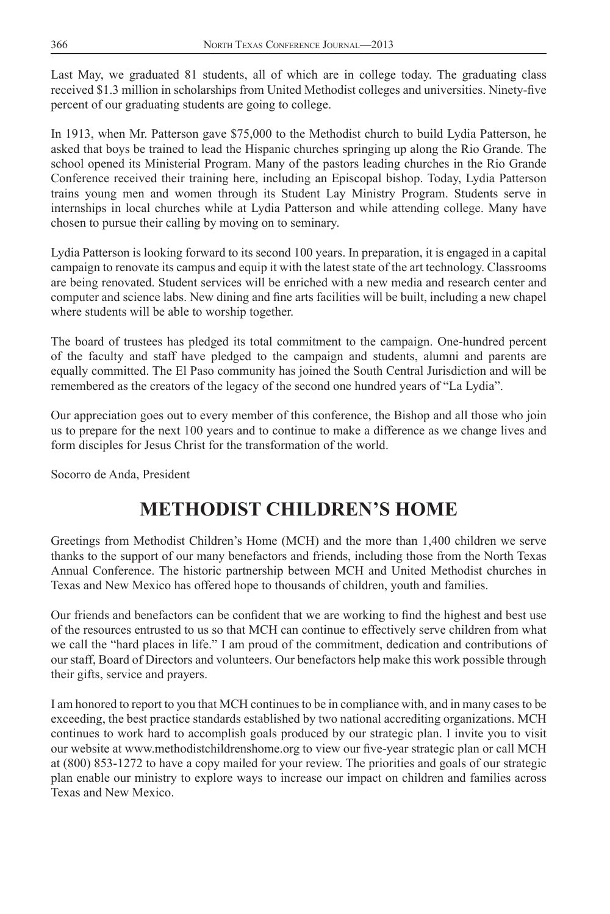Last May, we graduated 81 students, all of which are in college today. The graduating class received \$1.3 million in scholarships from United Methodist colleges and universities. Ninety-five percent of our graduating students are going to college.

In 1913, when Mr. Patterson gave \$75,000 to the Methodist church to build Lydia Patterson, he asked that boys be trained to lead the Hispanic churches springing up along the Rio Grande. The school opened its Ministerial Program. Many of the pastors leading churches in the Rio Grande Conference received their training here, including an Episcopal bishop. Today, Lydia Patterson trains young men and women through its Student Lay Ministry Program. Students serve in internships in local churches while at Lydia Patterson and while attending college. Many have chosen to pursue their calling by moving on to seminary.

Lydia Patterson is looking forward to its second 100 years. In preparation, it is engaged in a capital campaign to renovate its campus and equip it with the latest state of the art technology. Classrooms are being renovated. Student services will be enriched with a new media and research center and computer and science labs. New dining and fine arts facilities will be built, including a new chapel where students will be able to worship together.

The board of trustees has pledged its total commitment to the campaign. One-hundred percent of the faculty and staff have pledged to the campaign and students, alumni and parents are equally committed. The El Paso community has joined the South Central Jurisdiction and will be remembered as the creators of the legacy of the second one hundred years of "La Lydia".

Our appreciation goes out to every member of this conference, the Bishop and all those who join us to prepare for the next 100 years and to continue to make a difference as we change lives and form disciples for Jesus Christ for the transformation of the world.

Socorro de Anda, President

# **METHODIST CHILDREN'S HOME**

Greetings from Methodist Children's Home (MCH) and the more than 1,400 children we serve thanks to the support of our many benefactors and friends, including those from the North Texas Annual Conference. The historic partnership between MCH and United Methodist churches in Texas and New Mexico has offered hope to thousands of children, youth and families.

Our friends and benefactors can be confident that we are working to find the highest and best use of the resources entrusted to us so that MCH can continue to effectively serve children from what we call the "hard places in life." I am proud of the commitment, dedication and contributions of our staff, Board of Directors and volunteers. Our benefactors help make this work possible through their gifts, service and prayers.

I am honored to report to you that MCH continues to be in compliance with, and in many cases to be exceeding, the best practice standards established by two national accrediting organizations. MCH continues to work hard to accomplish goals produced by our strategic plan. I invite you to visit our website at www.methodistchildrenshome.org to view our five-year strategic plan or call MCH at (800) 853-1272 to have a copy mailed for your review. The priorities and goals of our strategic plan enable our ministry to explore ways to increase our impact on children and families across Texas and New Mexico.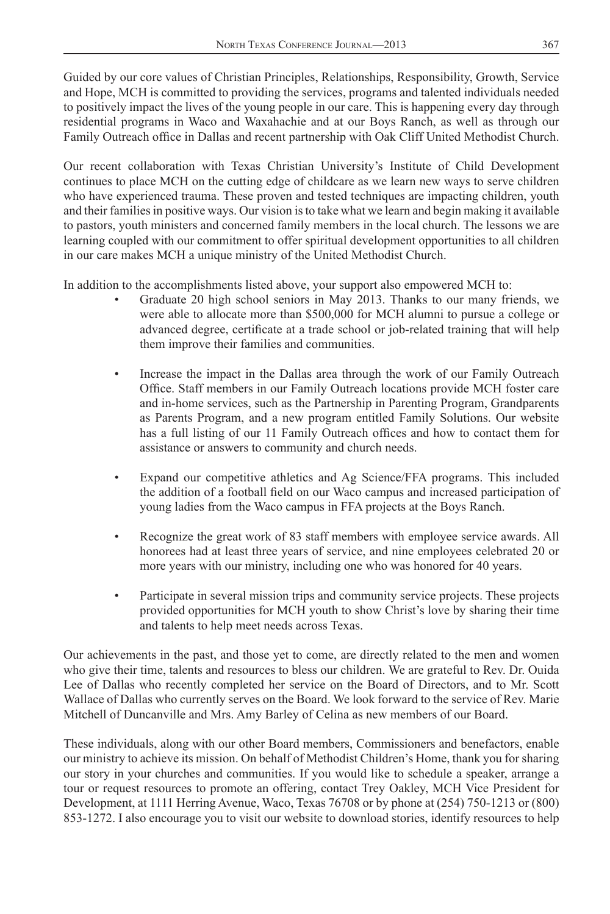Guided by our core values of Christian Principles, Relationships, Responsibility, Growth, Service and Hope, MCH is committed to providing the services, programs and talented individuals needed to positively impact the lives of the young people in our care. This is happening every day through residential programs in Waco and Waxahachie and at our Boys Ranch, as well as through our Family Outreach office in Dallas and recent partnership with Oak Cliff United Methodist Church.

Our recent collaboration with Texas Christian University's Institute of Child Development continues to place MCH on the cutting edge of childcare as we learn new ways to serve children who have experienced trauma. These proven and tested techniques are impacting children, youth and their families in positive ways. Our vision is to take what we learn and begin making it available to pastors, youth ministers and concerned family members in the local church. The lessons we are learning coupled with our commitment to offer spiritual development opportunities to all children in our care makes MCH a unique ministry of the United Methodist Church.

In addition to the accomplishments listed above, your support also empowered MCH to:

- Graduate 20 high school seniors in May 2013. Thanks to our many friends, we were able to allocate more than \$500,000 for MCH alumni to pursue a college or advanced degree, certificate at a trade school or job-related training that will help them improve their families and communities.
- Increase the impact in the Dallas area through the work of our Family Outreach Office. Staff members in our Family Outreach locations provide MCH foster care and in-home services, such as the Partnership in Parenting Program, Grandparents as Parents Program, and a new program entitled Family Solutions. Our website has a full listing of our 11 Family Outreach offices and how to contact them for assistance or answers to community and church needs.
- Expand our competitive athletics and Ag Science/FFA programs. This included the addition of a football field on our Waco campus and increased participation of young ladies from the Waco campus in FFA projects at the Boys Ranch.
- Recognize the great work of 83 staff members with employee service awards. All honorees had at least three years of service, and nine employees celebrated 20 or more years with our ministry, including one who was honored for 40 years.
- Participate in several mission trips and community service projects. These projects provided opportunities for MCH youth to show Christ's love by sharing their time and talents to help meet needs across Texas.

Our achievements in the past, and those yet to come, are directly related to the men and women who give their time, talents and resources to bless our children. We are grateful to Rev. Dr. Ouida Lee of Dallas who recently completed her service on the Board of Directors, and to Mr. Scott Wallace of Dallas who currently serves on the Board. We look forward to the service of Rev. Marie Mitchell of Duncanville and Mrs. Amy Barley of Celina as new members of our Board.

These individuals, along with our other Board members, Commissioners and benefactors, enable our ministry to achieve its mission. On behalf of Methodist Children's Home, thank you for sharing our story in your churches and communities. If you would like to schedule a speaker, arrange a tour or request resources to promote an offering, contact Trey Oakley, MCH Vice President for Development, at 1111 Herring Avenue, Waco, Texas 76708 or by phone at (254) 750-1213 or (800) 853-1272. I also encourage you to visit our website to download stories, identify resources to help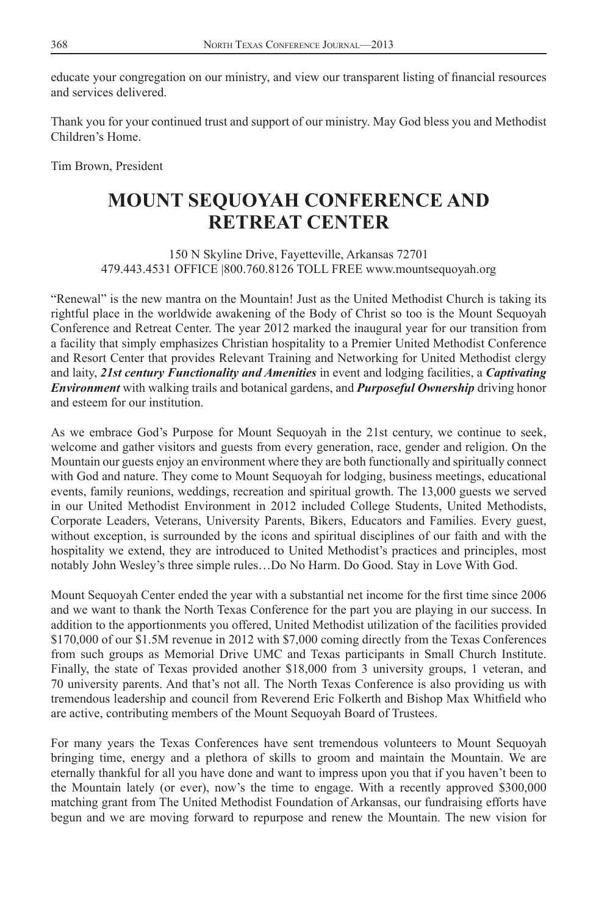educate your congregation on our ministry, and view our transparent listing of financial resources and services delivered.

Thank you for your continued trust and support of our ministry. May God bless you and Methodist Children's Home.

Tim Brown, President

# **MOUNT SEQUOYAH CONFERENCE AND RETREAT CENTER**

150 N Skyline Drive, Fayetteville, Arkansas 72701 479.443.4531 OFFICE |800.760.8126 TOLL FREE www.mountsequoyah.org

"Renewal" is the new mantra on the Mountain! Just as the United Methodist Church is taking its rightful place in the worldwide awakening of the Body of Christ so too is the Mount Sequoyah Conference and Retreat Center. The year 2012 marked the inaugural year for our transition from a facility that simply emphasizes Christian hospitality to a Premier United Methodist Conference and Resort Center that provides Relevant Training and Networking for United Methodist clergy and laity, *21st century Functionality and Amenities* in event and lodging facilities, a *Captivating Environment* with walking trails and botanical gardens, and *Purposeful Ownership* driving honor and esteem for our institution.

As we embrace God's Purpose for Mount Sequoyah in the 21st century, we continue to seek, welcome and gather visitors and guests from every generation, race, gender and religion. On the Mountain our guests enjoy an environment where they are both functionally and spiritually connect with God and nature. They come to Mount Sequoyah for lodging, business meetings, educational events, family reunions, weddings, recreation and spiritual growth. The 13,000 guests we served in our United Methodist Environment in 2012 included College Students, United Methodists, Corporate Leaders, Veterans, University Parents, Bikers, Educators and Families. Every guest, without exception, is surrounded by the icons and spiritual disciplines of our faith and with the hospitality we extend, they are introduced to United Methodist's practices and principles, most notably John Wesley's three simple rules…Do No Harm. Do Good. Stay in Love With God.

Mount Sequoyah Center ended the year with a substantial net income for the first time since 2006 and we want to thank the North Texas Conference for the part you are playing in our success. In addition to the apportionments you offered, United Methodist utilization of the facilities provided \$170,000 of our \$1.5M revenue in 2012 with \$7,000 coming directly from the Texas Conferences from such groups as Memorial Drive UMC and Texas participants in Small Church Institute. Finally, the state of Texas provided another \$18,000 from 3 university groups, 1 veteran, and 70 university parents. And that's not all. The North Texas Conference is also providing us with tremendous leadership and council from Reverend Eric Folkerth and Bishop Max Whitfield who are active, contributing members of the Mount Sequoyah Board of Trustees.

For many years the Texas Conferences have sent tremendous volunteers to Mount Sequoyah bringing time, energy and a plethora of skills to groom and maintain the Mountain. We are eternally thankful for all you have done and want to impress upon you that if you haven't been to the Mountain lately (or ever), now's the time to engage. With a recently approved \$300,000 matching grant from The United Methodist Foundation of Arkansas, our fundraising efforts have begun and we are moving forward to repurpose and renew the Mountain. The new vision for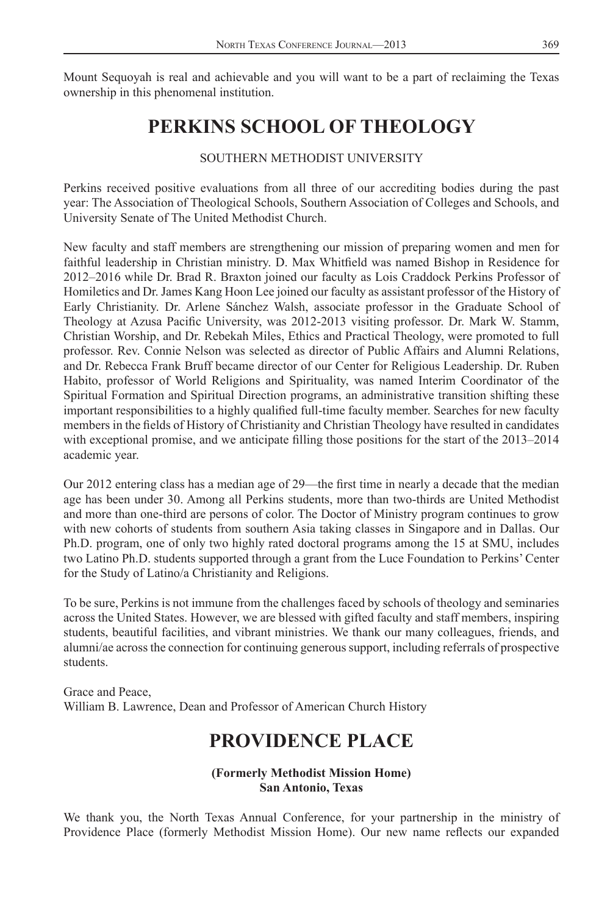Mount Sequoyah is real and achievable and you will want to be a part of reclaiming the Texas ownership in this phenomenal institution.

# **PERKINS SCHOOL OF THEOLOGY**

## SOUTHERN METHODIST UNIVERSITY

Perkins received positive evaluations from all three of our accrediting bodies during the past year: The Association of Theological Schools, Southern Association of Colleges and Schools, and University Senate of The United Methodist Church.

New faculty and staff members are strengthening our mission of preparing women and men for faithful leadership in Christian ministry. D. Max Whitfield was named Bishop in Residence for 2012–2016 while Dr. Brad R. Braxton joined our faculty as Lois Craddock Perkins Professor of Homiletics and Dr. James Kang Hoon Lee joined our faculty as assistant professor of the History of Early Christianity. Dr. Arlene Sánchez Walsh, associate professor in the Graduate School of Theology at Azusa Pacific University, was 2012-2013 visiting professor. Dr. Mark W. Stamm, Christian Worship, and Dr. Rebekah Miles, Ethics and Practical Theology, were promoted to full professor. Rev. Connie Nelson was selected as director of Public Affairs and Alumni Relations, and Dr. Rebecca Frank Bruff became director of our Center for Religious Leadership. Dr. Ruben Habito, professor of World Religions and Spirituality, was named Interim Coordinator of the Spiritual Formation and Spiritual Direction programs, an administrative transition shifting these important responsibilities to a highly qualified full-time faculty member. Searches for new faculty members in the fields of History of Christianity and Christian Theology have resulted in candidates with exceptional promise, and we anticipate filling those positions for the start of the 2013–2014 academic year.

Our 2012 entering class has a median age of 29—the first time in nearly a decade that the median age has been under 30. Among all Perkins students, more than two-thirds are United Methodist and more than one-third are persons of color. The Doctor of Ministry program continues to grow with new cohorts of students from southern Asia taking classes in Singapore and in Dallas. Our Ph.D. program, one of only two highly rated doctoral programs among the 15 at SMU, includes two Latino Ph.D. students supported through a grant from the Luce Foundation to Perkins' Center for the Study of Latino/a Christianity and Religions.

To be sure, Perkins is not immune from the challenges faced by schools of theology and seminaries across the United States. However, we are blessed with gifted faculty and staff members, inspiring students, beautiful facilities, and vibrant ministries. We thank our many colleagues, friends, and alumni/ae across the connection for continuing generous support, including referrals of prospective students.

Grace and Peace, William B. Lawrence, Dean and Professor of American Church History

# **PROVIDENCE PLACE**

## **(Formerly Methodist Mission Home) San Antonio, Texas**

We thank you, the North Texas Annual Conference, for your partnership in the ministry of Providence Place (formerly Methodist Mission Home). Our new name reflects our expanded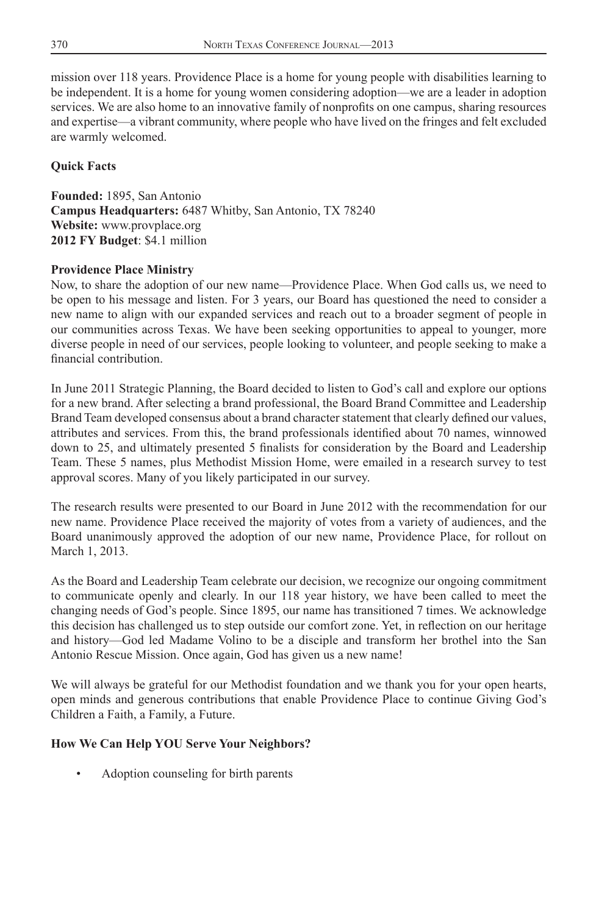mission over 118 years. Providence Place is a home for young people with disabilities learning to be independent. It is a home for young women considering adoption—we are a leader in adoption services. We are also home to an innovative family of nonprofits on one campus, sharing resources and expertise—a vibrant community, where people who have lived on the fringes and felt excluded are warmly welcomed.

# **Quick Facts**

**Founded:** 1895, San Antonio **Campus Headquarters:** 6487 Whitby, San Antonio, TX 78240 **Website:** www.provplace.org **2012 FY Budget**: \$4.1 million

## **Providence Place Ministry**

Now, to share the adoption of our new name—Providence Place. When God calls us, we need to be open to his message and listen. For 3 years, our Board has questioned the need to consider a new name to align with our expanded services and reach out to a broader segment of people in our communities across Texas. We have been seeking opportunities to appeal to younger, more diverse people in need of our services, people looking to volunteer, and people seeking to make a financial contribution.

In June 2011 Strategic Planning, the Board decided to listen to God's call and explore our options for a new brand. After selecting a brand professional, the Board Brand Committee and Leadership Brand Team developed consensus about a brand character statement that clearly defined our values, attributes and services. From this, the brand professionals identified about 70 names, winnowed down to 25, and ultimately presented 5 finalists for consideration by the Board and Leadership Team. These 5 names, plus Methodist Mission Home, were emailed in a research survey to test approval scores. Many of you likely participated in our survey.

The research results were presented to our Board in June 2012 with the recommendation for our new name. Providence Place received the majority of votes from a variety of audiences, and the Board unanimously approved the adoption of our new name, Providence Place, for rollout on March 1, 2013.

As the Board and Leadership Team celebrate our decision, we recognize our ongoing commitment to communicate openly and clearly. In our 118 year history, we have been called to meet the changing needs of God's people. Since 1895, our name has transitioned 7 times. We acknowledge this decision has challenged us to step outside our comfort zone. Yet, in reflection on our heritage and history—God led Madame Volino to be a disciple and transform her brothel into the San Antonio Rescue Mission. Once again, God has given us a new name!

We will always be grateful for our Methodist foundation and we thank you for your open hearts, open minds and generous contributions that enable Providence Place to continue Giving God's Children a Faith, a Family, a Future.

## **How We Can Help YOU Serve Your Neighbors?**

• Adoption counseling for birth parents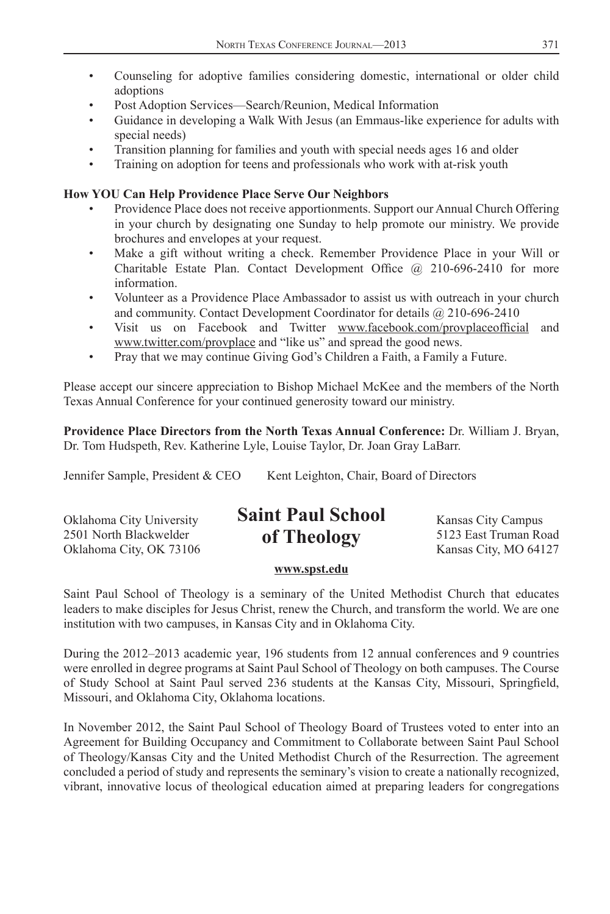- Counseling for adoptive families considering domestic, international or older child adoptions
- Post Adoption Services—Search/Reunion, Medical Information
- Guidance in developing a Walk With Jesus (an Emmaus-like experience for adults with special needs)
- Transition planning for families and youth with special needs ages 16 and older
- Training on adoption for teens and professionals who work with at-risk youth

# **How YOU Can Help Providence Place Serve Our Neighbors**

- Providence Place does not receive apportionments. Support our Annual Church Offering in your church by designating one Sunday to help promote our ministry. We provide brochures and envelopes at your request.
- Make a gift without writing a check. Remember Providence Place in your Will or Charitable Estate Plan. Contact Development Office  $\omega$  210-696-2410 for more information.
- Volunteer as a Providence Place Ambassador to assist us with outreach in your church and community. Contact Development Coordinator for details @ 210-696-2410
- Visit us on Facebook and Twitter www.facebook.com/provplaceofficial and www.twitter.com/provplace and "like us" and spread the good news.
- Pray that we may continue Giving God's Children a Faith, a Family a Future.

Please accept our sincere appreciation to Bishop Michael McKee and the members of the North Texas Annual Conference for your continued generosity toward our ministry.

**Providence Place Directors from the North Texas Annual Conference:** Dr. William J. Bryan, Dr. Tom Hudspeth, Rev. Katherine Lyle, Louise Taylor, Dr. Joan Gray LaBarr.

Jennifer Sample, President & CEO Kent Leighton, Chair, Board of Directors

Oklahoma City, OK 73106  $\overline{S}$  Exercises  $\overline{S}$  Kansas City, MO 64127

#### Oklahoma City University **SUIT FULL SCHOOL** Kansas City Campus 2501 North Blackwelder  $\mathbf{a}$   $\mathbf{f}$   $\mathbf{h}$  $\mathbf{a}$  $\mathbf{a}$  $\mathbf{v}$  5123 East Truman Road **Saint Paul School of Theology**

## **www.spst.edu**

Saint Paul School of Theology is a seminary of the United Methodist Church that educates leaders to make disciples for Jesus Christ, renew the Church, and transform the world. We are one institution with two campuses, in Kansas City and in Oklahoma City.

During the 2012–2013 academic year, 196 students from 12 annual conferences and 9 countries were enrolled in degree programs at Saint Paul School of Theology on both campuses. The Course of Study School at Saint Paul served 236 students at the Kansas City, Missouri, Springfield, Missouri, and Oklahoma City, Oklahoma locations.

In November 2012, the Saint Paul School of Theology Board of Trustees voted to enter into an Agreement for Building Occupancy and Commitment to Collaborate between Saint Paul School of Theology/Kansas City and the United Methodist Church of the Resurrection. The agreement concluded a period of study and represents the seminary's vision to create a nationally recognized, vibrant, innovative locus of theological education aimed at preparing leaders for congregations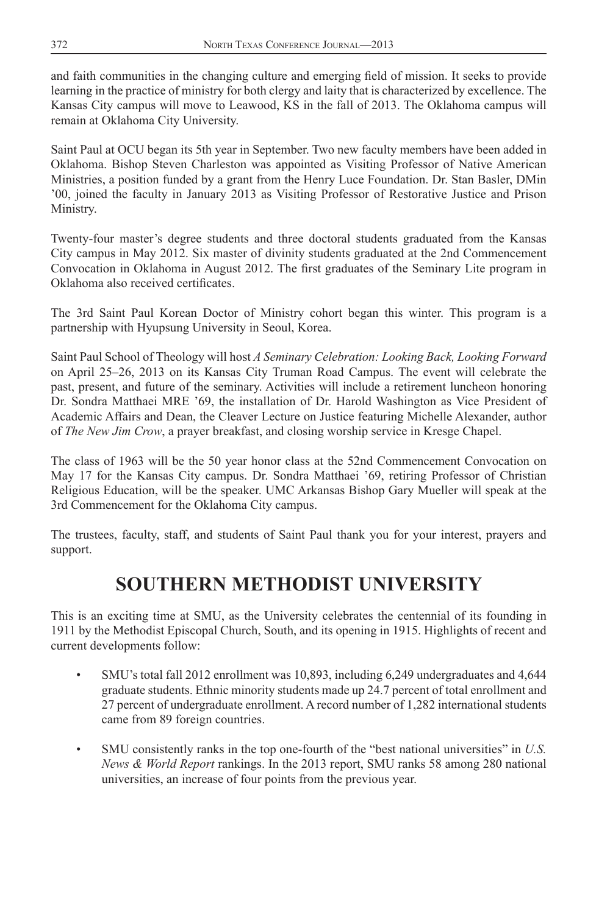and faith communities in the changing culture and emerging field of mission. It seeks to provide learning in the practice of ministry for both clergy and laity that is characterized by excellence. The Kansas City campus will move to Leawood, KS in the fall of 2013. The Oklahoma campus will remain at Oklahoma City University.

Saint Paul at OCU began its 5th year in September. Two new faculty members have been added in Oklahoma. Bishop Steven Charleston was appointed as Visiting Professor of Native American Ministries, a position funded by a grant from the Henry Luce Foundation. Dr. Stan Basler, DMin '00, joined the faculty in January 2013 as Visiting Professor of Restorative Justice and Prison Ministry.

Twenty-four master's degree students and three doctoral students graduated from the Kansas City campus in May 2012. Six master of divinity students graduated at the 2nd Commencement Convocation in Oklahoma in August 2012. The first graduates of the Seminary Lite program in Oklahoma also received certificates.

The 3rd Saint Paul Korean Doctor of Ministry cohort began this winter. This program is a partnership with Hyupsung University in Seoul, Korea.

Saint Paul School of Theology will host *A Seminary Celebration: Looking Back, Looking Forward* on April 25–26, 2013 on its Kansas City Truman Road Campus. The event will celebrate the past, present, and future of the seminary. Activities will include a retirement luncheon honoring Dr. Sondra Matthaei MRE '69, the installation of Dr. Harold Washington as Vice President of Academic Affairs and Dean, the Cleaver Lecture on Justice featuring Michelle Alexander, author of *The New Jim Crow*, a prayer breakfast, and closing worship service in Kresge Chapel.

The class of 1963 will be the 50 year honor class at the 52nd Commencement Convocation on May 17 for the Kansas City campus. Dr. Sondra Matthaei '69, retiring Professor of Christian Religious Education, will be the speaker. UMC Arkansas Bishop Gary Mueller will speak at the 3rd Commencement for the Oklahoma City campus.

The trustees, faculty, staff, and students of Saint Paul thank you for your interest, prayers and support.

# **SOUTHERN METHODIST UNIVERSITY**

This is an exciting time at SMU, as the University celebrates the centennial of its founding in 1911 by the Methodist Episcopal Church, South, and its opening in 1915. Highlights of recent and current developments follow:

- SMU's total fall 2012 enrollment was 10,893, including 6,249 undergraduates and 4,644 graduate students. Ethnic minority students made up 24.7 percent of total enrollment and 27 percent of undergraduate enrollment. A record number of 1,282 international students came from 89 foreign countries.
- SMU consistently ranks in the top one-fourth of the "best national universities" in *U.S. News & World Report* rankings. In the 2013 report, SMU ranks 58 among 280 national universities, an increase of four points from the previous year.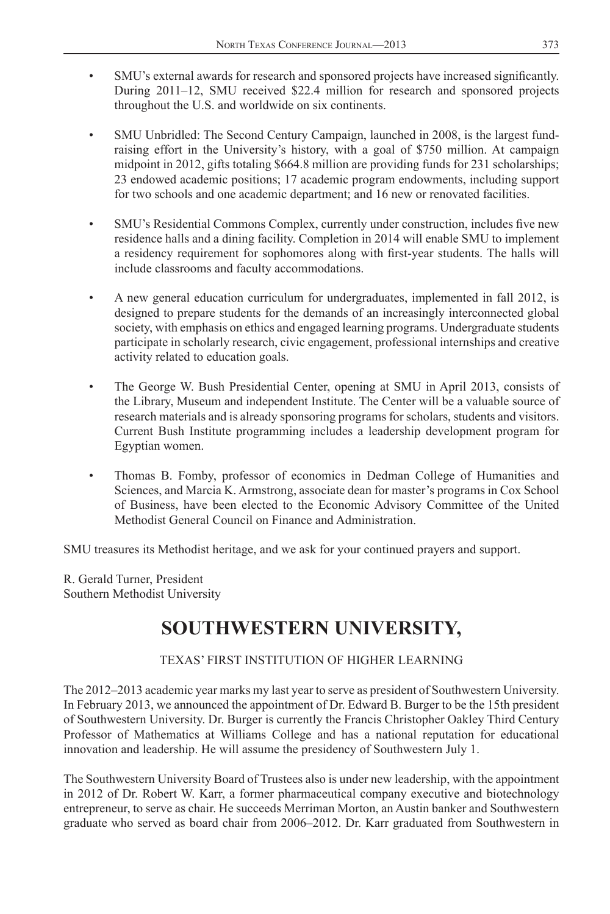- SMU's external awards for research and sponsored projects have increased significantly. During 2011–12, SMU received \$22.4 million for research and sponsored projects throughout the U.S. and worldwide on six continents.
- SMU Unbridled: The Second Century Campaign, launched in 2008, is the largest fundraising effort in the University's history, with a goal of \$750 million. At campaign midpoint in 2012, gifts totaling \$664.8 million are providing funds for 231 scholarships; 23 endowed academic positions; 17 academic program endowments, including support for two schools and one academic department; and 16 new or renovated facilities.
- SMU's Residential Commons Complex, currently under construction, includes five new residence halls and a dining facility. Completion in 2014 will enable SMU to implement a residency requirement for sophomores along with first-year students. The halls will include classrooms and faculty accommodations.
- A new general education curriculum for undergraduates, implemented in fall 2012, is designed to prepare students for the demands of an increasingly interconnected global society, with emphasis on ethics and engaged learning programs. Undergraduate students participate in scholarly research, civic engagement, professional internships and creative activity related to education goals.
- The George W. Bush Presidential Center, opening at SMU in April 2013, consists of the Library, Museum and independent Institute. The Center will be a valuable source of research materials and is already sponsoring programs for scholars, students and visitors. Current Bush Institute programming includes a leadership development program for Egyptian women.
- Thomas B. Fomby, professor of economics in Dedman College of Humanities and Sciences, and Marcia K. Armstrong, associate dean for master's programs in Cox School of Business, have been elected to the Economic Advisory Committee of the United Methodist General Council on Finance and Administration.

SMU treasures its Methodist heritage, and we ask for your continued prayers and support.

R. Gerald Turner, President Southern Methodist University

# **SOUTHWESTERN UNIVERSITY,**

# TEXAS' FIRST INSTITUTION OF HIGHER LEARNING

The 2012–2013 academic year marks my last year to serve as president of Southwestern University. In February 2013, we announced the appointment of Dr. Edward B. Burger to be the 15th president of Southwestern University. Dr. Burger is currently the Francis Christopher Oakley Third Century Professor of Mathematics at Williams College and has a national reputation for educational innovation and leadership. He will assume the presidency of Southwestern July 1.

The Southwestern University Board of Trustees also is under new leadership, with the appointment in 2012 of Dr. Robert W. Karr, a former pharmaceutical company executive and biotechnology entrepreneur, to serve as chair. He succeeds Merriman Morton, an Austin banker and Southwestern graduate who served as board chair from 2006–2012. Dr. Karr graduated from Southwestern in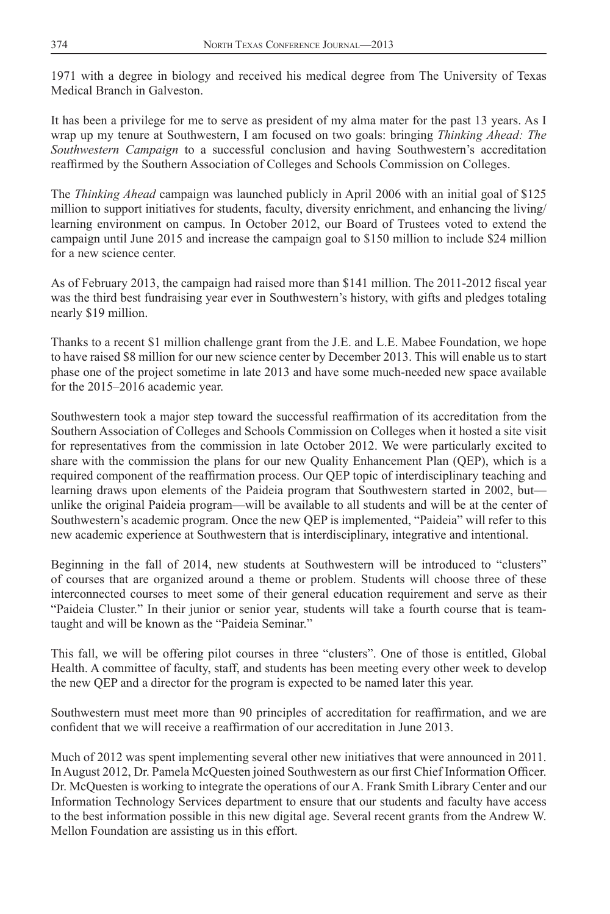1971 with a degree in biology and received his medical degree from The University of Texas Medical Branch in Galveston.

It has been a privilege for me to serve as president of my alma mater for the past 13 years. As I wrap up my tenure at Southwestern, I am focused on two goals: bringing *Thinking Ahead: The Southwestern Campaign* to a successful conclusion and having Southwestern's accreditation reaffirmed by the Southern Association of Colleges and Schools Commission on Colleges.

The *Thinking Ahead* campaign was launched publicly in April 2006 with an initial goal of \$125 million to support initiatives for students, faculty, diversity enrichment, and enhancing the living/ learning environment on campus. In October 2012, our Board of Trustees voted to extend the campaign until June 2015 and increase the campaign goal to \$150 million to include \$24 million for a new science center.

As of February 2013, the campaign had raised more than \$141 million. The 2011-2012 fiscal year was the third best fundraising year ever in Southwestern's history, with gifts and pledges totaling nearly \$19 million.

Thanks to a recent \$1 million challenge grant from the J.E. and L.E. Mabee Foundation, we hope to have raised \$8 million for our new science center by December 2013. This will enable us to start phase one of the project sometime in late 2013 and have some much-needed new space available for the 2015–2016 academic year.

Southwestern took a major step toward the successful reaffirmation of its accreditation from the Southern Association of Colleges and Schools Commission on Colleges when it hosted a site visit for representatives from the commission in late October 2012. We were particularly excited to share with the commission the plans for our new Quality Enhancement Plan (QEP), which is a required component of the reaffirmation process. Our QEP topic of interdisciplinary teaching and learning draws upon elements of the Paideia program that Southwestern started in 2002, but unlike the original Paideia program—will be available to all students and will be at the center of Southwestern's academic program. Once the new QEP is implemented, "Paideia" will refer to this new academic experience at Southwestern that is interdisciplinary, integrative and intentional.

Beginning in the fall of 2014, new students at Southwestern will be introduced to "clusters" of courses that are organized around a theme or problem. Students will choose three of these interconnected courses to meet some of their general education requirement and serve as their "Paideia Cluster." In their junior or senior year, students will take a fourth course that is teamtaught and will be known as the "Paideia Seminar."

This fall, we will be offering pilot courses in three "clusters". One of those is entitled, Global Health. A committee of faculty, staff, and students has been meeting every other week to develop the new QEP and a director for the program is expected to be named later this year.

Southwestern must meet more than 90 principles of accreditation for reaffirmation, and we are confident that we will receive a reaffirmation of our accreditation in June 2013.

Much of 2012 was spent implementing several other new initiatives that were announced in 2011. In August 2012, Dr. Pamela McQuesten joined Southwestern as our first Chief Information Officer. Dr. McQuesten is working to integrate the operations of our A. Frank Smith Library Center and our Information Technology Services department to ensure that our students and faculty have access to the best information possible in this new digital age. Several recent grants from the Andrew W. Mellon Foundation are assisting us in this effort.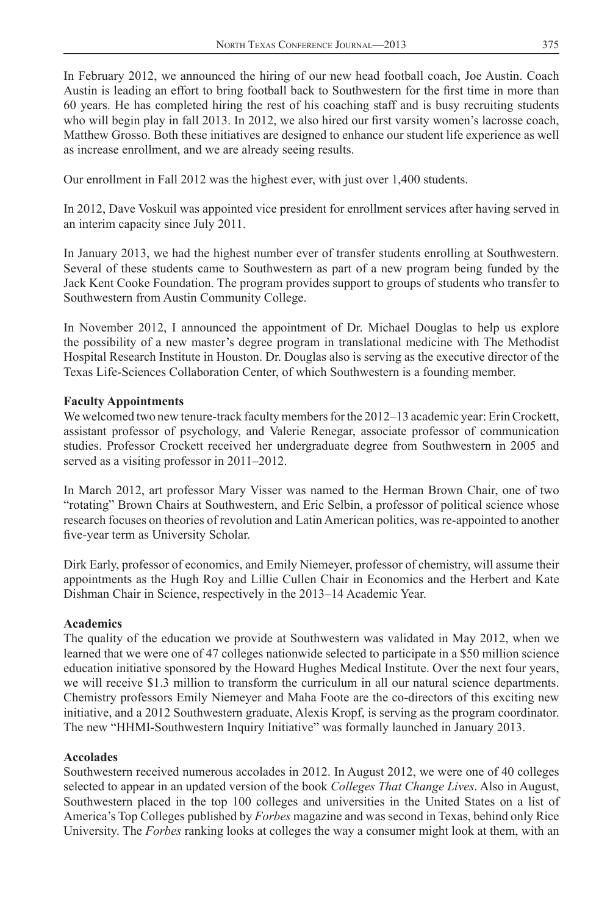In February 2012, we announced the hiring of our new head football coach, Joe Austin. Coach Austin is leading an effort to bring football back to Southwestern for the first time in more than 60 years. He has completed hiring the rest of his coaching staff and is busy recruiting students who will begin play in fall 2013. In 2012, we also hired our first varsity women's lacrosse coach, Matthew Grosso. Both these initiatives are designed to enhance our student life experience as well as increase enrollment, and we are already seeing results.

Our enrollment in Fall 2012 was the highest ever, with just over 1,400 students.

In 2012, Dave Voskuil was appointed vice president for enrollment services after having served in an interim capacity since July 2011.

In January 2013, we had the highest number ever of transfer students enrolling at Southwestern. Several of these students came to Southwestern as part of a new program being funded by the Jack Kent Cooke Foundation. The program provides support to groups of students who transfer to Southwestern from Austin Community College.

In November 2012, I announced the appointment of Dr. Michael Douglas to help us explore the possibility of a new master's degree program in translational medicine with The Methodist Hospital Research Institute in Houston. Dr. Douglas also is serving as the executive director of the Texas Life-Sciences Collaboration Center, of which Southwestern is a founding member.

### **Faculty Appointments**

We welcomed two new tenure-track faculty members for the 2012–13 academic year: Erin Crockett, assistant professor of psychology, and Valerie Renegar, associate professor of communication studies. Professor Crockett received her undergraduate degree from Southwestern in 2005 and served as a visiting professor in 2011–2012.

In March 2012, art professor Mary Visser was named to the Herman Brown Chair, one of two "rotating" Brown Chairs at Southwestern, and Eric Selbin, a professor of political science whose research focuses on theories of revolution and Latin American politics, was re-appointed to another five-year term as University Scholar.

Dirk Early, professor of economics, and Emily Niemeyer, professor of chemistry, will assume their appointments as the Hugh Roy and Lillie Cullen Chair in Economics and the Herbert and Kate Dishman Chair in Science, respectively in the 2013–14 Academic Year.

#### **Academics**

The quality of the education we provide at Southwestern was validated in May 2012, when we learned that we were one of 47 colleges nationwide selected to participate in a \$50 million science education initiative sponsored by the Howard Hughes Medical Institute. Over the next four years, we will receive \$1.3 million to transform the curriculum in all our natural science departments. Chemistry professors Emily Niemeyer and Maha Foote are the co-directors of this exciting new initiative, and a 2012 Southwestern graduate, Alexis Kropf, is serving as the program coordinator. The new "HHMI-Southwestern Inquiry Initiative" was formally launched in January 2013.

#### **Accolades**

Southwestern received numerous accolades in 2012. In August 2012, we were one of 40 colleges selected to appear in an updated version of the book *Colleges That Change Lives*. Also in August, Southwestern placed in the top 100 colleges and universities in the United States on a list of America's Top Colleges published by *Forbes* magazine and was second in Texas, behind only Rice University. The *Forbes* ranking looks at colleges the way a consumer might look at them, with an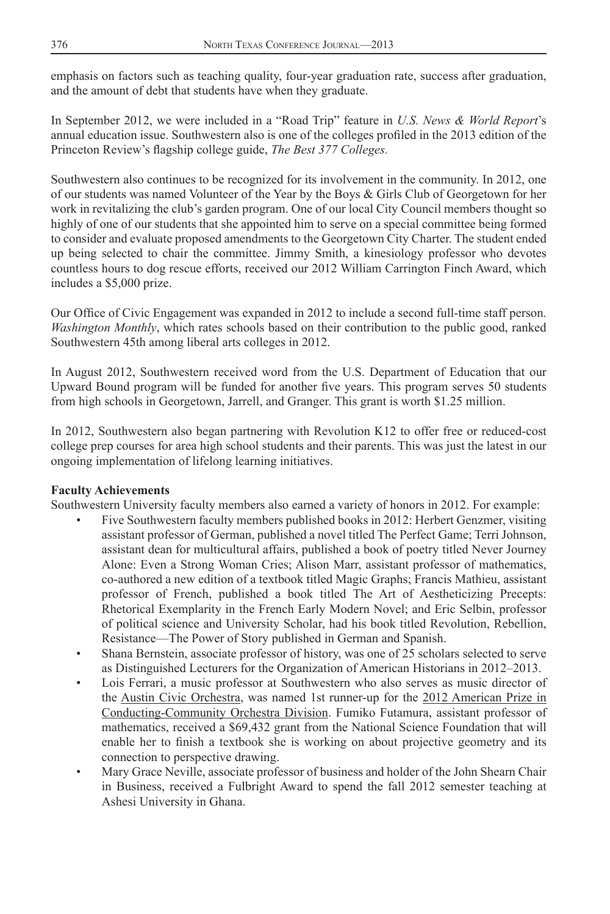emphasis on factors such as teaching quality, four-year graduation rate, success after graduation, and the amount of debt that students have when they graduate.

In September 2012, we were included in a "Road Trip" feature in *U.S. News & World Report*'s annual education issue. Southwestern also is one of the colleges profiled in the 2013 edition of the Princeton Review's flagship college guide, *The Best 377 Colleges*.

Southwestern also continues to be recognized for its involvement in the community. In 2012, one of our students was named Volunteer of the Year by the Boys & Girls Club of Georgetown for her work in revitalizing the club's garden program. One of our local City Council members thought so highly of one of our students that she appointed him to serve on a special committee being formed to consider and evaluate proposed amendments to the Georgetown City Charter. The student ended up being selected to chair the committee. Jimmy Smith, a kinesiology professor who devotes countless hours to dog rescue efforts, received our 2012 William Carrington Finch Award, which includes a \$5,000 prize.

Our Office of Civic Engagement was expanded in 2012 to include a second full-time staff person. *Washington Monthly*, which rates schools based on their contribution to the public good, ranked Southwestern 45th among liberal arts colleges in 2012.

In August 2012, Southwestern received word from the U.S. Department of Education that our Upward Bound program will be funded for another five years. This program serves 50 students from high schools in Georgetown, Jarrell, and Granger. This grant is worth \$1.25 million.

In 2012, Southwestern also began partnering with Revolution K12 to offer free or reduced-cost college prep courses for area high school students and their parents. This was just the latest in our ongoing implementation of lifelong learning initiatives.

## **Faculty Achievements**

Southwestern University faculty members also earned a variety of honors in 2012. For example:

- Five Southwestern faculty members published books in 2012: Herbert Genzmer, visiting assistant professor of German, published a novel titled The Perfect Game; Terri Johnson, assistant dean for multicultural affairs, published a book of poetry titled Never Journey Alone: Even a Strong Woman Cries; Alison Marr, assistant professor of mathematics, co-authored a new edition of a textbook titled Magic Graphs; Francis Mathieu, assistant professor of French, published a book titled The Art of Aestheticizing Precepts: Rhetorical Exemplarity in the French Early Modern Novel; and Eric Selbin, professor of political science and University Scholar, had his book titled Revolution, Rebellion, Resistance—The Power of Story published in German and Spanish.
- Shana Bernstein, associate professor of history, was one of 25 scholars selected to serve as Distinguished Lecturers for the Organization of American Historians in 2012–2013.
- Lois Ferrari, a music professor at Southwestern who also serves as music director of the Austin Civic Orchestra, was named 1st runner-up for the 2012 American Prize in Conducting-Community Orchestra Division. Fumiko Futamura, assistant professor of mathematics, received a \$69,432 grant from the National Science Foundation that will enable her to finish a textbook she is working on about projective geometry and its connection to perspective drawing.
- Mary Grace Neville, associate professor of business and holder of the John Shearn Chair in Business, received a Fulbright Award to spend the fall 2012 semester teaching at Ashesi University in Ghana.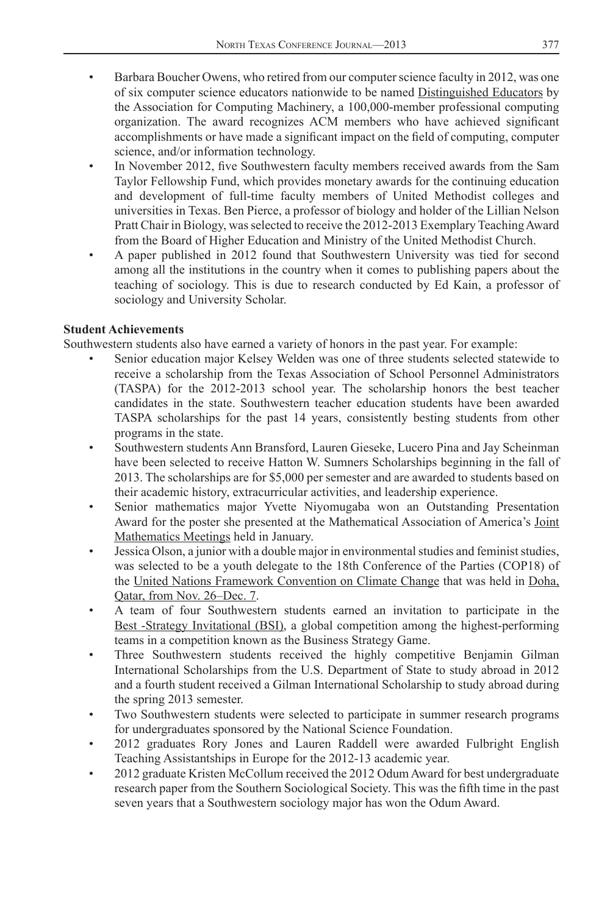- Barbara Boucher Owens, who retired from our computer science faculty in 2012, was one of six computer science educators nationwide to be named Distinguished Educators by the Association for Computing Machinery, a 100,000-member professional computing organization. The award recognizes ACM members who have achieved significant accomplishments or have made a significant impact on the field of computing, computer science, and/or information technology.
- In November 2012, five Southwestern faculty members received awards from the Sam Taylor Fellowship Fund, which provides monetary awards for the continuing education and development of full-time faculty members of United Methodist colleges and universities in Texas. Ben Pierce, a professor of biology and holder of the Lillian Nelson Pratt Chair in Biology, was selected to receive the 2012-2013 Exemplary Teaching Award from the Board of Higher Education and Ministry of the United Methodist Church.
- A paper published in 2012 found that Southwestern University was tied for second among all the institutions in the country when it comes to publishing papers about the teaching of sociology. This is due to research conducted by Ed Kain, a professor of sociology and University Scholar.

#### **Student Achievements**

Southwestern students also have earned a variety of honors in the past year. For example:

- Senior education major Kelsey Welden was one of three students selected statewide to receive a scholarship from the Texas Association of School Personnel Administrators (TASPA) for the 2012-2013 school year. The scholarship honors the best teacher candidates in the state. Southwestern teacher education students have been awarded TASPA scholarships for the past 14 years, consistently besting students from other programs in the state.
- Southwestern students Ann Bransford, Lauren Gieseke, Lucero Pina and Jay Scheinman have been selected to receive Hatton W. Sumners Scholarships beginning in the fall of 2013. The scholarships are for \$5,000 per semester and are awarded to students based on their academic history, extracurricular activities, and leadership experience.
- Senior mathematics major Yvette Niyomugaba won an Outstanding Presentation Award for the poster she presented at the Mathematical Association of America's Joint Mathematics Meetings held in January.
- Jessica Olson, a junior with a double major in environmental studies and feminist studies, was selected to be a youth delegate to the 18th Conference of the Parties (COP18) of the United Nations Framework Convention on Climate Change that was held in Doha, Qatar, from Nov. 26–Dec. 7.
- A team of four Southwestern students earned an invitation to participate in the Best -Strategy Invitational (BSI), a global competition among the highest-performing teams in a competition known as the Business Strategy Game.
- Three Southwestern students received the highly competitive Benjamin Gilman International Scholarships from the U.S. Department of State to study abroad in 2012 and a fourth student received a Gilman International Scholarship to study abroad during the spring 2013 semester.
- Two Southwestern students were selected to participate in summer research programs for undergraduates sponsored by the National Science Foundation.
- 2012 graduates Rory Jones and Lauren Raddell were awarded Fulbright English Teaching Assistantships in Europe for the 2012-13 academic year.
- 2012 graduate Kristen McCollum received the 2012 Odum Award for best undergraduate research paper from the Southern Sociological Society. This was the fifth time in the past seven years that a Southwestern sociology major has won the Odum Award.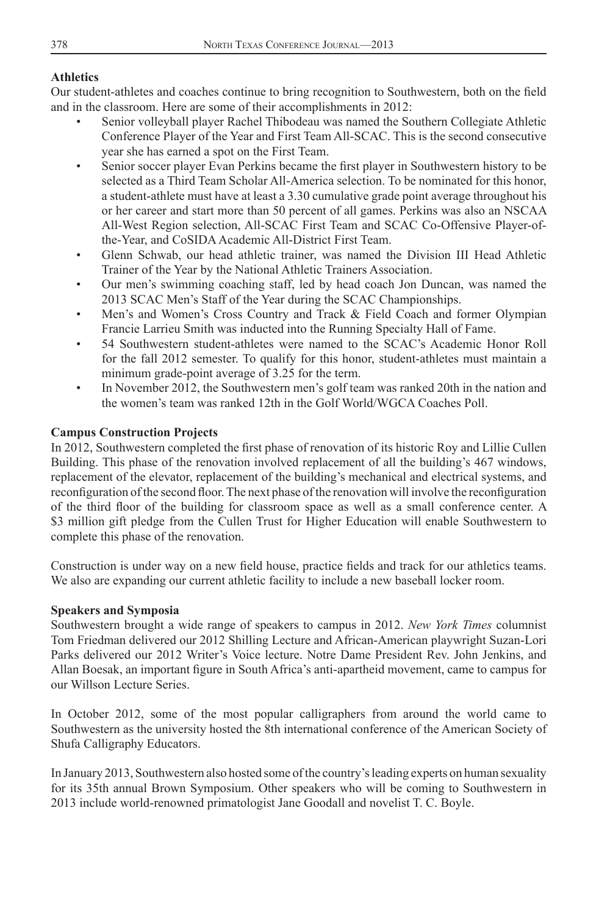## **Athletics**

Our student-athletes and coaches continue to bring recognition to Southwestern, both on the field and in the classroom. Here are some of their accomplishments in 2012:

- Senior volleyball player Rachel Thibodeau was named the Southern Collegiate Athletic Conference Player of the Year and First Team All-SCAC. This is the second consecutive year she has earned a spot on the First Team.
- Senior soccer player Evan Perkins became the first player in Southwestern history to be selected as a Third Team Scholar All-America selection. To be nominated for this honor, a student-athlete must have at least a 3.30 cumulative grade point average throughout his or her career and start more than 50 percent of all games. Perkins was also an NSCAA All-West Region selection, All-SCAC First Team and SCAC Co-Offensive Player-ofthe-Year, and CoSIDA Academic All-District First Team.
- Glenn Schwab, our head athletic trainer, was named the Division III Head Athletic Trainer of the Year by the National Athletic Trainers Association.
- Our men's swimming coaching staff, led by head coach Jon Duncan, was named the 2013 SCAC Men's Staff of the Year during the SCAC Championships.
- Men's and Women's Cross Country and Track & Field Coach and former Olympian Francie Larrieu Smith was inducted into the Running Specialty Hall of Fame.
- 54 Southwestern student-athletes were named to the SCAC's Academic Honor Roll for the fall 2012 semester. To qualify for this honor, student-athletes must maintain a minimum grade-point average of 3.25 for the term.
- In November 2012, the Southwestern men's golf team was ranked 20th in the nation and the women's team was ranked 12th in the Golf World/WGCA Coaches Poll.

## **Campus Construction Projects**

In 2012, Southwestern completed the first phase of renovation of its historic Roy and Lillie Cullen Building. This phase of the renovation involved replacement of all the building's 467 windows, replacement of the elevator, replacement of the building's mechanical and electrical systems, and reconfiguration of the second floor. The next phase of the renovation will involve the reconfiguration of the third floor of the building for classroom space as well as a small conference center. A \$3 million gift pledge from the Cullen Trust for Higher Education will enable Southwestern to complete this phase of the renovation.

Construction is under way on a new field house, practice fields and track for our athletics teams. We also are expanding our current athletic facility to include a new baseball locker room.

#### **Speakers and Symposia**

Southwestern brought a wide range of speakers to campus in 2012. *New York Times* columnist Tom Friedman delivered our 2012 Shilling Lecture and African-American playwright Suzan-Lori Parks delivered our 2012 Writer's Voice lecture. Notre Dame President Rev. John Jenkins, and Allan Boesak, an important figure in South Africa's anti-apartheid movement, came to campus for our Willson Lecture Series.

In October 2012, some of the most popular calligraphers from around the world came to Southwestern as the university hosted the 8th international conference of the American Society of Shufa Calligraphy Educators.

In January 2013, Southwestern also hosted some of the country's leading experts on human sexuality for its 35th annual Brown Symposium. Other speakers who will be coming to Southwestern in 2013 include world-renowned primatologist Jane Goodall and novelist T. C. Boyle.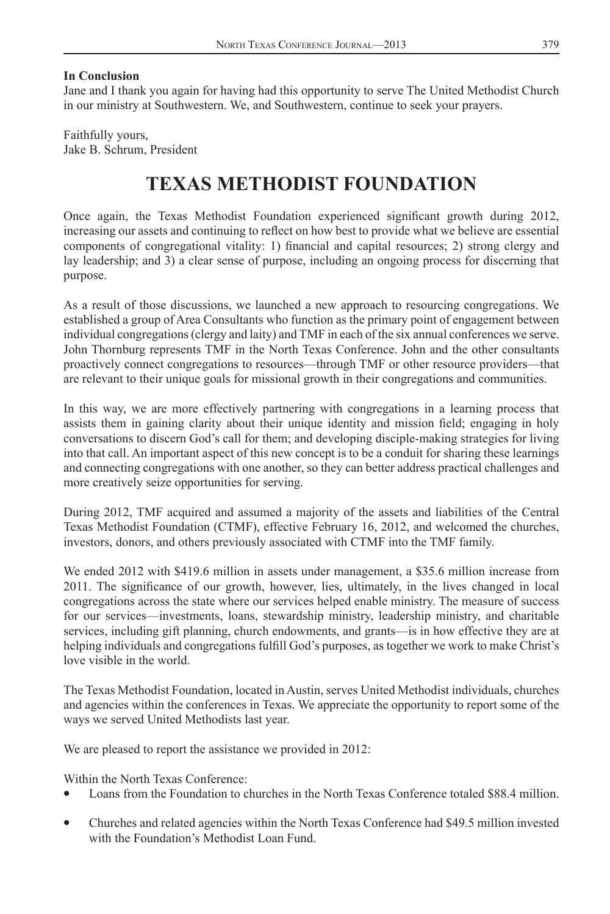### **In Conclusion**

Jane and I thank you again for having had this opportunity to serve The United Methodist Church in our ministry at Southwestern. We, and Southwestern, continue to seek your prayers.

Faithfully yours, Jake B. Schrum, President

## **TEXAS METHODIST FOUNDATION**

Once again, the Texas Methodist Foundation experienced significant growth during 2012, increasing our assets and continuing to reflect on how best to provide what we believe are essential components of congregational vitality: 1) financial and capital resources; 2) strong clergy and lay leadership; and 3) a clear sense of purpose, including an ongoing process for discerning that purpose.

As a result of those discussions, we launched a new approach to resourcing congregations. We established a group of Area Consultants who function as the primary point of engagement between individual congregations (clergy and laity) and TMF in each of the six annual conferences we serve. John Thornburg represents TMF in the North Texas Conference. John and the other consultants proactively connect congregations to resources—through TMF or other resource providers—that are relevant to their unique goals for missional growth in their congregations and communities.

In this way, we are more effectively partnering with congregations in a learning process that assists them in gaining clarity about their unique identity and mission field; engaging in holy conversations to discern God's call for them; and developing disciple-making strategies for living into that call. An important aspect of this new concept is to be a conduit for sharing these learnings and connecting congregations with one another, so they can better address practical challenges and more creatively seize opportunities for serving.

During 2012, TMF acquired and assumed a majority of the assets and liabilities of the Central Texas Methodist Foundation (CTMF), effective February 16, 2012, and welcomed the churches, investors, donors, and others previously associated with CTMF into the TMF family.

We ended 2012 with \$419.6 million in assets under management, a \$35.6 million increase from 2011. The significance of our growth, however, lies, ultimately, in the lives changed in local congregations across the state where our services helped enable ministry. The measure of success for our services—investments, loans, stewardship ministry, leadership ministry, and charitable services, including gift planning, church endowments, and grants—is in how effective they are at helping individuals and congregations fulfill God's purposes, as together we work to make Christ's love visible in the world.

The Texas Methodist Foundation, located in Austin, serves United Methodist individuals, churches and agencies within the conferences in Texas. We appreciate the opportunity to report some of the ways we served United Methodists last year.

We are pleased to report the assistance we provided in 2012:

Within the North Texas Conference:

- Loans from the Foundation to churches in the North Texas Conference totaled \$88.4 million.
- Churches and related agencies within the North Texas Conference had \$49.5 million invested with the Foundation's Methodist Loan Fund.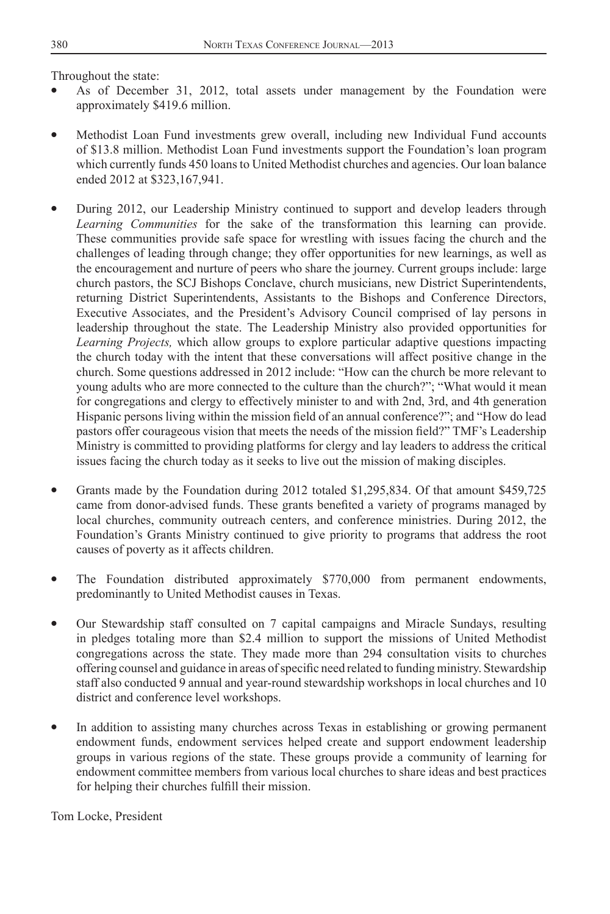Throughout the state:

- As of December 31, 2012, total assets under management by the Foundation were approximately \$419.6 million.
- Methodist Loan Fund investments grew overall, including new Individual Fund accounts of \$13.8 million. Methodist Loan Fund investments support the Foundation's loan program which currently funds 450 loans to United Methodist churches and agencies. Our loan balance ended 2012 at \$323,167,941.
- During 2012, our Leadership Ministry continued to support and develop leaders through *Learning Communities* for the sake of the transformation this learning can provide. These communities provide safe space for wrestling with issues facing the church and the challenges of leading through change; they offer opportunities for new learnings, as well as the encouragement and nurture of peers who share the journey. Current groups include: large church pastors, the SCJ Bishops Conclave, church musicians, new District Superintendents, returning District Superintendents, Assistants to the Bishops and Conference Directors, Executive Associates, and the President's Advisory Council comprised of lay persons in leadership throughout the state. The Leadership Ministry also provided opportunities for *Learning Projects,* which allow groups to explore particular adaptive questions impacting the church today with the intent that these conversations will affect positive change in the church. Some questions addressed in 2012 include: "How can the church be more relevant to young adults who are more connected to the culture than the church?"; "What would it mean for congregations and clergy to effectively minister to and with 2nd, 3rd, and 4th generation Hispanic persons living within the mission field of an annual conference?"; and "How do lead pastors offer courageous vision that meets the needs of the mission field?" TMF's Leadership Ministry is committed to providing platforms for clergy and lay leaders to address the critical issues facing the church today as it seeks to live out the mission of making disciples.
- Grants made by the Foundation during 2012 totaled \$1,295,834. Of that amount \$459,725 came from donor-advised funds. These grants benefited a variety of programs managed by local churches, community outreach centers, and conference ministries. During 2012, the Foundation's Grants Ministry continued to give priority to programs that address the root causes of poverty as it affects children.
- The Foundation distributed approximately \$770,000 from permanent endowments, predominantly to United Methodist causes in Texas.
- Our Stewardship staff consulted on 7 capital campaigns and Miracle Sundays, resulting in pledges totaling more than \$2.4 million to support the missions of United Methodist congregations across the state. They made more than 294 consultation visits to churches offering counsel and guidance in areas of specific need related to funding ministry. Stewardship staff also conducted 9 annual and year-round stewardship workshops in local churches and 10 district and conference level workshops.
- In addition to assisting many churches across Texas in establishing or growing permanent endowment funds, endowment services helped create and support endowment leadership groups in various regions of the state. These groups provide a community of learning for endowment committee members from various local churches to share ideas and best practices for helping their churches fulfill their mission.

Tom Locke, President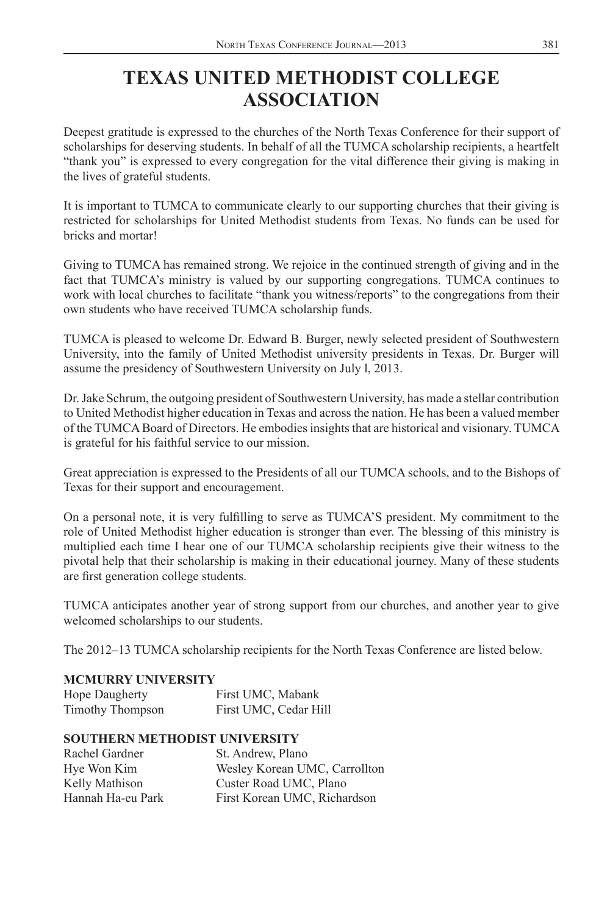# **TEXAS UNITED METHODIST COLLEGE ASSOCIATION**

Deepest gratitude is expressed to the churches of the North Texas Conference for their support of scholarships for deserving students. In behalf of all the TUMCA scholarship recipients, a heartfelt "thank you" is expressed to every congregation for the vital difference their giving is making in the lives of grateful students.

It is important to TUMCA to communicate clearly to our supporting churches that their giving is restricted for scholarships for United Methodist students from Texas. No funds can be used for bricks and mortar!

Giving to TUMCA has remained strong. We rejoice in the continued strength of giving and in the fact that TUMCA's ministry is valued by our supporting congregations. TUMCA continues to work with local churches to facilitate "thank you witness/reports" to the congregations from their own students who have received TUMCA scholarship funds.

TUMCA is pleased to welcome Dr. Edward B. Burger, newly selected president of Southwestern University, into the family of United Methodist university presidents in Texas. Dr. Burger will assume the presidency of Southwestern University on July l, 2013.

Dr. Jake Schrum, the outgoing president of Southwestern University, has made a stellar contribution to United Methodist higher education in Texas and across the nation. He has been a valued member of the TUMCA Board of Directors. He embodies insights that are historical and visionary. TUMCA is grateful for his faithful service to our mission.

Great appreciation is expressed to the Presidents of all our TUMCA schools, and to the Bishops of Texas for their support and encouragement.

On a personal note, it is very fulfilling to serve as TUMCA'S president. My commitment to the role of United Methodist higher education is stronger than ever. The blessing of this ministry is multiplied each time I hear one of our TUMCA scholarship recipients give their witness to the pivotal help that their scholarship is making in their educational journey. Many of these students are first generation college students.

TUMCA anticipates another year of strong support from our churches, and another year to give welcomed scholarships to our students.

The 2012–13 TUMCA scholarship recipients for the North Texas Conference are listed below.

## **MCMURRY UNIVERSITY**

| <b>Hope Daugherty</b> | First UMC, Mabank     |
|-----------------------|-----------------------|
| Timothy Thompson      | First UMC, Cedar Hill |

## **SOUTHERN METHODIST UNIVERSITY**

| Rachel Gardner    | St. Andrew, Plano             |
|-------------------|-------------------------------|
| Hye Won Kim       | Wesley Korean UMC, Carrollton |
| Kelly Mathison    | Custer Road UMC, Plano        |
| Hannah Ha-eu Park | First Korean UMC, Richardson  |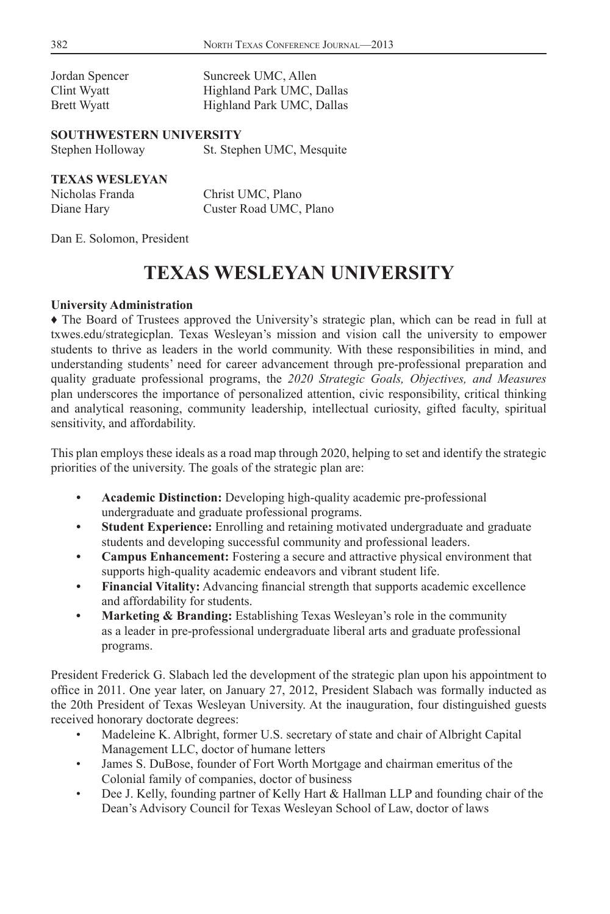| Jordan Spencer | Suncreek UMC, Allen       |
|----------------|---------------------------|
| Clint Wyatt    | Highland Park UMC, Dallas |
| Brett Wyatt    | Highland Park UMC, Dallas |

#### **SOUTHWESTERN UNIVERSITY**

| Stephen Holloway | St. Stephen UMC, Mesquite |
|------------------|---------------------------|
|------------------|---------------------------|

### **TEXAS WESLEYAN**

| Nicholas Franda | Christ UMC, Plano      |
|-----------------|------------------------|
| Diane Hary      | Custer Road UMC, Plano |

Dan E. Solomon, President

## **TEXAS WESLEYAN UNIVERSITY**

#### **University Administration**

♦ The Board of Trustees approved the University's strategic plan, which can be read in full at txwes.edu/strategicplan. Texas Wesleyan's mission and vision call the university to empower students to thrive as leaders in the world community. With these responsibilities in mind, and understanding students' need for career advancement through pre-professional preparation and quality graduate professional programs, the *2020 Strategic Goals, Objectives, and Measures* plan underscores the importance of personalized attention, civic responsibility, critical thinking and analytical reasoning, community leadership, intellectual curiosity, gifted faculty, spiritual sensitivity, and affordability.

This plan employs these ideals as a road map through 2020, helping to set and identify the strategic priorities of the university. The goals of the strategic plan are:

- **Academic Distinction:** Developing high-quality academic pre-professional undergraduate and graduate professional programs.
- **Student Experience:** Enrolling and retaining motivated undergraduate and graduate students and developing successful community and professional leaders.
- **Campus Enhancement:** Fostering a secure and attractive physical environment that supports high-quality academic endeavors and vibrant student life.
- Financial Vitality: Advancing financial strength that supports academic excellence and affordability for students.
- **Marketing & Branding:** Establishing Texas Wesleyan's role in the community as a leader in pre-professional undergraduate liberal arts and graduate professional programs.

President Frederick G. Slabach led the development of the strategic plan upon his appointment to office in 2011. One year later, on January 27, 2012, President Slabach was formally inducted as the 20th President of Texas Wesleyan University. At the inauguration, four distinguished guests received honorary doctorate degrees:

- Madeleine K. Albright, former U.S. secretary of state and chair of Albright Capital Management LLC, doctor of humane letters
- James S. DuBose, founder of Fort Worth Mortgage and chairman emeritus of the Colonial family of companies, doctor of business
- Dee J. Kelly, founding partner of Kelly Hart & Hallman LLP and founding chair of the Dean's Advisory Council for Texas Wesleyan School of Law, doctor of laws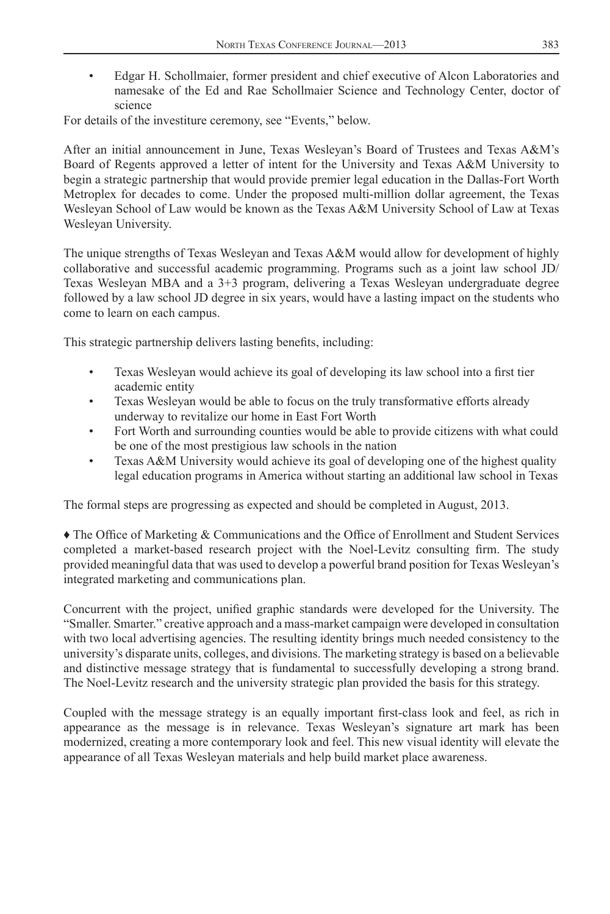• Edgar H. Schollmaier, former president and chief executive of Alcon Laboratories and namesake of the Ed and Rae Schollmaier Science and Technology Center, doctor of science

For details of the investiture ceremony, see "Events," below.

After an initial announcement in June, Texas Wesleyan's Board of Trustees and Texas A&M's Board of Regents approved a letter of intent for the University and Texas A&M University to begin a strategic partnership that would provide premier legal education in the Dallas-Fort Worth Metroplex for decades to come. Under the proposed multi-million dollar agreement, the Texas Wesleyan School of Law would be known as the Texas A&M University School of Law at Texas Wesleyan University.

The unique strengths of Texas Wesleyan and Texas A&M would allow for development of highly collaborative and successful academic programming. Programs such as a joint law school JD/ Texas Wesleyan MBA and a 3+3 program, delivering a Texas Wesleyan undergraduate degree followed by a law school JD degree in six years, would have a lasting impact on the students who come to learn on each campus.

This strategic partnership delivers lasting benefits, including:

- Texas Wesleyan would achieve its goal of developing its law school into a first tier academic entity
- Texas Wesleyan would be able to focus on the truly transformative efforts already underway to revitalize our home in East Fort Worth
- Fort Worth and surrounding counties would be able to provide citizens with what could be one of the most prestigious law schools in the nation
- Texas A&M University would achieve its goal of developing one of the highest quality legal education programs in America without starting an additional law school in Texas

The formal steps are progressing as expected and should be completed in August, 2013.

 $\triangle$  The Office of Marketing & Communications and the Office of Enrollment and Student Services completed a market-based research project with the Noel-Levitz consulting firm. The study provided meaningful data that was used to develop a powerful brand position for Texas Wesleyan's integrated marketing and communications plan.

Concurrent with the project, unified graphic standards were developed for the University. The "Smaller. Smarter." creative approach and a mass-market campaign were developed in consultation with two local advertising agencies. The resulting identity brings much needed consistency to the university's disparate units, colleges, and divisions. The marketing strategy is based on a believable and distinctive message strategy that is fundamental to successfully developing a strong brand. The Noel-Levitz research and the university strategic plan provided the basis for this strategy.

Coupled with the message strategy is an equally important first-class look and feel, as rich in appearance as the message is in relevance. Texas Wesleyan's signature art mark has been modernized, creating a more contemporary look and feel. This new visual identity will elevate the appearance of all Texas Wesleyan materials and help build market place awareness.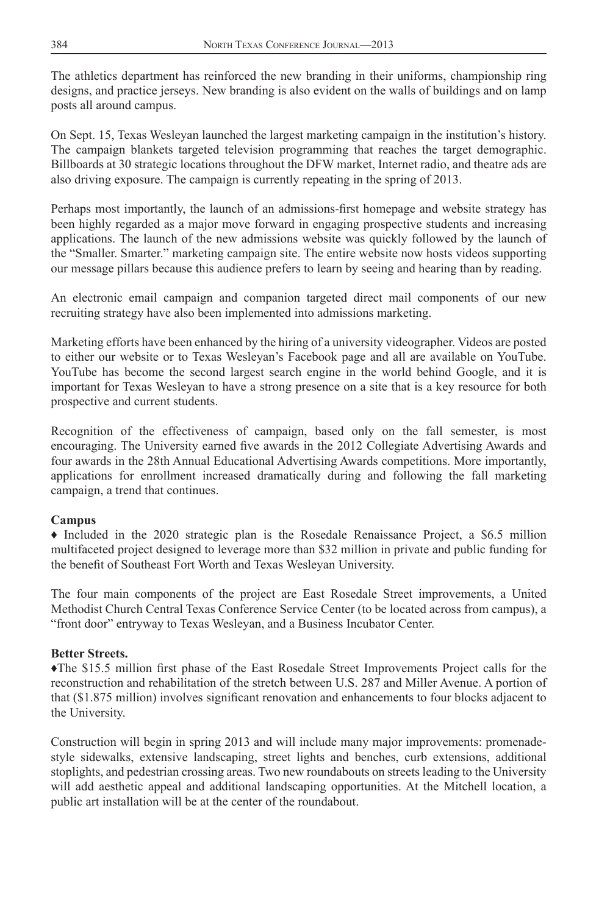The athletics department has reinforced the new branding in their uniforms, championship ring designs, and practice jerseys. New branding is also evident on the walls of buildings and on lamp posts all around campus.

On Sept. 15, Texas Wesleyan launched the largest marketing campaign in the institution's history. The campaign blankets targeted television programming that reaches the target demographic. Billboards at 30 strategic locations throughout the DFW market, Internet radio, and theatre ads are also driving exposure. The campaign is currently repeating in the spring of 2013.

Perhaps most importantly, the launch of an admissions-first homepage and website strategy has been highly regarded as a major move forward in engaging prospective students and increasing applications. The launch of the new admissions website was quickly followed by the launch of the "Smaller. Smarter." marketing campaign site. The entire website now hosts videos supporting our message pillars because this audience prefers to learn by seeing and hearing than by reading.

An electronic email campaign and companion targeted direct mail components of our new recruiting strategy have also been implemented into admissions marketing.

Marketing efforts have been enhanced by the hiring of a university videographer. Videos are posted to either our website or to Texas Wesleyan's Facebook page and all are available on YouTube. YouTube has become the second largest search engine in the world behind Google, and it is important for Texas Wesleyan to have a strong presence on a site that is a key resource for both prospective and current students.

Recognition of the effectiveness of campaign, based only on the fall semester, is most encouraging. The University earned five awards in the 2012 Collegiate Advertising Awards and four awards in the 28th Annual Educational Advertising Awards competitions. More importantly, applications for enrollment increased dramatically during and following the fall marketing campaign, a trend that continues.

## **Campus**

♦ Included in the 2020 strategic plan is the Rosedale Renaissance Project, a \$6.5 million multifaceted project designed to leverage more than \$32 million in private and public funding for the benefit of Southeast Fort Worth and Texas Wesleyan University.

The four main components of the project are East Rosedale Street improvements, a United Methodist Church Central Texas Conference Service Center (to be located across from campus), a "front door" entryway to Texas Wesleyan, and a Business Incubator Center.

## **Better Streets.**

The \$15.5 million first phase of the East Rosedale Street Improvements Project calls for the reconstruction and rehabilitation of the stretch between U.S. 287 and Miller Avenue. A portion of that (\$1.875 million) involves significant renovation and enhancements to four blocks adjacent to the University.

Construction will begin in spring 2013 and will include many major improvements: promenadestyle sidewalks, extensive landscaping, street lights and benches, curb extensions, additional stoplights, and pedestrian crossing areas. Two new roundabouts on streets leading to the University will add aesthetic appeal and additional landscaping opportunities. At the Mitchell location, a public art installation will be at the center of the roundabout.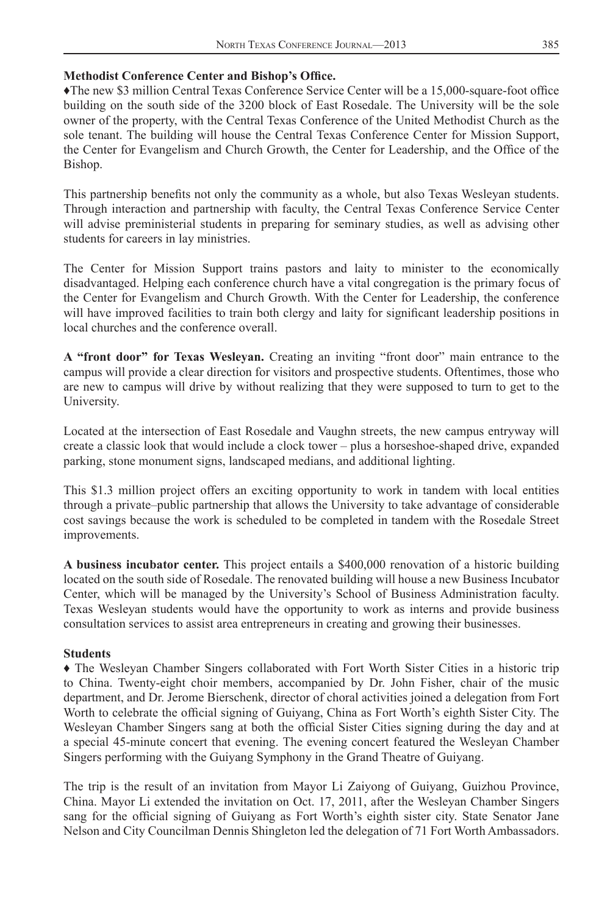## **Methodist Conference Center and Bishop's Office.**

The new \$3 million Central Texas Conference Service Center will be a 15,000-square-foot office building on the south side of the 3200 block of East Rosedale. The University will be the sole owner of the property, with the Central Texas Conference of the United Methodist Church as the sole tenant. The building will house the Central Texas Conference Center for Mission Support, the Center for Evangelism and Church Growth, the Center for Leadership, and the Office of the Bishop.

This partnership benefits not only the community as a whole, but also Texas Wesleyan students. Through interaction and partnership with faculty, the Central Texas Conference Service Center will advise preministerial students in preparing for seminary studies, as well as advising other students for careers in lay ministries.

The Center for Mission Support trains pastors and laity to minister to the economically disadvantaged. Helping each conference church have a vital congregation is the primary focus of the Center for Evangelism and Church Growth. With the Center for Leadership, the conference will have improved facilities to train both clergy and laity for significant leadership positions in local churches and the conference overall.

**A "front door" for Texas Wesleyan.** Creating an inviting "front door" main entrance to the campus will provide a clear direction for visitors and prospective students. Oftentimes, those who are new to campus will drive by without realizing that they were supposed to turn to get to the University.

Located at the intersection of East Rosedale and Vaughn streets, the new campus entryway will create a classic look that would include a clock tower – plus a horseshoe-shaped drive, expanded parking, stone monument signs, landscaped medians, and additional lighting.

This \$1.3 million project offers an exciting opportunity to work in tandem with local entities through a private–public partnership that allows the University to take advantage of considerable cost savings because the work is scheduled to be completed in tandem with the Rosedale Street improvements.

**A business incubator center.** This project entails a \$400,000 renovation of a historic building located on the south side of Rosedale. The renovated building will house a new Business Incubator Center, which will be managed by the University's School of Business Administration faculty. Texas Wesleyan students would have the opportunity to work as interns and provide business consultation services to assist area entrepreneurs in creating and growing their businesses.

#### **Students**

♦ The Wesleyan Chamber Singers collaborated with Fort Worth Sister Cities in a historic trip to China. Twenty-eight choir members, accompanied by Dr. John Fisher, chair of the music department, and Dr. Jerome Bierschenk, director of choral activities joined a delegation from Fort Worth to celebrate the official signing of Guiyang, China as Fort Worth's eighth Sister City. The Wesleyan Chamber Singers sang at both the official Sister Cities signing during the day and at a special 45-minute concert that evening. The evening concert featured the Wesleyan Chamber Singers performing with the Guiyang Symphony in the Grand Theatre of Guiyang.

The trip is the result of an invitation from Mayor Li Zaiyong of Guiyang, Guizhou Province, China. Mayor Li extended the invitation on Oct. 17, 2011, after the Wesleyan Chamber Singers sang for the official signing of Guiyang as Fort Worth's eighth sister city. State Senator Jane Nelson and City Councilman Dennis Shingleton led the delegation of 71 Fort Worth Ambassadors.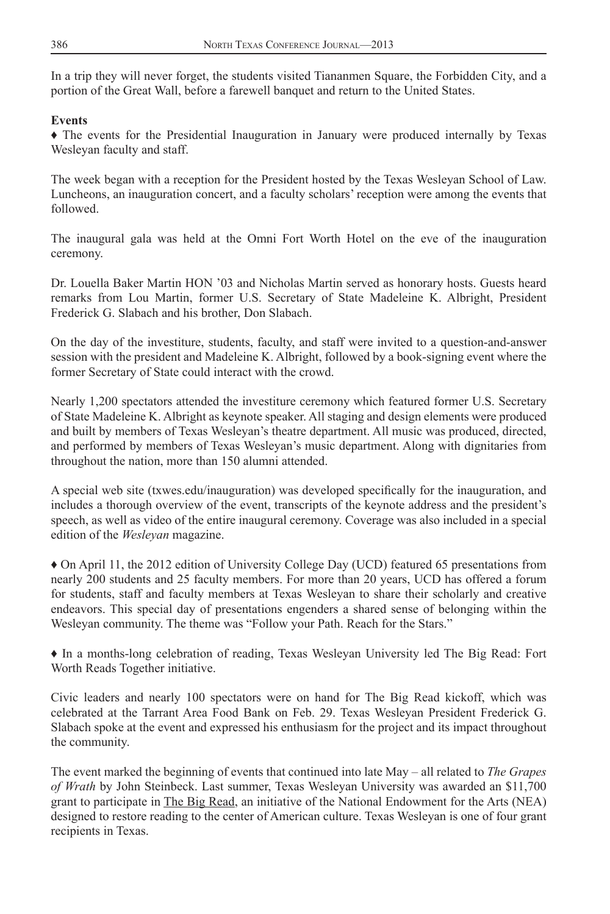In a trip they will never forget, the students visited Tiananmen Square, the Forbidden City, and a portion of the Great Wall, before a farewell banquet and return to the United States.

#### **Events**

♦ The events for the Presidential Inauguration in January were produced internally by Texas Wesleyan faculty and staff.

The week began with a reception for the President hosted by the Texas Wesleyan School of Law. Luncheons, an inauguration concert, and a faculty scholars' reception were among the events that followed.

The inaugural gala was held at the Omni Fort Worth Hotel on the eve of the inauguration ceremony.

Dr. Louella Baker Martin HON '03 and Nicholas Martin served as honorary hosts. Guests heard remarks from Lou Martin, former U.S. Secretary of State Madeleine K. Albright, President Frederick G. Slabach and his brother, Don Slabach.

On the day of the investiture, students, faculty, and staff were invited to a question-and-answer session with the president and Madeleine K. Albright, followed by a book-signing event where the former Secretary of State could interact with the crowd.

Nearly 1,200 spectators attended the investiture ceremony which featured former U.S. Secretary of State Madeleine K. Albright as keynote speaker. All staging and design elements were produced and built by members of Texas Wesleyan's theatre department. All music was produced, directed, and performed by members of Texas Wesleyan's music department. Along with dignitaries from throughout the nation, more than 150 alumni attended.

A special web site (txwes.edu/inauguration) was developed specifically for the inauguration, and includes a thorough overview of the event, transcripts of the keynote address and the president's speech, as well as video of the entire inaugural ceremony. Coverage was also included in a special edition of the *Wesleyan* magazine.

♦ On April 11, the 2012 edition of University College Day (UCD) featured 65 presentations from nearly 200 students and 25 faculty members. For more than 20 years, UCD has offered a forum for students, staff and faculty members at Texas Wesleyan to share their scholarly and creative endeavors. This special day of presentations engenders a shared sense of belonging within the Wesleyan community. The theme was "Follow your Path. Reach for the Stars."

♦ In a months-long celebration of reading, Texas Wesleyan University led The Big Read: Fort Worth Reads Together initiative.

Civic leaders and nearly 100 spectators were on hand for The Big Read kickoff, which was celebrated at the Tarrant Area Food Bank on Feb. 29. Texas Wesleyan President Frederick G. Slabach spoke at the event and expressed his enthusiasm for the project and its impact throughout the community.

The event marked the beginning of events that continued into late May – all related to *The Grapes of Wrath* by John Steinbeck. Last summer, Texas Wesleyan University was awarded an \$11,700 grant to participate in The Big Read, an initiative of the National Endowment for the Arts (NEA) designed to restore reading to the center of American culture. Texas Wesleyan is one of four grant recipients in Texas.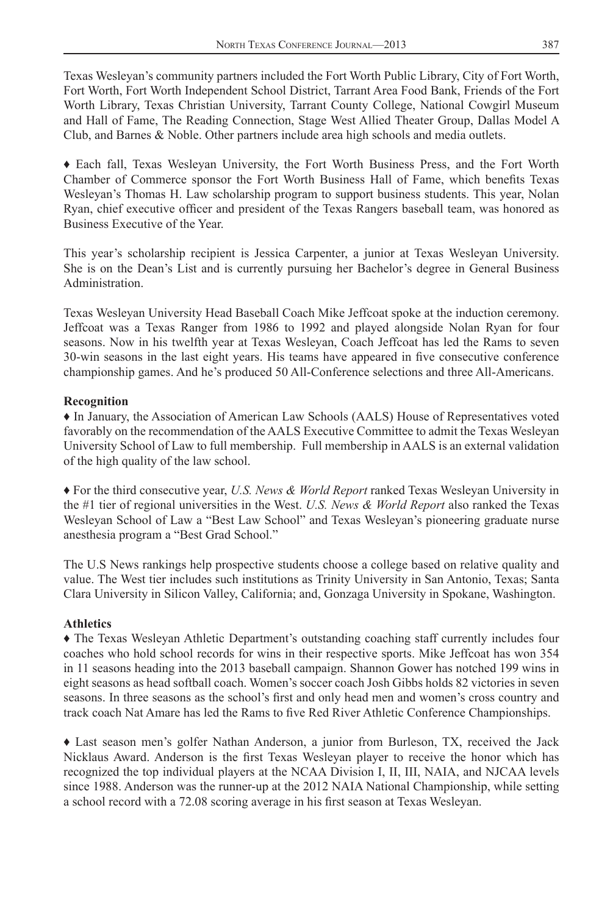Texas Wesleyan's community partners included the Fort Worth Public Library, City of Fort Worth, Fort Worth, Fort Worth Independent School District, Tarrant Area Food Bank, Friends of the Fort Worth Library, Texas Christian University, Tarrant County College, National Cowgirl Museum and Hall of Fame, The Reading Connection, Stage West Allied Theater Group, Dallas Model A Club, and Barnes & Noble. Other partners include area high schools and media outlets.

♦ Each fall, Texas Wesleyan University, the Fort Worth Business Press, and the Fort Worth Chamber of Commerce sponsor the Fort Worth Business Hall of Fame, which benefits Texas Wesleyan's Thomas H. Law scholarship program to support business students. This year, Nolan Ryan, chief executive officer and president of the Texas Rangers baseball team, was honored as Business Executive of the Year.

This year's scholarship recipient is Jessica Carpenter, a junior at Texas Wesleyan University. She is on the Dean's List and is currently pursuing her Bachelor's degree in General Business Administration.

Texas Wesleyan University Head Baseball Coach Mike Jeffcoat spoke at the induction ceremony. Jeffcoat was a Texas Ranger from 1986 to 1992 and played alongside Nolan Ryan for four seasons. Now in his twelfth year at Texas Wesleyan, Coach Jeffcoat has led the Rams to seven 30-win seasons in the last eight years. His teams have appeared in five consecutive conference championship games. And he's produced 50 All-Conference selections and three All-Americans.

#### **Recognition**

♦ In January, the Association of American Law Schools (AALS) House of Representatives voted favorably on the recommendation of the AALS Executive Committee to admit the Texas Wesleyan University School of Law to full membership. Full membership in AALS is an external validation of the high quality of the law school.

♦ For the third consecutive year, *U.S. News & World Report* ranked Texas Wesleyan University in the #1 tier of regional universities in the West. *U.S. News & World Report* also ranked the Texas Wesleyan School of Law a "Best Law School" and Texas Wesleyan's pioneering graduate nurse anesthesia program a "Best Grad School."

The U.S News rankings help prospective students choose a college based on relative quality and value. The West tier includes such institutions as Trinity University in San Antonio, Texas; Santa Clara University in Silicon Valley, California; and, Gonzaga University in Spokane, Washington.

#### **Athletics**

♦ The Texas Wesleyan Athletic Department's outstanding coaching staff currently includes four coaches who hold school records for wins in their respective sports. Mike Jeffcoat has won 354 in 11 seasons heading into the 2013 baseball campaign. Shannon Gower has notched 199 wins in eight seasons as head softball coach. Women's soccer coach Josh Gibbs holds 82 victories in seven seasons. In three seasons as the school's first and only head men and women's cross country and track coach Nat Amare has led the Rams to five Red River Athletic Conference Championships.

♦ Last season men's golfer Nathan Anderson, a junior from Burleson, TX, received the Jack Nicklaus Award. Anderson is the first Texas Wesleyan player to receive the honor which has recognized the top individual players at the NCAA Division I, II, III, NAIA, and NJCAA levels since 1988. Anderson was the runner-up at the 2012 NAIA National Championship, while setting a school record with a 72.08 scoring average in his first season at Texas Wesleyan.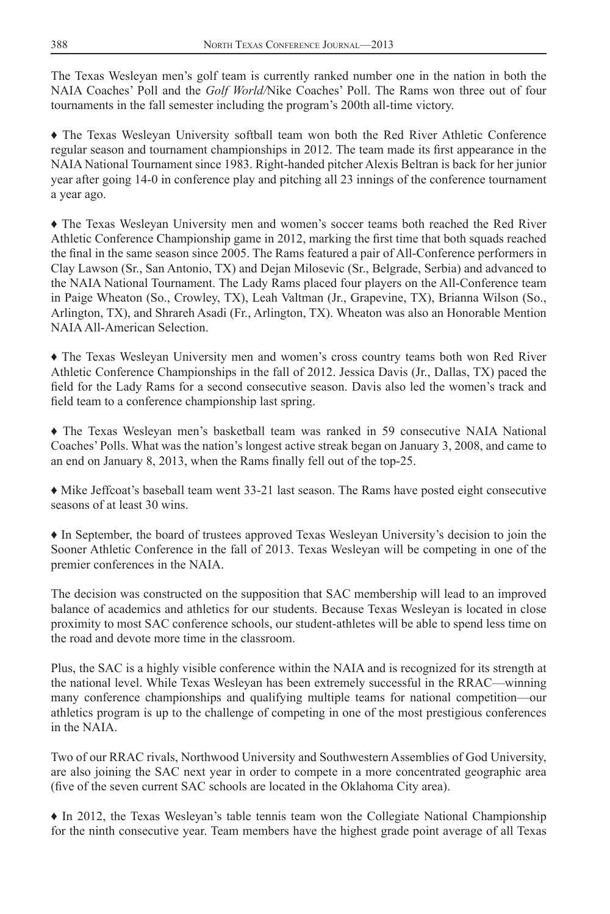The Texas Wesleyan men's golf team is currently ranked number one in the nation in both the NAIA Coaches' Poll and the *Golf World/*Nike Coaches' Poll. The Rams won three out of four tournaments in the fall semester including the program's 200th all-time victory.

♦ The Texas Wesleyan University softball team won both the Red River Athletic Conference regular season and tournament championships in 2012. The team made its first appearance in the NAIA National Tournament since 1983. Right-handed pitcher Alexis Beltran is back for her junior year after going 14-0 in conference play and pitching all 23 innings of the conference tournament a year ago.

♦ The Texas Wesleyan University men and women's soccer teams both reached the Red River Athletic Conference Championship game in 2012, marking the first time that both squads reached the final in the same season since 2005. The Rams featured a pair of All-Conference performers in Clay Lawson (Sr., San Antonio, TX) and Dejan Milosevic (Sr., Belgrade, Serbia) and advanced to the NAIA National Tournament. The Lady Rams placed four players on the All-Conference team in Paige Wheaton (So., Crowley, TX), Leah Valtman (Jr., Grapevine, TX), Brianna Wilson (So., Arlington, TX), and Shrareh Asadi (Fr., Arlington, TX). Wheaton was also an Honorable Mention NAIA All-American Selection.

♦ The Texas Wesleyan University men and women's cross country teams both won Red River Athletic Conference Championships in the fall of 2012. Jessica Davis (Jr., Dallas, TX) paced the field for the Lady Rams for a second consecutive season. Davis also led the women's track and field team to a conference championship last spring.

♦ The Texas Wesleyan men's basketball team was ranked in 59 consecutive NAIA National Coaches' Polls. What was the nation's longest active streak began on January 3, 2008, and came to an end on January 8, 2013, when the Rams finally fell out of the top-25.

♦ Mike Jeffcoat's baseball team went 33-21 last season. The Rams have posted eight consecutive seasons of at least 30 wins.

♦ In September, the board of trustees approved Texas Wesleyan University's decision to join the Sooner Athletic Conference in the fall of 2013. Texas Wesleyan will be competing in one of the premier conferences in the NAIA.

The decision was constructed on the supposition that SAC membership will lead to an improved balance of academics and athletics for our students. Because Texas Wesleyan is located in close proximity to most SAC conference schools, our student-athletes will be able to spend less time on the road and devote more time in the classroom.

Plus, the SAC is a highly visible conference within the NAIA and is recognized for its strength at the national level. While Texas Wesleyan has been extremely successful in the RRAC—winning many conference championships and qualifying multiple teams for national competition—our athletics program is up to the challenge of competing in one of the most prestigious conferences in the NAIA.

Two of our RRAC rivals, Northwood University and Southwestern Assemblies of God University, are also joining the SAC next year in order to compete in a more concentrated geographic area (five of the seven current SAC schools are located in the Oklahoma City area).

♦ In 2012, the Texas Wesleyan's table tennis team won the Collegiate National Championship for the ninth consecutive year. Team members have the highest grade point average of all Texas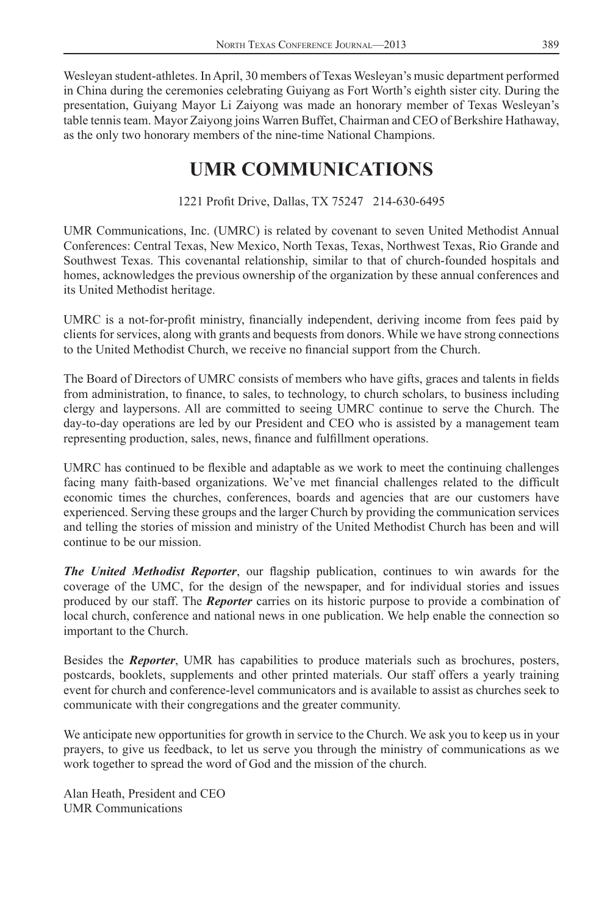Wesleyan student-athletes. In April, 30 members of Texas Wesleyan's music department performed in China during the ceremonies celebrating Guiyang as Fort Worth's eighth sister city. During the presentation, Guiyang Mayor Li Zaiyong was made an honorary member of Texas Wesleyan's table tennis team. Mayor Zaiyong joins Warren Buffet, Chairman and CEO of Berkshire Hathaway, as the only two honorary members of the nine-time National Champions.

## **UMR COMMUNICATIONS**

## 1221 Profit Drive, Dallas, TX 75247 214-630-6495

UMR Communications, Inc. (UMRC) is related by covenant to seven United Methodist Annual Conferences: Central Texas, New Mexico, North Texas, Texas, Northwest Texas, Rio Grande and Southwest Texas. This covenantal relationship, similar to that of church-founded hospitals and homes, acknowledges the previous ownership of the organization by these annual conferences and its United Methodist heritage.

UMRC is a not-for-profit ministry, financially independent, deriving income from fees paid by clients for services, along with grants and bequests from donors. While we have strong connections to the United Methodist Church, we receive no financial support from the Church.

The Board of Directors of UMRC consists of members who have gifts, graces and talents in fields from administration, to finance, to sales, to technology, to church scholars, to business including clergy and laypersons. All are committed to seeing UMRC continue to serve the Church. The day-to-day operations are led by our President and CEO who is assisted by a management team representing production, sales, news, finance and fulfillment operations.

UMRC has continued to be flexible and adaptable as we work to meet the continuing challenges facing many faith-based organizations. We've met financial challenges related to the difficult economic times the churches, conferences, boards and agencies that are our customers have experienced. Serving these groups and the larger Church by providing the communication services and telling the stories of mission and ministry of the United Methodist Church has been and will continue to be our mission.

**The United Methodist Reporter**, our flagship publication, continues to win awards for the coverage of the UMC, for the design of the newspaper, and for individual stories and issues produced by our staff. The *Reporter* carries on its historic purpose to provide a combination of local church, conference and national news in one publication. We help enable the connection so important to the Church.

Besides the *Reporter*, UMR has capabilities to produce materials such as brochures, posters, postcards, booklets, supplements and other printed materials. Our staff offers a yearly training event for church and conference-level communicators and is available to assist as churches seek to communicate with their congregations and the greater community.

We anticipate new opportunities for growth in service to the Church. We ask you to keep us in your prayers, to give us feedback, to let us serve you through the ministry of communications as we work together to spread the word of God and the mission of the church.

Alan Heath, President and CEO UMR Communications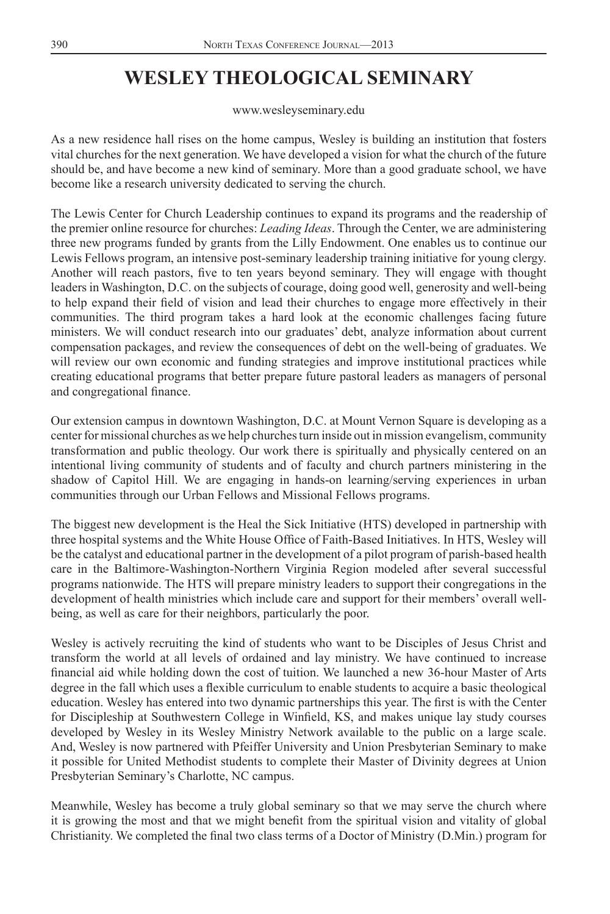# **WESLEY THEOLOGICAL SEMINARY**

www.wesleyseminary.edu

As a new residence hall rises on the home campus, Wesley is building an institution that fosters vital churches for the next generation. We have developed a vision for what the church of the future should be, and have become a new kind of seminary. More than a good graduate school, we have become like a research university dedicated to serving the church.

The Lewis Center for Church Leadership continues to expand its programs and the readership of the premier online resource for churches: *Leading Ideas*. Through the Center, we are administering three new programs funded by grants from the Lilly Endowment. One enables us to continue our Lewis Fellows program, an intensive post-seminary leadership training initiative for young clergy. Another will reach pastors, five to ten years beyond seminary. They will engage with thought leaders in Washington, D.C. on the subjects of courage, doing good well, generosity and well-being to help expand their field of vision and lead their churches to engage more effectively in their communities. The third program takes a hard look at the economic challenges facing future ministers. We will conduct research into our graduates' debt, analyze information about current compensation packages, and review the consequences of debt on the well-being of graduates. We will review our own economic and funding strategies and improve institutional practices while creating educational programs that better prepare future pastoral leaders as managers of personal and congregational finance.

Our extension campus in downtown Washington, D.C. at Mount Vernon Square is developing as a center for missional churches as we help churches turn inside out in mission evangelism, community transformation and public theology. Our work there is spiritually and physically centered on an intentional living community of students and of faculty and church partners ministering in the shadow of Capitol Hill. We are engaging in hands-on learning/serving experiences in urban communities through our Urban Fellows and Missional Fellows programs.

The biggest new development is the Heal the Sick Initiative (HTS) developed in partnership with three hospital systems and the White House Office of Faith-Based Initiatives. In HTS, Wesley will be the catalyst and educational partner in the development of a pilot program of parish-based health care in the Baltimore-Washington-Northern Virginia Region modeled after several successful programs nationwide. The HTS will prepare ministry leaders to support their congregations in the development of health ministries which include care and support for their members' overall wellbeing, as well as care for their neighbors, particularly the poor.

Wesley is actively recruiting the kind of students who want to be Disciples of Jesus Christ and transform the world at all levels of ordained and lay ministry. We have continued to increase financial aid while holding down the cost of tuition. We launched a new 36-hour Master of Arts degree in the fall which uses a flexible curriculum to enable students to acquire a basic theological education. Wesley has entered into two dynamic partnerships this year. The first is with the Center for Discipleship at Southwestern College in Winfield, KS, and makes unique lay study courses developed by Wesley in its Wesley Ministry Network available to the public on a large scale. And, Wesley is now partnered with Pfeiffer University and Union Presbyterian Seminary to make it possible for United Methodist students to complete their Master of Divinity degrees at Union Presbyterian Seminary's Charlotte, NC campus.

Meanwhile, Wesley has become a truly global seminary so that we may serve the church where it is growing the most and that we might benefit from the spiritual vision and vitality of global Christianity. We completed the final two class terms of a Doctor of Ministry (D.Min.) program for